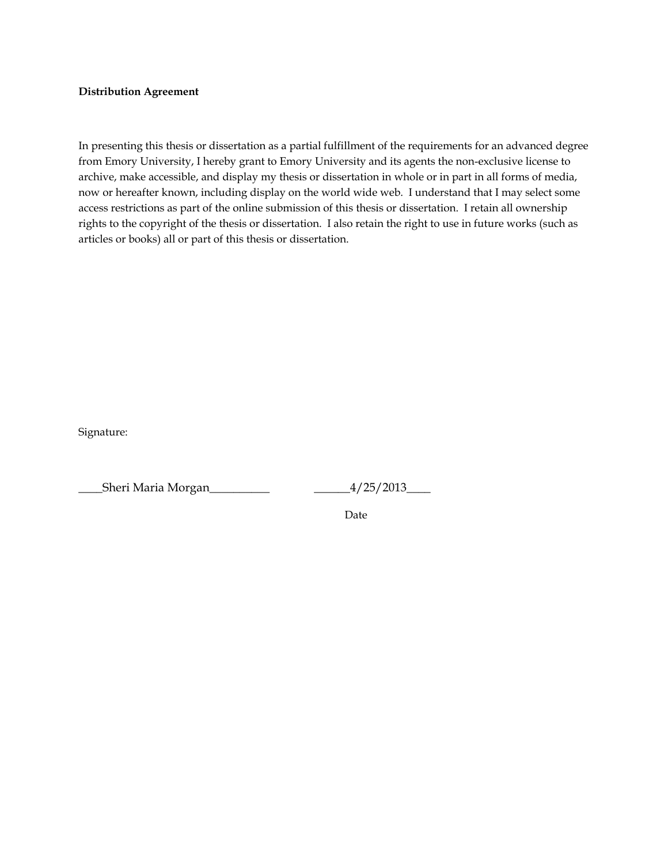#### **Distribution Agreement**

In presenting this thesis or dissertation as a partial fulfillment of the requirements for an advanced degree from Emory University, I hereby grant to Emory University and its agents the non-exclusive license to archive, make accessible, and display my thesis or dissertation in whole or in part in all forms of media, now or hereafter known, including display on the world wide web. I understand that I may select some access restrictions as part of the online submission of this thesis or dissertation. I retain all ownership rights to the copyright of the thesis or dissertation. I also retain the right to use in future works (such as articles or books) all or part of this thesis or dissertation.

Signature:

\_\_\_\_Sheri Maria Morgan\_\_\_\_\_\_\_\_\_\_ \_\_\_\_\_\_4/25/2013\_\_\_\_

Date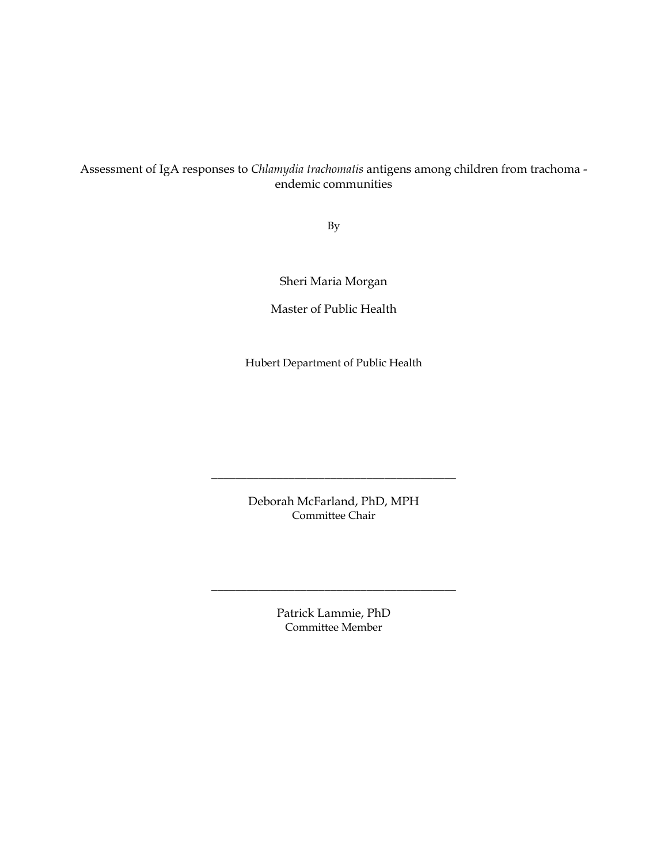# Assessment of IgA responses to *Chlamydia trachomatis* antigens among children from trachoma endemic communities

By

Sheri Maria Morgan

Master of Public Health

Hubert Department of Public Health

Deborah McFarland, PhD, MPH Committee Chair

\_\_\_\_\_\_\_\_\_\_\_\_\_\_\_\_\_\_\_\_\_\_\_\_\_\_\_\_\_\_\_\_\_\_\_\_\_\_\_\_\_

Patrick Lammie, PhD Committee Member

\_\_\_\_\_\_\_\_\_\_\_\_\_\_\_\_\_\_\_\_\_\_\_\_\_\_\_\_\_\_\_\_\_\_\_\_\_\_\_\_\_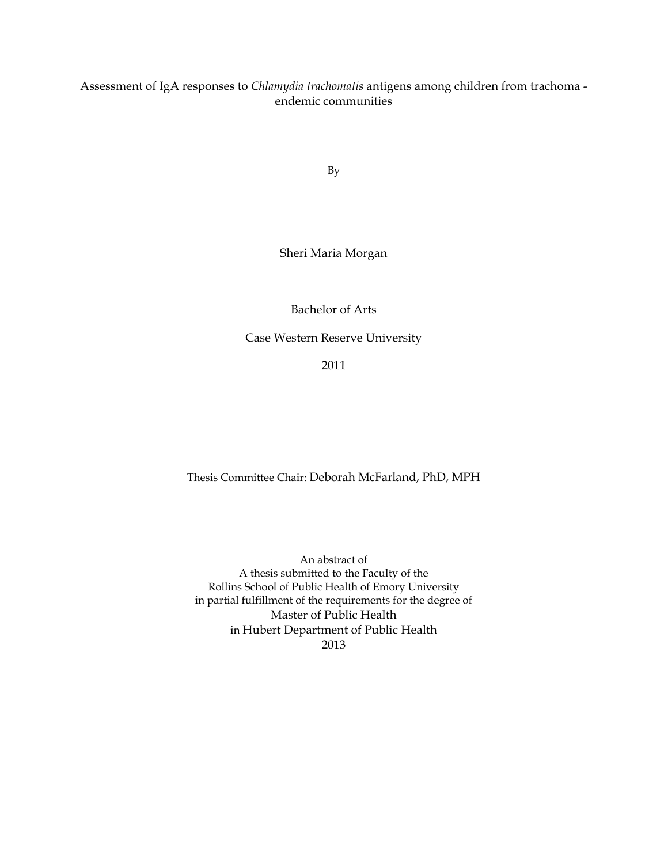Assessment of IgA responses to *Chlamydia trachomatis* antigens among children from trachoma endemic communities

By

## Sheri Maria Morgan

## Bachelor of Arts

Case Western Reserve University

2011

## Thesis Committee Chair: Deborah McFarland, PhD, MPH

An abstract of A thesis submitted to the Faculty of the Rollins School of Public Health of Emory University in partial fulfillment of the requirements for the degree of Master of Public Health in Hubert Department of Public Health 2013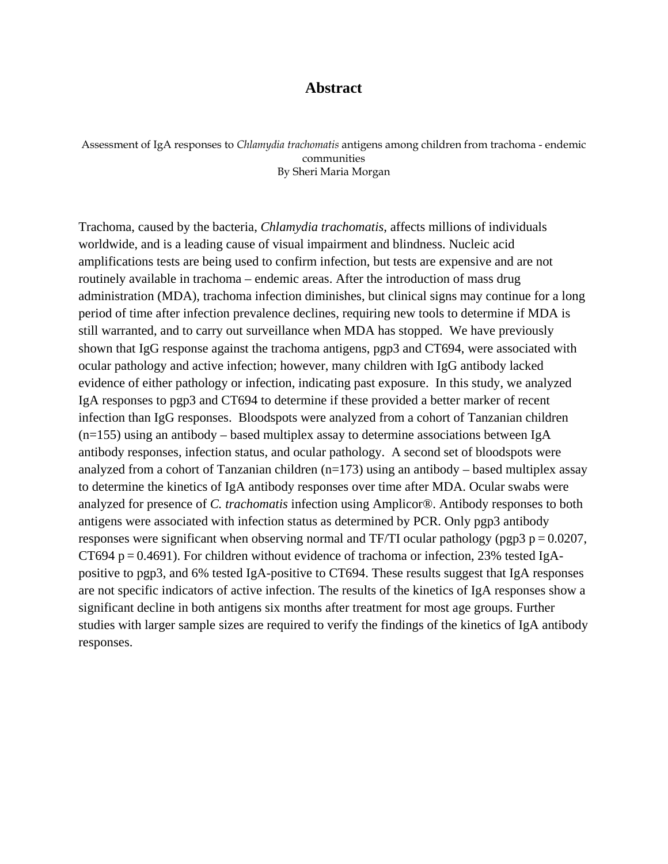# **Abstract**

Assessment of IgA responses to *Chlamydia trachomatis* antigens among children from trachoma - endemic communities By Sheri Maria Morgan

Trachoma, caused by the bacteria, *Chlamydia trachomatis*, affects millions of individuals worldwide, and is a leading cause of visual impairment and blindness. Nucleic acid amplifications tests are being used to confirm infection, but tests are expensive and are not routinely available in trachoma – endemic areas. After the introduction of mass drug administration (MDA), trachoma infection diminishes, but clinical signs may continue for a long period of time after infection prevalence declines, requiring new tools to determine if MDA is still warranted, and to carry out surveillance when MDA has stopped. We have previously shown that IgG response against the trachoma antigens, pgp3 and CT694, were associated with ocular pathology and active infection; however, many children with IgG antibody lacked evidence of either pathology or infection, indicating past exposure. In this study, we analyzed IgA responses to pgp3 and CT694 to determine if these provided a better marker of recent infection than IgG responses. Bloodspots were analyzed from a cohort of Tanzanian children  $(n=155)$  using an antibody – based multiplex assay to determine associations between IgA antibody responses, infection status, and ocular pathology. A second set of bloodspots were analyzed from a cohort of Tanzanian children  $(n=173)$  using an antibody – based multiplex assay to determine the kinetics of IgA antibody responses over time after MDA. Ocular swabs were analyzed for presence of *C. trachomatis* infection using Amplicor®. Antibody responses to both antigens were associated with infection status as determined by PCR. Only pgp3 antibody responses were significant when observing normal and TF/TI ocular pathology (pgp3  $p = 0.0207$ , CT694 p =  $0.4691$ ). For children without evidence of trachoma or infection, 23% tested IgApositive to pgp3, and 6% tested IgA-positive to CT694. These results suggest that IgA responses are not specific indicators of active infection. The results of the kinetics of IgA responses show a significant decline in both antigens six months after treatment for most age groups. Further studies with larger sample sizes are required to verify the findings of the kinetics of IgA antibody responses.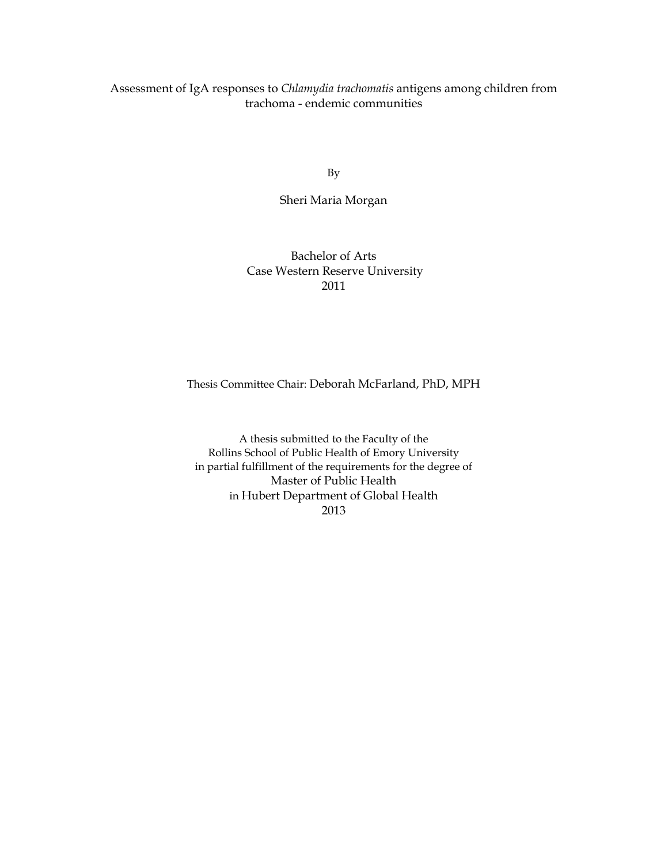Assessment of IgA responses to *Chlamydia trachomatis* antigens among children from trachoma - endemic communities

By

Sheri Maria Morgan

## Bachelor of Arts Case Western Reserve University 2011

## Thesis Committee Chair: Deborah McFarland, PhD, MPH

A thesis submitted to the Faculty of the Rollins School of Public Health of Emory University in partial fulfillment of the requirements for the degree of Master of Public Health in Hubert Department of Global Health 2013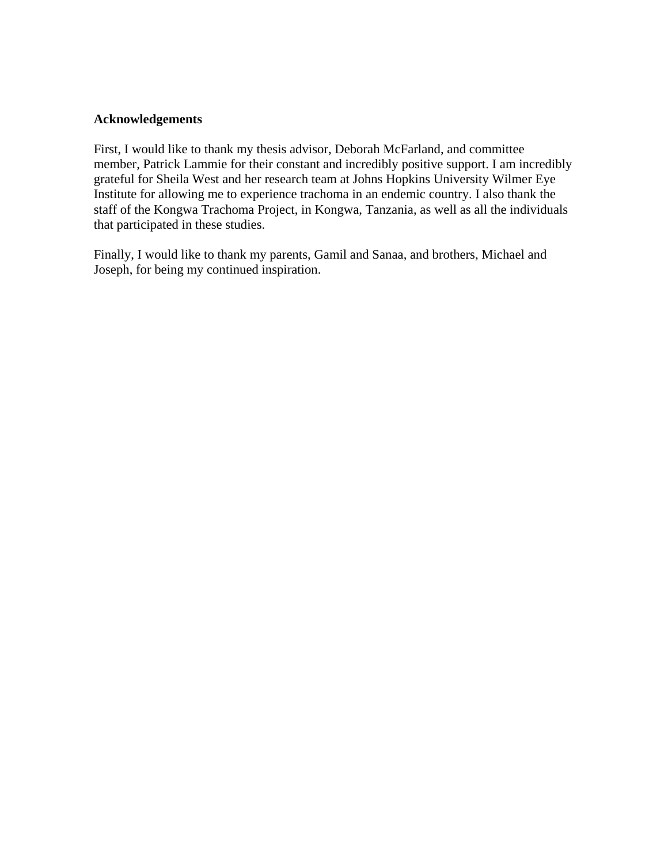## **Acknowledgements**

First, I would like to thank my thesis advisor, Deborah McFarland, and committee member, Patrick Lammie for their constant and incredibly positive support. I am incredibly grateful for Sheila West and her research team at Johns Hopkins University Wilmer Eye Institute for allowing me to experience trachoma in an endemic country. I also thank the staff of the Kongwa Trachoma Project, in Kongwa, Tanzania, as well as all the individuals that participated in these studies.

Finally, I would like to thank my parents, Gamil and Sanaa, and brothers, Michael and Joseph, for being my continued inspiration.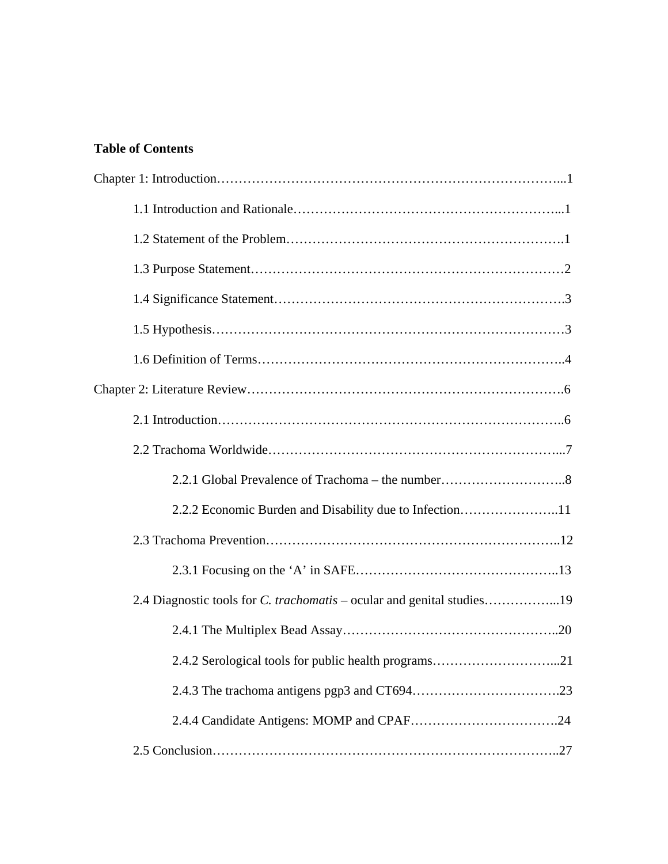# **Table of Contents**

| 2.2.2 Economic Burden and Disability due to Infection11                       |
|-------------------------------------------------------------------------------|
|                                                                               |
|                                                                               |
| 2.4 Diagnostic tools for <i>C. trachomatis</i> – ocular and genital studies19 |
|                                                                               |
| 2.4.2 Serological tools for public health programs21                          |
|                                                                               |
|                                                                               |
|                                                                               |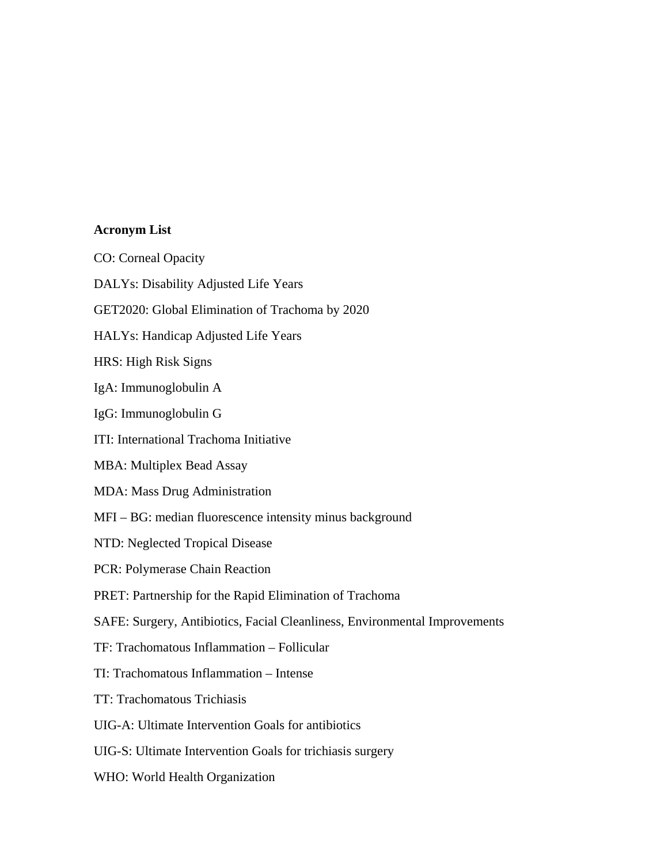## **Acronym List**

CO: Corneal Opacity

DALYs: Disability Adjusted Life Years

GET2020: Global Elimination of Trachoma by 2020

HALYs: Handicap Adjusted Life Years

HRS: High Risk Signs

IgA: Immunoglobulin A

IgG: Immunoglobulin G

ITI: International Trachoma Initiative

MBA: Multiplex Bead Assay

MDA: Mass Drug Administration

MFI – BG: median fluorescence intensity minus background

NTD: Neglected Tropical Disease

PCR: Polymerase Chain Reaction

PRET: Partnership for the Rapid Elimination of Trachoma

SAFE: Surgery, Antibiotics, Facial Cleanliness, Environmental Improvements

TF: Trachomatous Inflammation – Follicular

TI: Trachomatous Inflammation – Intense

TT: Trachomatous Trichiasis

UIG-A: Ultimate Intervention Goals for antibiotics

UIG-S: Ultimate Intervention Goals for trichiasis surgery

WHO: World Health Organization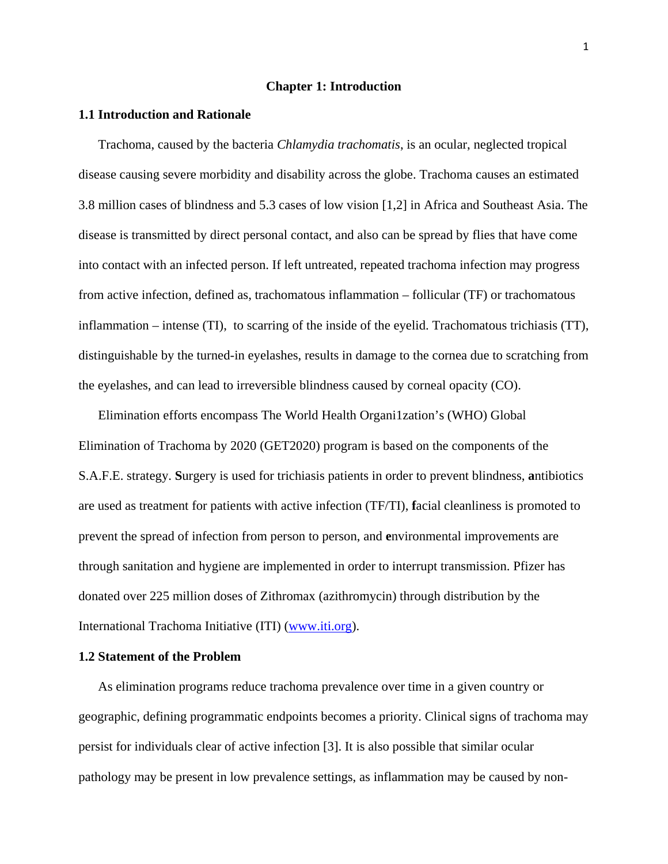#### **Chapter 1: Introduction**

#### **1.1 Introduction and Rationale**

Trachoma, caused by the bacteria *Chlamydia trachomatis*, is an ocular, neglected tropical disease causing severe morbidity and disability across the globe. Trachoma causes an estimated 3.8 million cases of blindness and 5.3 cases of low vision [\[1,](#page-69-0)[2\]](#page-69-1) in Africa and Southeast Asia. The disease is transmitted by direct personal contact, and also can be spread by flies that have come into contact with an infected person. If left untreated, repeated trachoma infection may progress from active infection, defined as, trachomatous inflammation – follicular (TF) or trachomatous inflammation – intense (TI), to scarring of the inside of the eyelid. Trachomatous trichiasis (TT), distinguishable by the turned-in eyelashes, results in damage to the cornea due to scratching from the eyelashes, and can lead to irreversible blindness caused by corneal opacity (CO).

Elimination efforts encompass The World Health Organi1zation's (WHO) Global Elimination of Trachoma by 2020 (GET2020) program is based on the components of the S.A.F.E. strategy. **S**urgery is used for trichiasis patients in order to prevent blindness, **a**ntibiotics are used as treatment for patients with active infection (TF/TI), **f**acial cleanliness is promoted to prevent the spread of infection from person to person, and **e**nvironmental improvements are through sanitation and hygiene are implemented in order to interrupt transmission. Pfizer has donated over 225 million doses of Zithromax (azithromycin) through distribution by the International Trachoma Initiative (ITI) [\(www.iti.org\)](http://www.iti.org/).

## **1.2 Statement of the Problem**

As elimination programs reduce trachoma prevalence over time in a given country or geographic, defining programmatic endpoints becomes a priority. Clinical signs of trachoma may persist for individuals clear of active infection [\[3\]](#page-69-2). It is also possible that similar ocular pathology may be present in low prevalence settings, as inflammation may be caused by non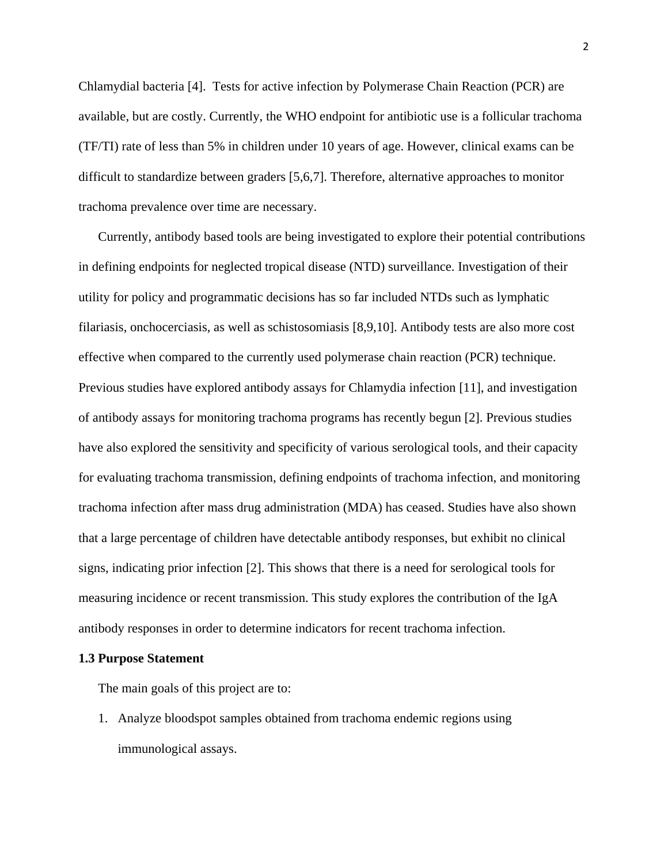Chlamydial bacteria [\[4\]](#page-69-3). Tests for active infection by Polymerase Chain Reaction (PCR) are available, but are costly. Currently, the WHO endpoint for antibiotic use is a follicular trachoma (TF/TI) rate of less than 5% in children under 10 years of age. However, clinical exams can be difficult to standardize between graders [\[5,](#page-69-4)[6,](#page-69-5)[7\]](#page-69-6). Therefore, alternative approaches to monitor trachoma prevalence over time are necessary.

Currently, antibody based tools are being investigated to explore their potential contributions in defining endpoints for neglected tropical disease (NTD) surveillance. Investigation of their utility for policy and programmatic decisions has so far included NTDs such as lymphatic filariasis, onchocerciasis, as well as schistosomiasis [\[8,](#page-69-7)[9,](#page-69-8)[10\]](#page-69-9). Antibody tests are also more cost effective when compared to the currently used polymerase chain reaction (PCR) technique. Previous studies have explored antibody assays for Chlamydia infection [\[11\]](#page-69-10), and investigation of antibody assays for monitoring trachoma programs has recently begun [\[2\]](#page-69-1). Previous studies have also explored the sensitivity and specificity of various serological tools, and their capacity for evaluating trachoma transmission, defining endpoints of trachoma infection, and monitoring trachoma infection after mass drug administration (MDA) has ceased. Studies have also shown that a large percentage of children have detectable antibody responses, but exhibit no clinical signs, indicating prior infection [\[2\]](#page-69-1). This shows that there is a need for serological tools for measuring incidence or recent transmission. This study explores the contribution of the IgA antibody responses in order to determine indicators for recent trachoma infection.

#### **1.3 Purpose Statement**

The main goals of this project are to:

1. Analyze bloodspot samples obtained from trachoma endemic regions using immunological assays.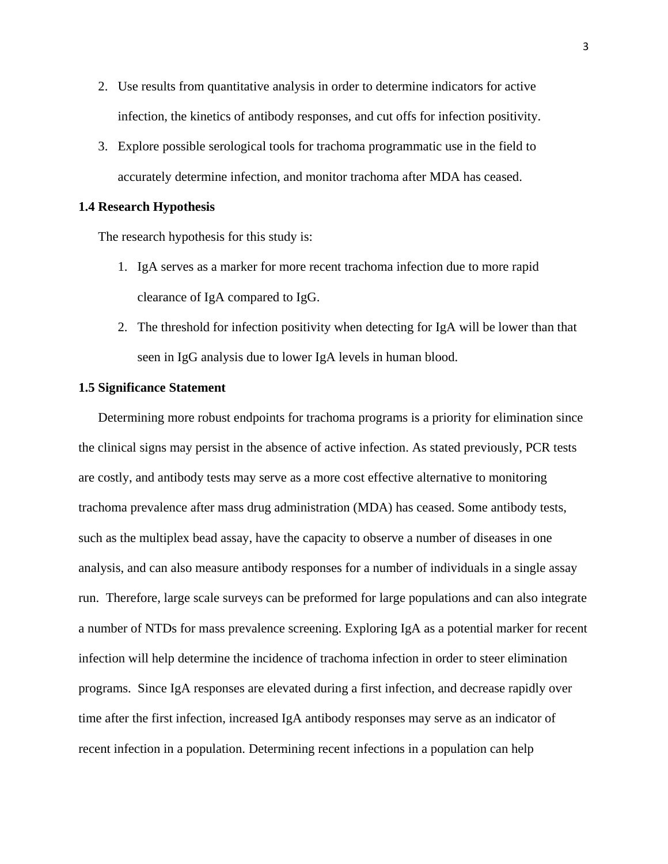- 2. Use results from quantitative analysis in order to determine indicators for active infection, the kinetics of antibody responses, and cut offs for infection positivity.
- 3. Explore possible serological tools for trachoma programmatic use in the field to accurately determine infection, and monitor trachoma after MDA has ceased.

#### **1.4 Research Hypothesis**

The research hypothesis for this study is:

- 1. IgA serves as a marker for more recent trachoma infection due to more rapid clearance of IgA compared to IgG.
- 2. The threshold for infection positivity when detecting for IgA will be lower than that seen in IgG analysis due to lower IgA levels in human blood.

#### **1.5 Significance Statement**

Determining more robust endpoints for trachoma programs is a priority for elimination since the clinical signs may persist in the absence of active infection. As stated previously, PCR tests are costly, and antibody tests may serve as a more cost effective alternative to monitoring trachoma prevalence after mass drug administration (MDA) has ceased. Some antibody tests, such as the multiplex bead assay, have the capacity to observe a number of diseases in one analysis, and can also measure antibody responses for a number of individuals in a single assay run. Therefore, large scale surveys can be preformed for large populations and can also integrate a number of NTDs for mass prevalence screening. Exploring IgA as a potential marker for recent infection will help determine the incidence of trachoma infection in order to steer elimination programs. Since IgA responses are elevated during a first infection, and decrease rapidly over time after the first infection, increased IgA antibody responses may serve as an indicator of recent infection in a population. Determining recent infections in a population can help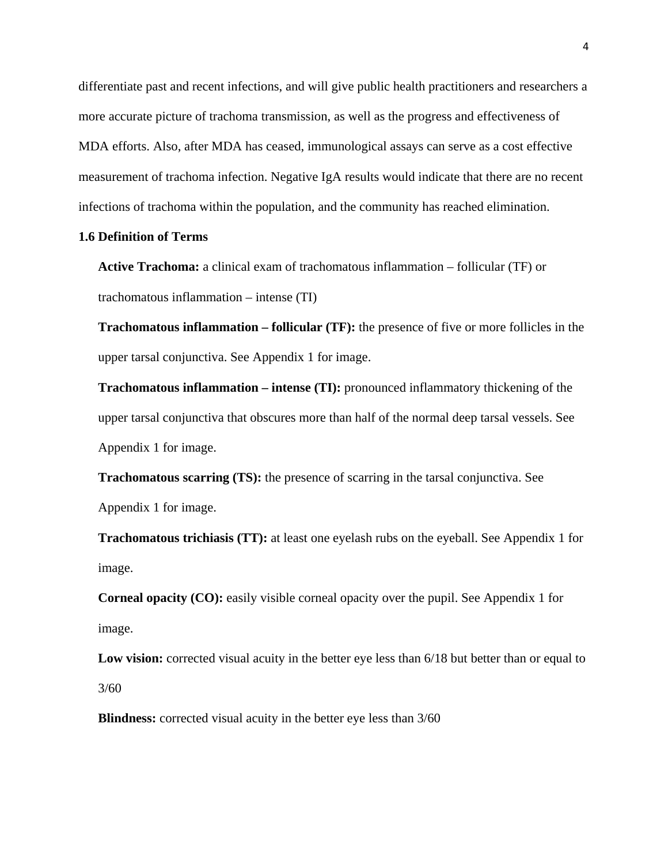differentiate past and recent infections, and will give public health practitioners and researchers a more accurate picture of trachoma transmission, as well as the progress and effectiveness of MDA efforts. Also, after MDA has ceased, immunological assays can serve as a cost effective measurement of trachoma infection. Negative IgA results would indicate that there are no recent infections of trachoma within the population, and the community has reached elimination.

## **1.6 Definition of Terms**

**Active Trachoma:** a clinical exam of trachomatous inflammation – follicular (TF) or trachomatous inflammation – intense (TI)

**Trachomatous inflammation – follicular (TF):** the presence of five or more follicles in the upper tarsal conjunctiva. See Appendix 1 for image.

**Trachomatous inflammation – intense (TI):** pronounced inflammatory thickening of the upper tarsal conjunctiva that obscures more than half of the normal deep tarsal vessels. See Appendix 1 for image.

**Trachomatous scarring (TS):** the presence of scarring in the tarsal conjunctiva. See Appendix 1 for image.

**Trachomatous trichiasis (TT):** at least one eyelash rubs on the eyeball. See Appendix 1 for image.

**Corneal opacity (CO):** easily visible corneal opacity over the pupil. See Appendix 1 for image.

**Low vision:** corrected visual acuity in the better eye less than 6/18 but better than or equal to 3/60

**Blindness:** corrected visual acuity in the better eye less than  $3/60$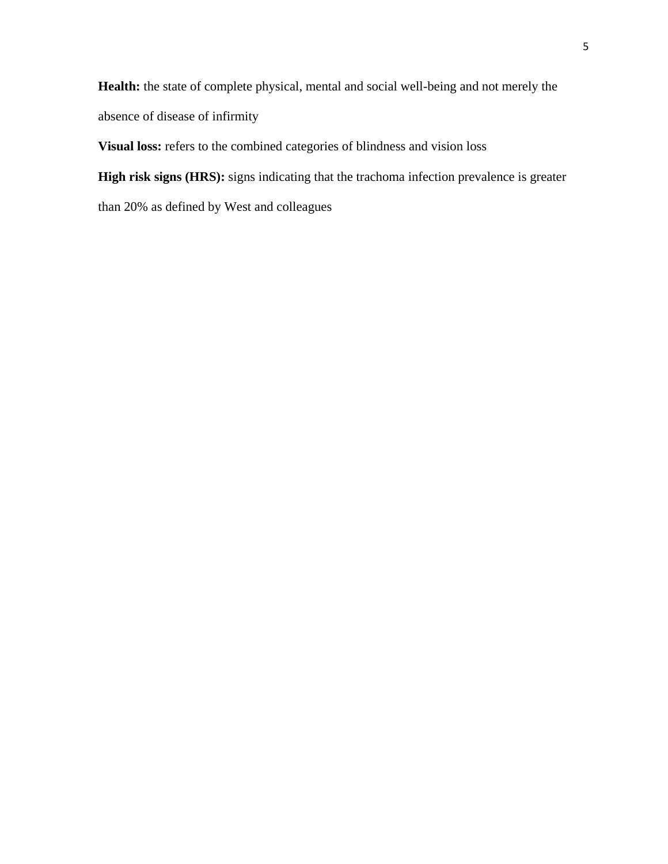**Health:** the state of complete physical, mental and social well-being and not merely the absence of disease of infirmity

**Visual loss:** refers to the combined categories of blindness and vision loss

**High risk signs (HRS):** signs indicating that the trachoma infection prevalence is greater

than 20% as defined by West and colleagues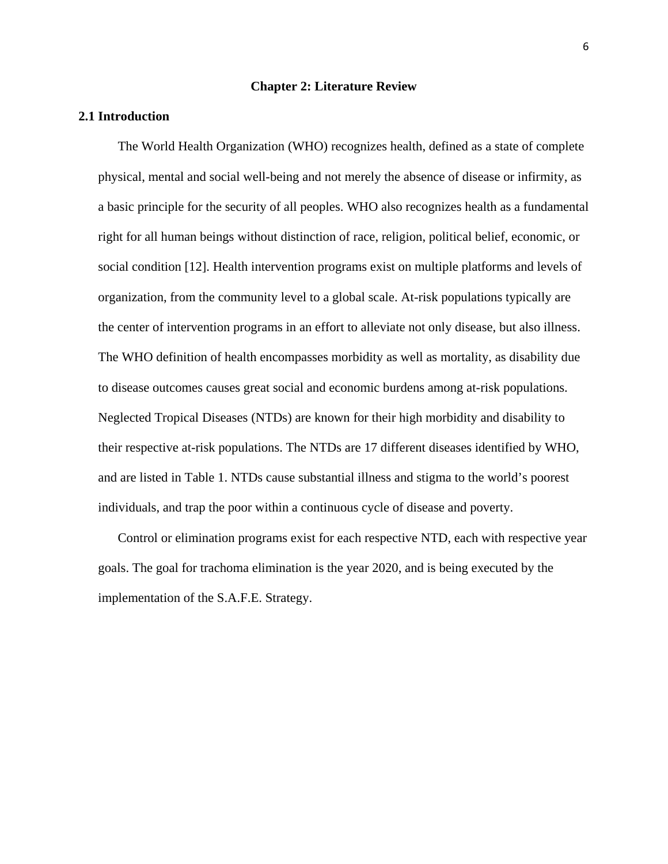#### **Chapter 2: Literature Review**

#### **2.1 Introduction**

The World Health Organization (WHO) recognizes health, defined as a state of complete physical, mental and social well-being and not merely the absence of disease or infirmity, as a basic principle for the security of all peoples. WHO also recognizes health as a fundamental right for all human beings without distinction of race, religion, political belief, economic, or social condition [\[12\]](#page-69-11). Health intervention programs exist on multiple platforms and levels of organization, from the community level to a global scale. At-risk populations typically are the center of intervention programs in an effort to alleviate not only disease, but also illness. The WHO definition of health encompasses morbidity as well as mortality, as disability due to disease outcomes causes great social and economic burdens among at-risk populations. Neglected Tropical Diseases (NTDs) are known for their high morbidity and disability to their respective at-risk populations. The NTDs are 17 different diseases identified by WHO, and are listed in Table 1. NTDs cause substantial illness and stigma to the world's poorest individuals, and trap the poor within a continuous cycle of disease and poverty.

Control or elimination programs exist for each respective NTD, each with respective year goals. The goal for trachoma elimination is the year 2020, and is being executed by the implementation of the S.A.F.E. Strategy.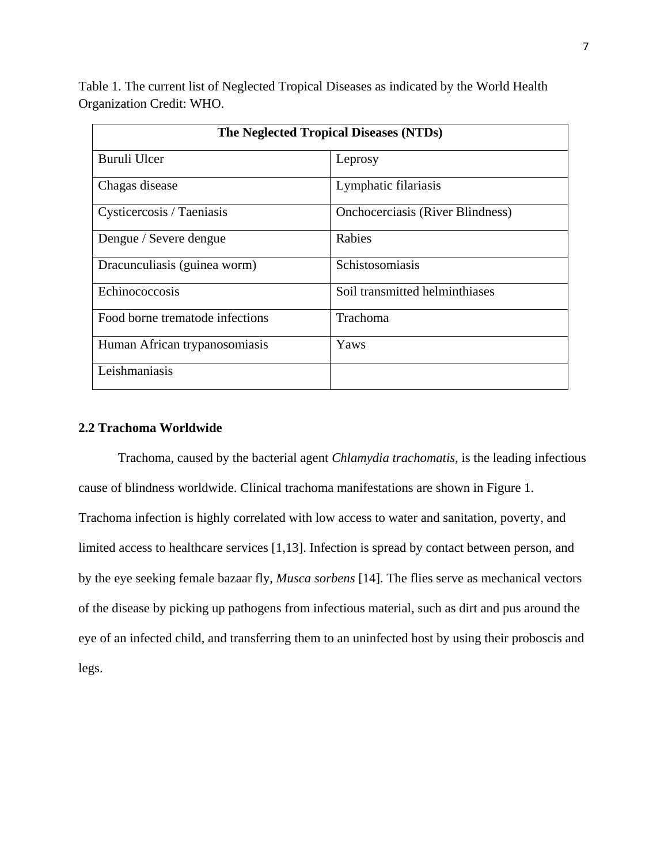Table 1. The current list of Neglected Tropical Diseases as indicated by the World Health Organization Credit: WHO.

| The Neglected Tropical Diseases (NTDs) |                                         |  |
|----------------------------------------|-----------------------------------------|--|
| Buruli Ulcer                           | Leprosy                                 |  |
| Chagas disease                         | Lymphatic filariasis                    |  |
| Cysticercosis / Taeniasis              | <b>Onchocerciasis (River Blindness)</b> |  |
| Dengue / Severe dengue                 | Rabies                                  |  |
| Dracunculiasis (guinea worm)           | Schistosomiasis                         |  |
| Echinococcosis                         | Soil transmitted helminthiases          |  |
| Food borne trematode infections        | <b>Trachoma</b>                         |  |
| Human African trypanosomiasis          | Yaws                                    |  |
| Leishmaniasis                          |                                         |  |

# **2.2 Trachoma Worldwide**

Trachoma, caused by the bacterial agent *Chlamydia trachomatis*, is the leading infectious cause of blindness worldwide. Clinical trachoma manifestations are shown in Figure 1. Trachoma infection is highly correlated with low access to water and sanitation, poverty, and limited access to healthcare services [\[1,](#page-69-0)[13\]](#page-69-12). Infection is spread by contact between person, and by the eye seeking female bazaar fly, *Musca sorbens* [\[14\]](#page-69-13). The flies serve as mechanical vectors of the disease by picking up pathogens from infectious material, such as dirt and pus around the eye of an infected child, and transferring them to an uninfected host by using their proboscis and legs.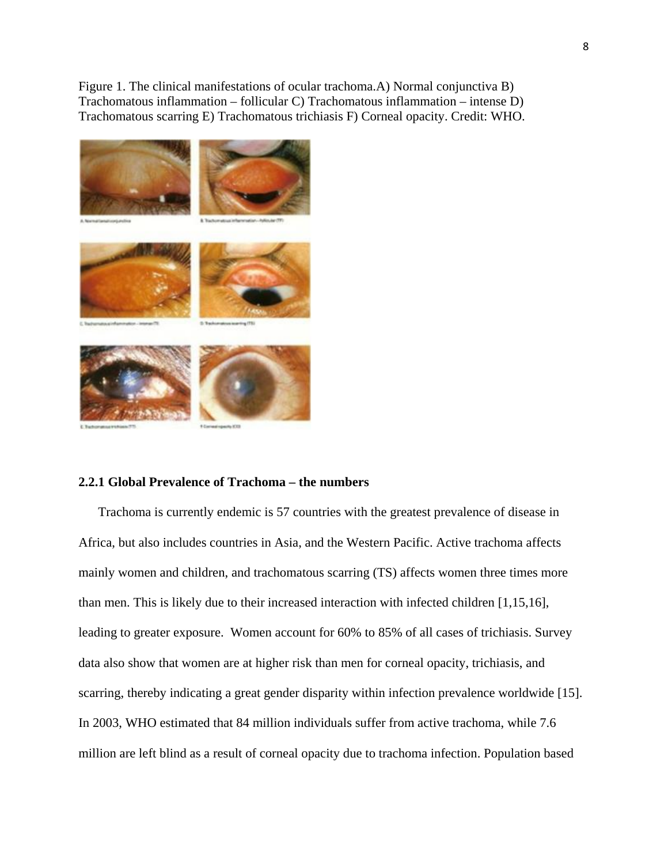Figure 1. The clinical manifestations of ocular trachoma.A) Normal conjunctiva B) Trachomatous inflammation – follicular C) Trachomatous inflammation – intense D) Trachomatous scarring E) Trachomatous trichiasis F) Corneal opacity. Credit: WHO.



## **2.2.1 Global Prevalence of Trachoma – the numbers**

Trachoma is currently endemic is 57 countries with the greatest prevalence of disease in Africa, but also includes countries in Asia, and the Western Pacific. Active trachoma affects mainly women and children, and trachomatous scarring (TS) affects women three times more than men. This is likely due to their increased interaction with infected children [\[1](#page-69-0)[,15](#page-69-14)[,16\]](#page-69-15), leading to greater exposure. Women account for 60% to 85% of all cases of trichiasis. Survey data also show that women are at higher risk than men for corneal opacity, trichiasis, and scarring, thereby indicating a great gender disparity within infection prevalence worldwide [\[15\]](#page-69-14). In 2003, WHO estimated that 84 million individuals suffer from active trachoma, while 7.6 million are left blind as a result of corneal opacity due to trachoma infection. Population based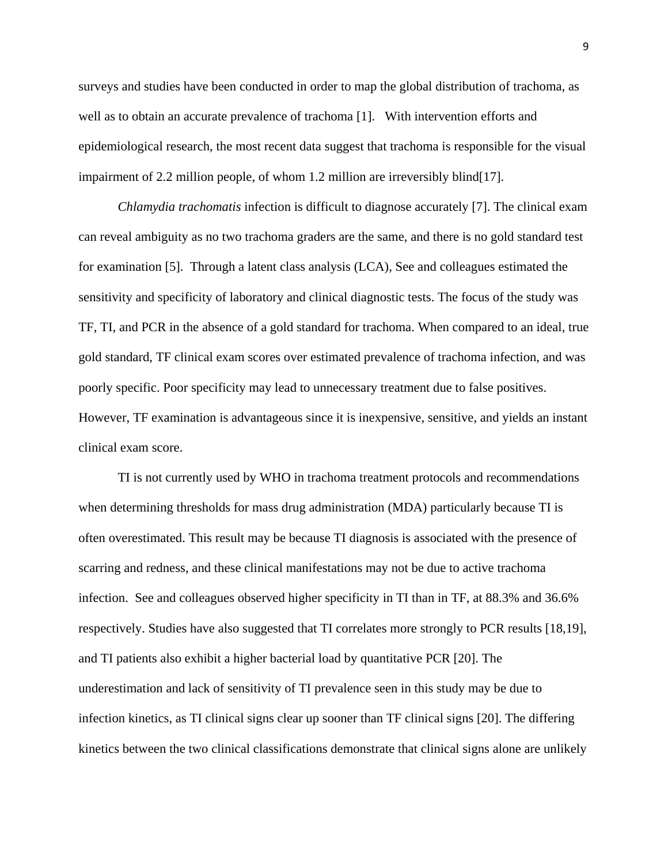surveys and studies have been conducted in order to map the global distribution of trachoma, as well as to obtain an accurate prevalence of trachoma [\[1\]](#page-69-0). With intervention efforts and epidemiological research, the most recent data suggest that trachoma is responsible for the visual impairment of 2.2 million people, of whom 1.2 million are irreversibly blind[\[17\]](#page-69-16).

*Chlamydia trachomatis* infection is difficult to diagnose accurately [\[7\]](#page-69-6). The clinical exam can reveal ambiguity as no two trachoma graders are the same, and there is no gold standard test for examination [\[5\]](#page-69-4). Through a latent class analysis (LCA), See and colleagues estimated the sensitivity and specificity of laboratory and clinical diagnostic tests. The focus of the study was TF, TI, and PCR in the absence of a gold standard for trachoma. When compared to an ideal, true gold standard, TF clinical exam scores over estimated prevalence of trachoma infection, and was poorly specific. Poor specificity may lead to unnecessary treatment due to false positives. However, TF examination is advantageous since it is inexpensive, sensitive, and yields an instant clinical exam score.

TI is not currently used by WHO in trachoma treatment protocols and recommendations when determining thresholds for mass drug administration (MDA) particularly because TI is often overestimated. This result may be because TI diagnosis is associated with the presence of scarring and redness, and these clinical manifestations may not be due to active trachoma infection. See and colleagues observed higher specificity in TI than in TF, at 88.3% and 36.6% respectively. Studies have also suggested that TI correlates more strongly to PCR results [\[18,](#page-69-17)[19\]](#page-69-18), and TI patients also exhibit a higher bacterial load by quantitative PCR [\[20\]](#page-70-0). The underestimation and lack of sensitivity of TI prevalence seen in this study may be due to infection kinetics, as TI clinical signs clear up sooner than TF clinical signs [\[20\]](#page-70-0). The differing kinetics between the two clinical classifications demonstrate that clinical signs alone are unlikely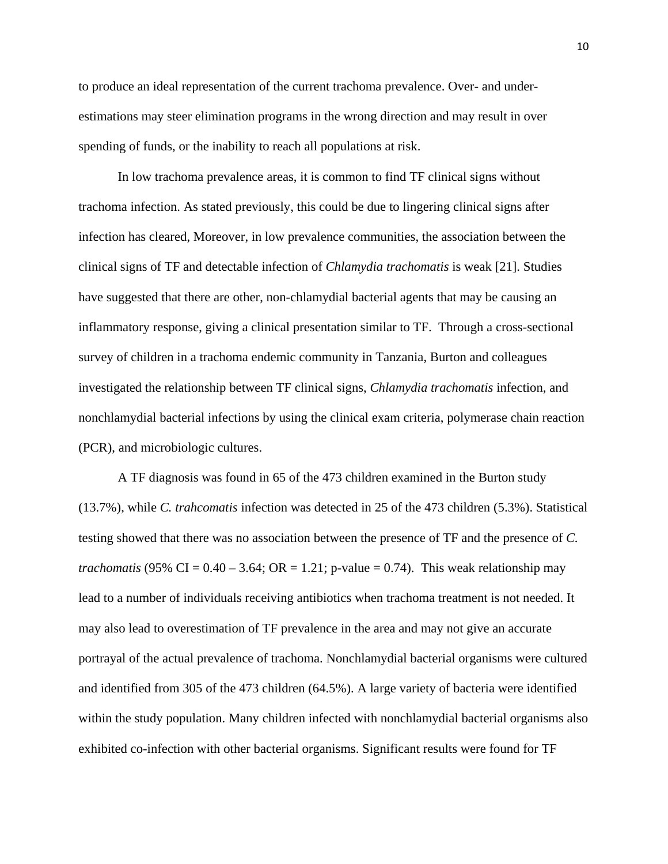to produce an ideal representation of the current trachoma prevalence. Over- and underestimations may steer elimination programs in the wrong direction and may result in over spending of funds, or the inability to reach all populations at risk.

In low trachoma prevalence areas, it is common to find TF clinical signs without trachoma infection. As stated previously, this could be due to lingering clinical signs after infection has cleared, Moreover, in low prevalence communities, the association between the clinical signs of TF and detectable infection of *Chlamydia trachomatis* is weak [\[21\]](#page-70-1). Studies have suggested that there are other, non-chlamydial bacterial agents that may be causing an inflammatory response, giving a clinical presentation similar to TF. Through a cross-sectional survey of children in a trachoma endemic community in Tanzania, Burton and colleagues investigated the relationship between TF clinical signs, *Chlamydia trachomatis* infection, and nonchlamydial bacterial infections by using the clinical exam criteria, polymerase chain reaction (PCR), and microbiologic cultures.

A TF diagnosis was found in 65 of the 473 children examined in the Burton study (13.7%), while *C. trahcomatis* infection was detected in 25 of the 473 children (5.3%). Statistical testing showed that there was no association between the presence of TF and the presence of *C. trachomatis* (95% CI =  $0.40 - 3.64$ ; OR = 1.21; p-value = 0.74). This weak relationship may lead to a number of individuals receiving antibiotics when trachoma treatment is not needed. It may also lead to overestimation of TF prevalence in the area and may not give an accurate portrayal of the actual prevalence of trachoma. Nonchlamydial bacterial organisms were cultured and identified from 305 of the 473 children (64.5%). A large variety of bacteria were identified within the study population. Many children infected with nonchlamydial bacterial organisms also exhibited co-infection with other bacterial organisms. Significant results were found for TF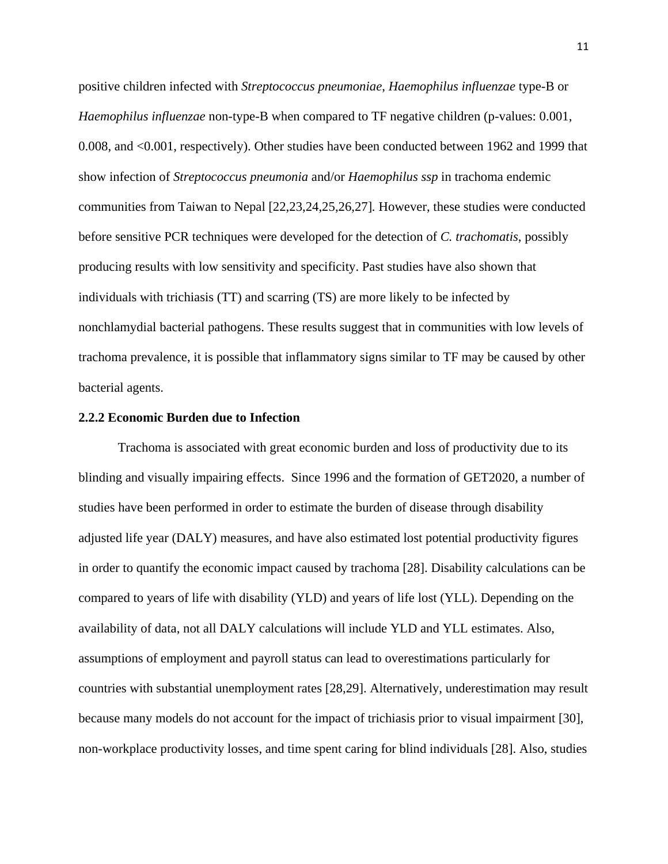positive children infected with *Streptococcus pneumoniae*, *Haemophilus influenzae* type-B or *Haemophilus influenzae* non-type-B when compared to TF negative children (p-values: 0.001, 0.008, and <0.001, respectively). Other studies have been conducted between 1962 and 1999 that show infection of *Streptococcus pneumonia* and/or *Haemophilus ssp* in trachoma endemic communities from Taiwan to Nepal [\[22,](#page-70-2)[23,](#page-70-3)[24,](#page-70-4)[25,](#page-70-5)[26,](#page-70-6)[27\]](#page-70-7)*.* However, these studies were conducted before sensitive PCR techniques were developed for the detection of *C. trachomatis*, possibly producing results with low sensitivity and specificity. Past studies have also shown that individuals with trichiasis (TT) and scarring (TS) are more likely to be infected by nonchlamydial bacterial pathogens. These results suggest that in communities with low levels of trachoma prevalence, it is possible that inflammatory signs similar to TF may be caused by other bacterial agents.

### **2.2.2 Economic Burden due to Infection**

Trachoma is associated with great economic burden and loss of productivity due to its blinding and visually impairing effects. Since 1996 and the formation of GET2020, a number of studies have been performed in order to estimate the burden of disease through disability adjusted life year (DALY) measures, and have also estimated lost potential productivity figures in order to quantify the economic impact caused by trachoma [\[28\]](#page-70-8). Disability calculations can be compared to years of life with disability (YLD) and years of life lost (YLL). Depending on the availability of data, not all DALY calculations will include YLD and YLL estimates. Also, assumptions of employment and payroll status can lead to overestimations particularly for countries with substantial unemployment rates [\[28,](#page-70-8)[29\]](#page-70-9). Alternatively, underestimation may result because many models do not account for the impact of trichiasis prior to visual impairment [\[30\]](#page-70-10), non-workplace productivity losses, and time spent caring for blind individuals [\[28\]](#page-70-8). Also, studies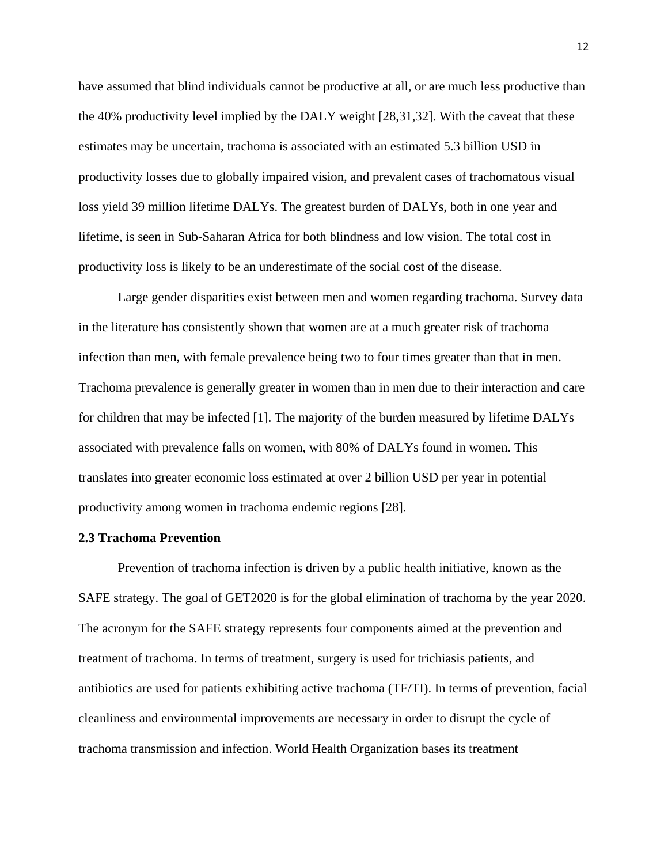have assumed that blind individuals cannot be productive at all, or are much less productive than the 40% productivity level implied by the DALY weight [\[28,](#page-70-8)[31,](#page-70-11)[32\]](#page-70-12). With the caveat that these estimates may be uncertain, trachoma is associated with an estimated 5.3 billion USD in productivity losses due to globally impaired vision, and prevalent cases of trachomatous visual loss yield 39 million lifetime DALYs. The greatest burden of DALYs, both in one year and lifetime, is seen in Sub-Saharan Africa for both blindness and low vision. The total cost in productivity loss is likely to be an underestimate of the social cost of the disease.

Large gender disparities exist between men and women regarding trachoma. Survey data in the literature has consistently shown that women are at a much greater risk of trachoma infection than men, with female prevalence being two to four times greater than that in men. Trachoma prevalence is generally greater in women than in men due to their interaction and care for children that may be infected [\[1\]](#page-69-0). The majority of the burden measured by lifetime DALYs associated with prevalence falls on women, with 80% of DALYs found in women. This translates into greater economic loss estimated at over 2 billion USD per year in potential productivity among women in trachoma endemic regions [\[28\]](#page-70-8).

## **2.3 Trachoma Prevention**

Prevention of trachoma infection is driven by a public health initiative, known as the SAFE strategy. The goal of GET2020 is for the global elimination of trachoma by the year 2020. The acronym for the SAFE strategy represents four components aimed at the prevention and treatment of trachoma. In terms of treatment, surgery is used for trichiasis patients, and antibiotics are used for patients exhibiting active trachoma (TF/TI). In terms of prevention, facial cleanliness and environmental improvements are necessary in order to disrupt the cycle of trachoma transmission and infection. World Health Organization bases its treatment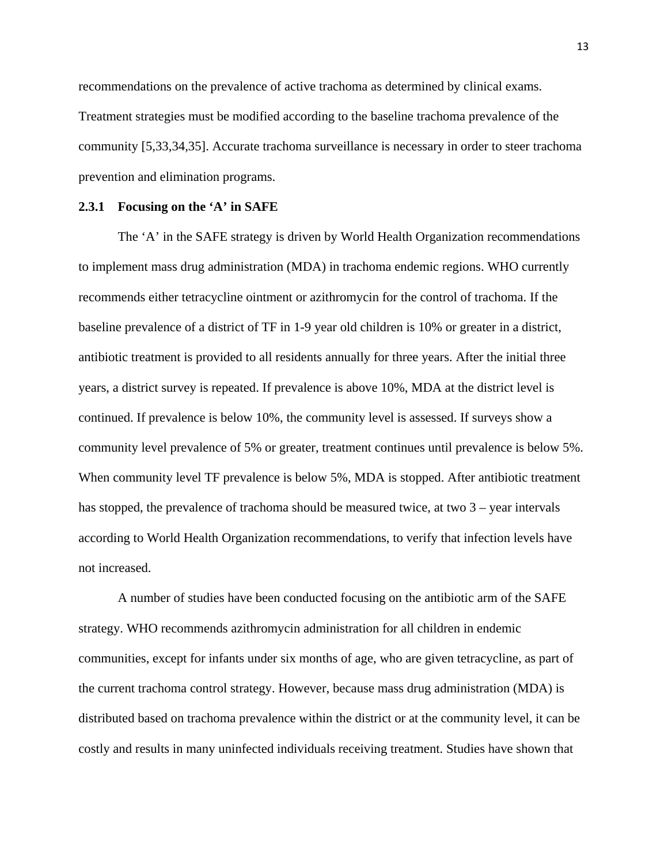recommendations on the prevalence of active trachoma as determined by clinical exams. Treatment strategies must be modified according to the baseline trachoma prevalence of the community [\[5](#page-69-4)[,33](#page-70-13)[,34](#page-70-14)[,35\]](#page-70-15). Accurate trachoma surveillance is necessary in order to steer trachoma prevention and elimination programs.

#### **2.3.1 Focusing on the 'A' in SAFE**

The 'A' in the SAFE strategy is driven by World Health Organization recommendations to implement mass drug administration (MDA) in trachoma endemic regions. WHO currently recommends either tetracycline ointment or azithromycin for the control of trachoma. If the baseline prevalence of a district of TF in 1-9 year old children is 10% or greater in a district, antibiotic treatment is provided to all residents annually for three years. After the initial three years, a district survey is repeated. If prevalence is above 10%, MDA at the district level is continued. If prevalence is below 10%, the community level is assessed. If surveys show a community level prevalence of 5% or greater, treatment continues until prevalence is below 5%. When community level TF prevalence is below 5%, MDA is stopped. After antibiotic treatment has stopped, the prevalence of trachoma should be measured twice, at two 3 – year intervals according to World Health Organization recommendations, to verify that infection levels have not increased.

A number of studies have been conducted focusing on the antibiotic arm of the SAFE strategy. WHO recommends azithromycin administration for all children in endemic communities, except for infants under six months of age, who are given tetracycline, as part of the current trachoma control strategy. However, because mass drug administration (MDA) is distributed based on trachoma prevalence within the district or at the community level, it can be costly and results in many uninfected individuals receiving treatment. Studies have shown that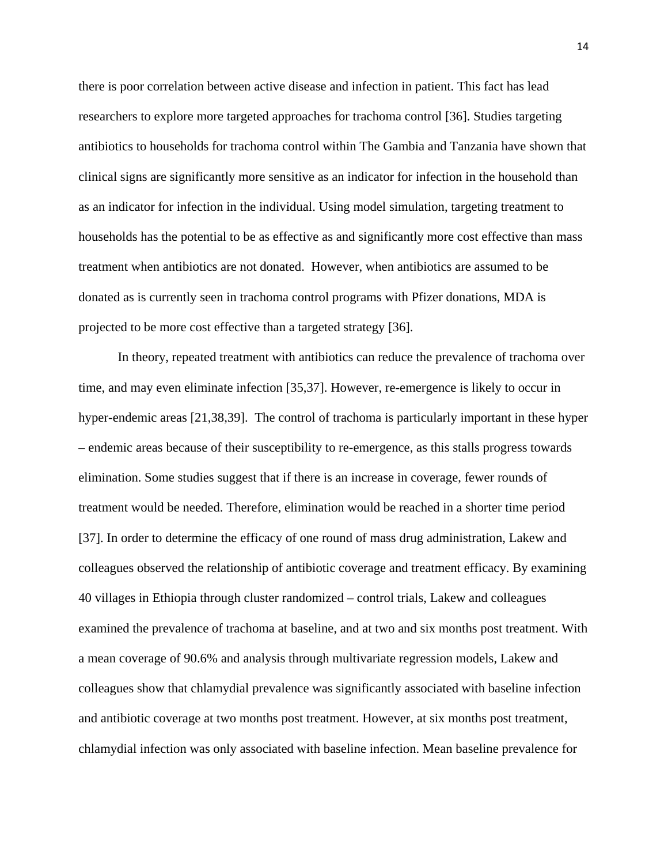there is poor correlation between active disease and infection in patient. This fact has lead researchers to explore more targeted approaches for trachoma control [\[36\]](#page-70-16). Studies targeting antibiotics to households for trachoma control within The Gambia and Tanzania have shown that clinical signs are significantly more sensitive as an indicator for infection in the household than as an indicator for infection in the individual. Using model simulation, targeting treatment to households has the potential to be as effective as and significantly more cost effective than mass treatment when antibiotics are not donated. However, when antibiotics are assumed to be donated as is currently seen in trachoma control programs with Pfizer donations, MDA is projected to be more cost effective than a targeted strategy [\[36\]](#page-70-16).

In theory, repeated treatment with antibiotics can reduce the prevalence of trachoma over time, and may even eliminate infection [\[35,](#page-70-15)[37\]](#page-70-17). However, re-emergence is likely to occur in hyper-endemic areas [\[21](#page-70-1)[,38](#page-70-18)[,39\]](#page-70-19). The control of trachoma is particularly important in these hyper – endemic areas because of their susceptibility to re-emergence, as this stalls progress towards elimination. Some studies suggest that if there is an increase in coverage, fewer rounds of treatment would be needed. Therefore, elimination would be reached in a shorter time period [37]. In order to determine the efficacy of one round of mass drug administration, Lakew and colleagues observed the relationship of antibiotic coverage and treatment efficacy. By examining 40 villages in Ethiopia through cluster randomized – control trials, Lakew and colleagues examined the prevalence of trachoma at baseline, and at two and six months post treatment. With a mean coverage of 90.6% and analysis through multivariate regression models, Lakew and colleagues show that chlamydial prevalence was significantly associated with baseline infection and antibiotic coverage at two months post treatment. However, at six months post treatment, chlamydial infection was only associated with baseline infection. Mean baseline prevalence for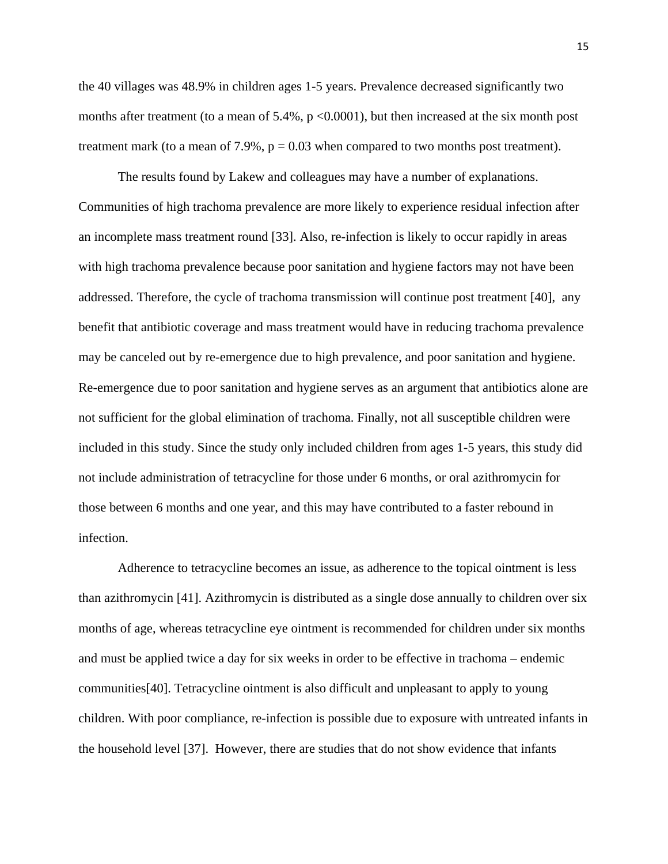the 40 villages was 48.9% in children ages 1-5 years. Prevalence decreased significantly two months after treatment (to a mean of  $5.4\%$ , p  $\lt 0.0001$ ), but then increased at the six month post treatment mark (to a mean of  $7.9\%$ ,  $p = 0.03$  when compared to two months post treatment).

The results found by Lakew and colleagues may have a number of explanations. Communities of high trachoma prevalence are more likely to experience residual infection after an incomplete mass treatment round [\[33\]](#page-70-13). Also, re-infection is likely to occur rapidly in areas with high trachoma prevalence because poor sanitation and hygiene factors may not have been addressed. Therefore, the cycle of trachoma transmission will continue post treatment [\[40\]](#page-71-0), any benefit that antibiotic coverage and mass treatment would have in reducing trachoma prevalence may be canceled out by re-emergence due to high prevalence, and poor sanitation and hygiene. Re-emergence due to poor sanitation and hygiene serves as an argument that antibiotics alone are not sufficient for the global elimination of trachoma. Finally, not all susceptible children were included in this study. Since the study only included children from ages 1-5 years, this study did not include administration of tetracycline for those under 6 months, or oral azithromycin for those between 6 months and one year, and this may have contributed to a faster rebound in infection.

Adherence to tetracycline becomes an issue, as adherence to the topical ointment is less than azithromycin [\[41\]](#page-71-1). Azithromycin is distributed as a single dose annually to children over six months of age, whereas tetracycline eye ointment is recommended for children under six months and must be applied twice a day for six weeks in order to be effective in trachoma – endemic communities[\[40\]](#page-71-0). Tetracycline ointment is also difficult and unpleasant to apply to young children. With poor compliance, re-infection is possible due to exposure with untreated infants in the household level [\[37\]](#page-70-17). However, there are studies that do not show evidence that infants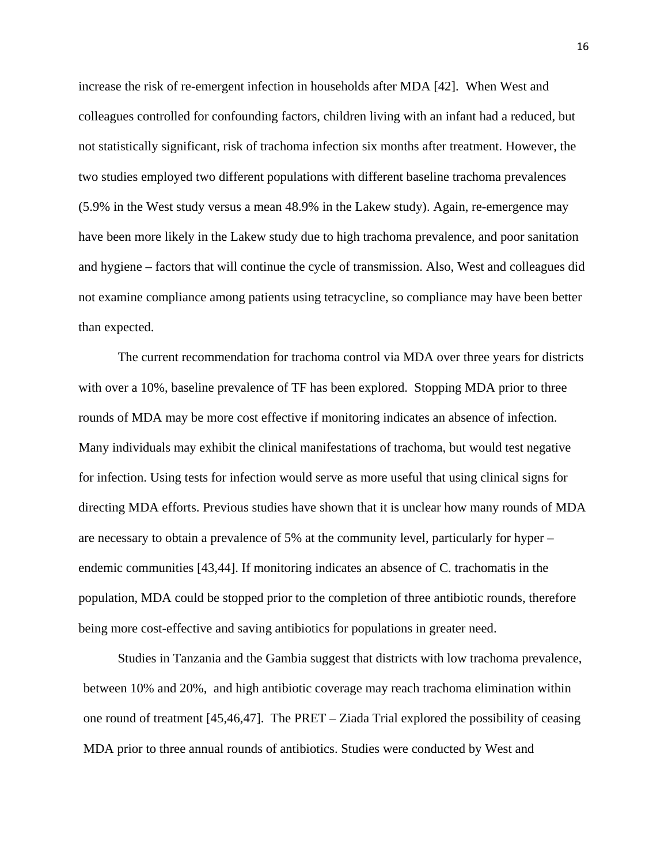increase the risk of re-emergent infection in households after MDA [\[42\]](#page-71-2). When West and colleagues controlled for confounding factors, children living with an infant had a reduced, but not statistically significant, risk of trachoma infection six months after treatment. However, the two studies employed two different populations with different baseline trachoma prevalences (5.9% in the West study versus a mean 48.9% in the Lakew study). Again, re-emergence may have been more likely in the Lakew study due to high trachoma prevalence, and poor sanitation and hygiene – factors that will continue the cycle of transmission. Also, West and colleagues did not examine compliance among patients using tetracycline, so compliance may have been better than expected.

The current recommendation for trachoma control via MDA over three years for districts with over a 10%, baseline prevalence of TF has been explored. Stopping MDA prior to three rounds of MDA may be more cost effective if monitoring indicates an absence of infection. Many individuals may exhibit the clinical manifestations of trachoma, but would test negative for infection. Using tests for infection would serve as more useful that using clinical signs for directing MDA efforts. Previous studies have shown that it is unclear how many rounds of MDA are necessary to obtain a prevalence of 5% at the community level, particularly for hyper – endemic communities [\[43](#page-71-3)[,44\]](#page-71-4). If monitoring indicates an absence of C. trachomatis in the population, MDA could be stopped prior to the completion of three antibiotic rounds, therefore being more cost-effective and saving antibiotics for populations in greater need.

Studies in Tanzania and the Gambia suggest that districts with low trachoma prevalence, between 10% and 20%, and high antibiotic coverage may reach trachoma elimination within one round of treatment [\[45](#page-71-5)[,46](#page-71-6)[,47\]](#page-71-7). The PRET – Ziada Trial explored the possibility of ceasing MDA prior to three annual rounds of antibiotics. Studies were conducted by West and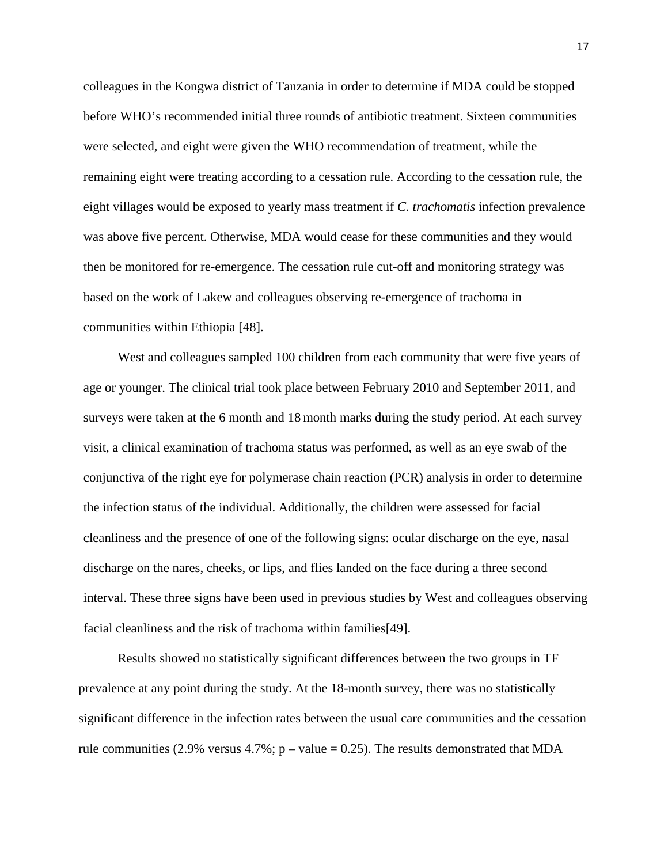colleagues in the Kongwa district of Tanzania in order to determine if MDA could be stopped before WHO's recommended initial three rounds of antibiotic treatment. Sixteen communities were selected, and eight were given the WHO recommendation of treatment, while the remaining eight were treating according to a cessation rule. According to the cessation rule, the eight villages would be exposed to yearly mass treatment if *C. trachomatis* infection prevalence was above five percent. Otherwise, MDA would cease for these communities and they would then be monitored for re-emergence. The cessation rule cut-off and monitoring strategy was based on the work of Lakew and colleagues observing re-emergence of trachoma in communities within Ethiopia [\[48\]](#page-71-8).

West and colleagues sampled 100 children from each community that were five years of age or younger. The clinical trial took place between February 2010 and September 2011, and surveys were taken at the 6 month and 18 month marks during the study period. At each survey visit, a clinical examination of trachoma status was performed, as well as an eye swab of the conjunctiva of the right eye for polymerase chain reaction (PCR) analysis in order to determine the infection status of the individual. Additionally, the children were assessed for facial cleanliness and the presence of one of the following signs: ocular discharge on the eye, nasal discharge on the nares, cheeks, or lips, and flies landed on the face during a three second interval. These three signs have been used in previous studies by West and colleagues observing facial cleanliness and the risk of trachoma within families[\[49\]](#page-71-9).

Results showed no statistically significant differences between the two groups in TF prevalence at any point during the study. At the 18-month survey, there was no statistically significant difference in the infection rates between the usual care communities and the cessation rule communities (2.9% versus 4.7%;  $p - value = 0.25$ ). The results demonstrated that MDA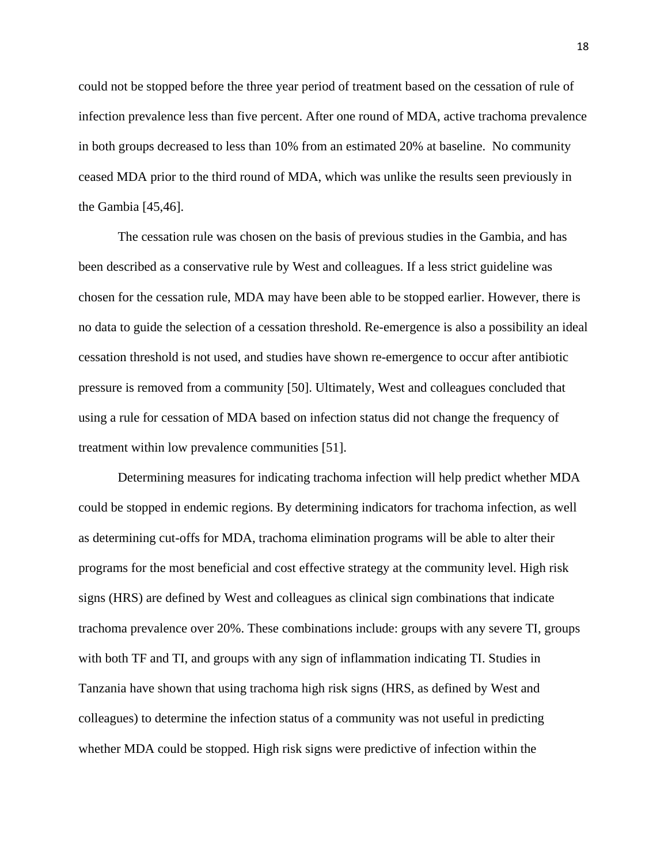could not be stopped before the three year period of treatment based on the cessation of rule of infection prevalence less than five percent. After one round of MDA, active trachoma prevalence in both groups decreased to less than 10% from an estimated 20% at baseline. No community ceased MDA prior to the third round of MDA, which was unlike the results seen previously in the Gambia [\[45](#page-71-5)[,46\]](#page-71-6).

The cessation rule was chosen on the basis of previous studies in the Gambia, and has been described as a conservative rule by West and colleagues. If a less strict guideline was chosen for the cessation rule, MDA may have been able to be stopped earlier. However, there is no data to guide the selection of a cessation threshold. Re-emergence is also a possibility an ideal cessation threshold is not used, and studies have shown re-emergence to occur after antibiotic pressure is removed from a community [\[50\]](#page-71-10). Ultimately, West and colleagues concluded that using a rule for cessation of MDA based on infection status did not change the frequency of treatment within low prevalence communities [\[51\]](#page-71-11).

Determining measures for indicating trachoma infection will help predict whether MDA could be stopped in endemic regions. By determining indicators for trachoma infection, as well as determining cut-offs for MDA, trachoma elimination programs will be able to alter their programs for the most beneficial and cost effective strategy at the community level. High risk signs (HRS) are defined by West and colleagues as clinical sign combinations that indicate trachoma prevalence over 20%. These combinations include: groups with any severe TI, groups with both TF and TI, and groups with any sign of inflammation indicating TI. Studies in Tanzania have shown that using trachoma high risk signs (HRS, as defined by West and colleagues) to determine the infection status of a community was not useful in predicting whether MDA could be stopped. High risk signs were predictive of infection within the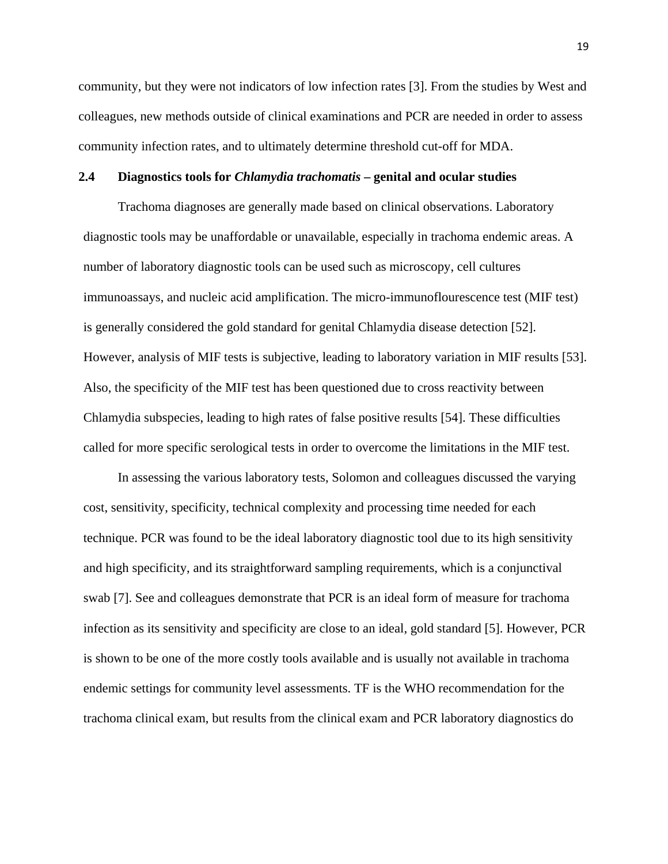community, but they were not indicators of low infection rates [\[3\]](#page-69-2). From the studies by West and colleagues, new methods outside of clinical examinations and PCR are needed in order to assess community infection rates, and to ultimately determine threshold cut-off for MDA.

## **2.4 Diagnostics tools for** *Chlamydia trachomatis* **– genital and ocular studies**

Trachoma diagnoses are generally made based on clinical observations. Laboratory diagnostic tools may be unaffordable or unavailable, especially in trachoma endemic areas. A number of laboratory diagnostic tools can be used such as microscopy, cell cultures immunoassays, and nucleic acid amplification. The micro-immunoflourescence test (MIF test) is generally considered the gold standard for genital Chlamydia disease detection [\[52\]](#page-71-12). However, analysis of MIF tests is subjective, leading to laboratory variation in MIF results [\[53\]](#page-71-13). Also, the specificity of the MIF test has been questioned due to cross reactivity between Chlamydia subspecies, leading to high rates of false positive results [\[54\]](#page-71-14). These difficulties called for more specific serological tests in order to overcome the limitations in the MIF test.

In assessing the various laboratory tests, Solomon and colleagues discussed the varying cost, sensitivity, specificity, technical complexity and processing time needed for each technique. PCR was found to be the ideal laboratory diagnostic tool due to its high sensitivity and high specificity, and its straightforward sampling requirements, which is a conjunctival swab [\[7\]](#page-69-6). See and colleagues demonstrate that PCR is an ideal form of measure for trachoma infection as its sensitivity and specificity are close to an ideal, gold standard [\[5\]](#page-69-4). However, PCR is shown to be one of the more costly tools available and is usually not available in trachoma endemic settings for community level assessments. TF is the WHO recommendation for the trachoma clinical exam, but results from the clinical exam and PCR laboratory diagnostics do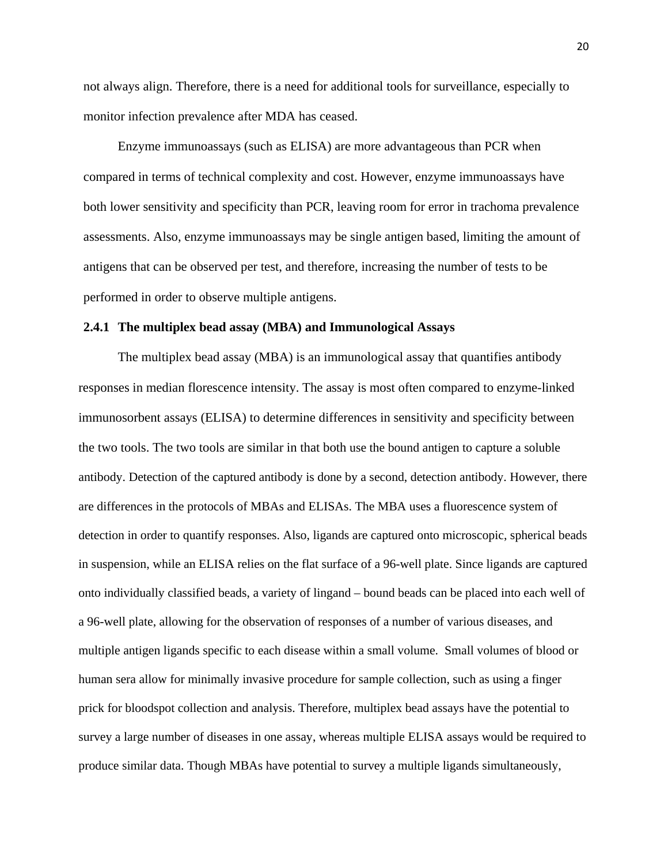not always align. Therefore, there is a need for additional tools for surveillance, especially to monitor infection prevalence after MDA has ceased.

Enzyme immunoassays (such as ELISA) are more advantageous than PCR when compared in terms of technical complexity and cost. However, enzyme immunoassays have both lower sensitivity and specificity than PCR, leaving room for error in trachoma prevalence assessments. Also, enzyme immunoassays may be single antigen based, limiting the amount of antigens that can be observed per test, and therefore, increasing the number of tests to be performed in order to observe multiple antigens.

#### **2.4.1 The multiplex bead assay (MBA) and Immunological Assays**

The multiplex bead assay (MBA) is an immunological assay that quantifies antibody responses in median florescence intensity. The assay is most often compared to enzyme-linked immunosorbent assays (ELISA) to determine differences in sensitivity and specificity between the two tools. The two tools are similar in that both use the bound antigen to capture a soluble antibody. Detection of the captured antibody is done by a second, detection antibody. However, there are differences in the protocols of MBAs and ELISAs. The MBA uses a fluorescence system of detection in order to quantify responses. Also, ligands are captured onto microscopic, spherical beads in suspension, while an ELISA relies on the flat surface of a 96-well plate. Since ligands are captured onto individually classified beads, a variety of lingand – bound beads can be placed into each well of a 96-well plate, allowing for the observation of responses of a number of various diseases, and multiple antigen ligands specific to each disease within a small volume. Small volumes of blood or human sera allow for minimally invasive procedure for sample collection, such as using a finger prick for bloodspot collection and analysis. Therefore, multiplex bead assays have the potential to survey a large number of diseases in one assay, whereas multiple ELISA assays would be required to produce similar data. Though MBAs have potential to survey a multiple ligands simultaneously,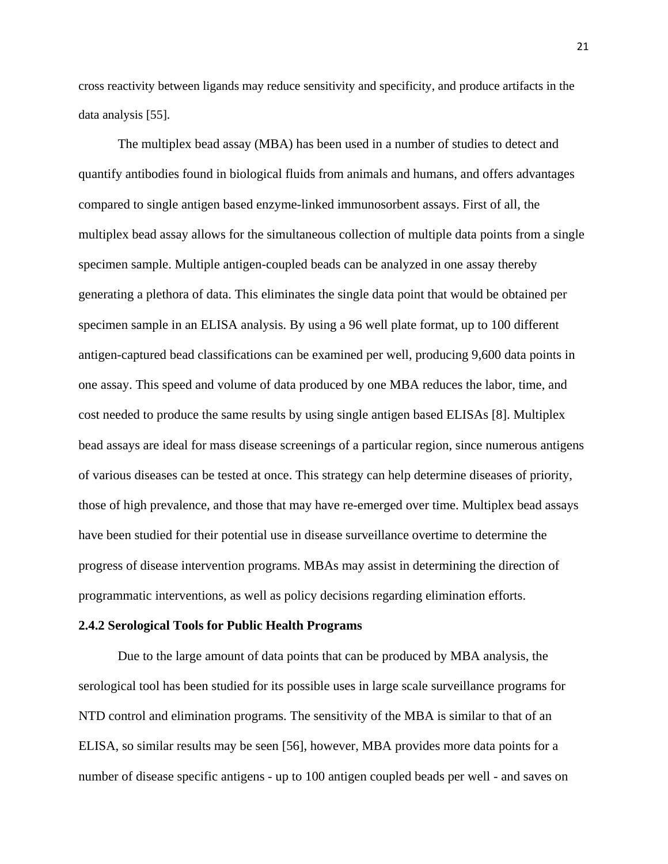cross reactivity between ligands may reduce sensitivity and specificity, and produce artifacts in the data analysis [\[55\]](#page-71-15).

The multiplex bead assay (MBA) has been used in a number of studies to detect and quantify antibodies found in biological fluids from animals and humans, and offers advantages compared to single antigen based enzyme-linked immunosorbent assays. First of all, the multiplex bead assay allows for the simultaneous collection of multiple data points from a single specimen sample. Multiple antigen-coupled beads can be analyzed in one assay thereby generating a plethora of data. This eliminates the single data point that would be obtained per specimen sample in an ELISA analysis. By using a 96 well plate format, up to 100 different antigen-captured bead classifications can be examined per well, producing 9,600 data points in one assay. This speed and volume of data produced by one MBA reduces the labor, time, and cost needed to produce the same results by using single antigen based ELISAs [\[8\]](#page-69-7). Multiplex bead assays are ideal for mass disease screenings of a particular region, since numerous antigens of various diseases can be tested at once. This strategy can help determine diseases of priority, those of high prevalence, and those that may have re-emerged over time. Multiplex bead assays have been studied for their potential use in disease surveillance overtime to determine the progress of disease intervention programs. MBAs may assist in determining the direction of programmatic interventions, as well as policy decisions regarding elimination efforts.

#### **2.4.2 Serological Tools for Public Health Programs**

Due to the large amount of data points that can be produced by MBA analysis, the serological tool has been studied for its possible uses in large scale surveillance programs for NTD control and elimination programs. The sensitivity of the MBA is similar to that of an ELISA, so similar results may be seen [\[56\]](#page-71-16), however, MBA provides more data points for a number of disease specific antigens - up to 100 antigen coupled beads per well - and saves on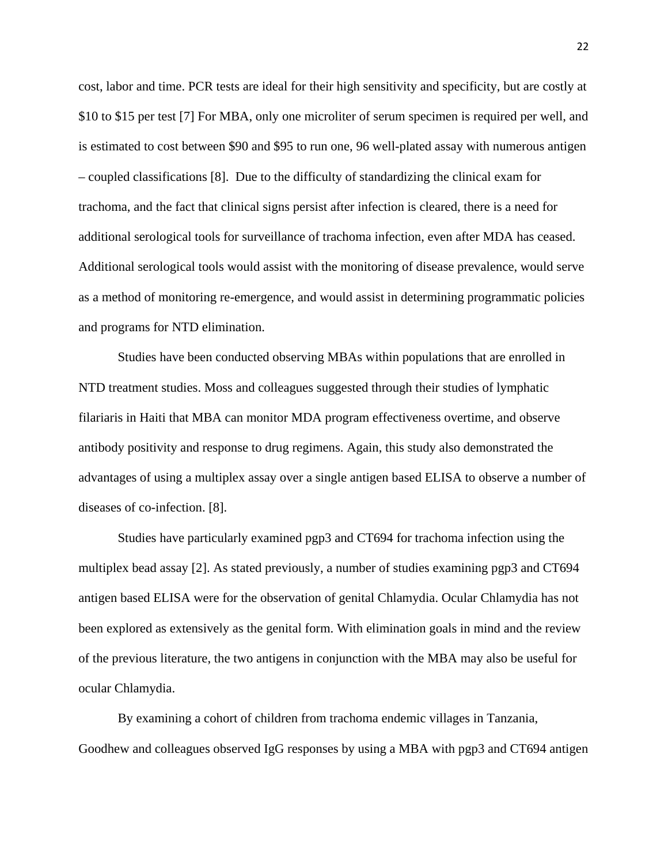cost, labor and time. PCR tests are ideal for their high sensitivity and specificity, but are costly at \$10 to \$15 per test [\[7\]](#page-69-6) For MBA, only one microliter of serum specimen is required per well, and is estimated to cost between \$90 and \$95 to run one, 96 well-plated assay with numerous antigen – coupled classifications [\[8\]](#page-69-7). Due to the difficulty of standardizing the clinical exam for trachoma, and the fact that clinical signs persist after infection is cleared, there is a need for additional serological tools for surveillance of trachoma infection, even after MDA has ceased. Additional serological tools would assist with the monitoring of disease prevalence, would serve as a method of monitoring re-emergence, and would assist in determining programmatic policies and programs for NTD elimination.

Studies have been conducted observing MBAs within populations that are enrolled in NTD treatment studies. Moss and colleagues suggested through their studies of lymphatic filariaris in Haiti that MBA can monitor MDA program effectiveness overtime, and observe antibody positivity and response to drug regimens. Again, this study also demonstrated the advantages of using a multiplex assay over a single antigen based ELISA to observe a number of diseases of co-infection. [\[8\]](#page-69-7).

Studies have particularly examined pgp3 and CT694 for trachoma infection using the multiplex bead assay [\[2\]](#page-69-1). As stated previously, a number of studies examining pgp3 and CT694 antigen based ELISA were for the observation of genital Chlamydia. Ocular Chlamydia has not been explored as extensively as the genital form. With elimination goals in mind and the review of the previous literature, the two antigens in conjunction with the MBA may also be useful for ocular Chlamydia.

By examining a cohort of children from trachoma endemic villages in Tanzania, Goodhew and colleagues observed IgG responses by using a MBA with pgp3 and CT694 antigen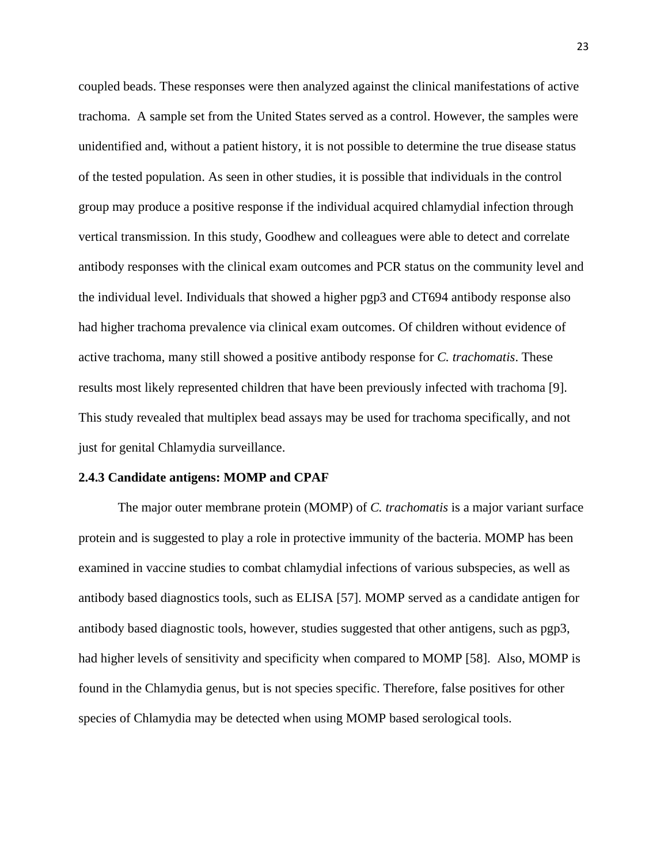coupled beads. These responses were then analyzed against the clinical manifestations of active trachoma. A sample set from the United States served as a control. However, the samples were unidentified and, without a patient history, it is not possible to determine the true disease status of the tested population. As seen in other studies, it is possible that individuals in the control group may produce a positive response if the individual acquired chlamydial infection through vertical transmission. In this study, Goodhew and colleagues were able to detect and correlate antibody responses with the clinical exam outcomes and PCR status on the community level and the individual level. Individuals that showed a higher pgp3 and CT694 antibody response also had higher trachoma prevalence via clinical exam outcomes. Of children without evidence of active trachoma, many still showed a positive antibody response for *C. trachomatis*. These results most likely represented children that have been previously infected with trachoma [\[9\]](#page-69-8). This study revealed that multiplex bead assays may be used for trachoma specifically, and not just for genital Chlamydia surveillance.

#### **2.4.3 Candidate antigens: MOMP and CPAF**

The major outer membrane protein (MOMP) of *C. trachomatis* is a major variant surface protein and is suggested to play a role in protective immunity of the bacteria. MOMP has been examined in vaccine studies to combat chlamydial infections of various subspecies, as well as antibody based diagnostics tools, such as ELISA [\[57\]](#page-71-17). MOMP served as a candidate antigen for antibody based diagnostic tools, however, studies suggested that other antigens, such as pgp3, had higher levels of sensitivity and specificity when compared to MOMP [\[58\]](#page-72-0). Also, MOMP is found in the Chlamydia genus, but is not species specific. Therefore, false positives for other species of Chlamydia may be detected when using MOMP based serological tools.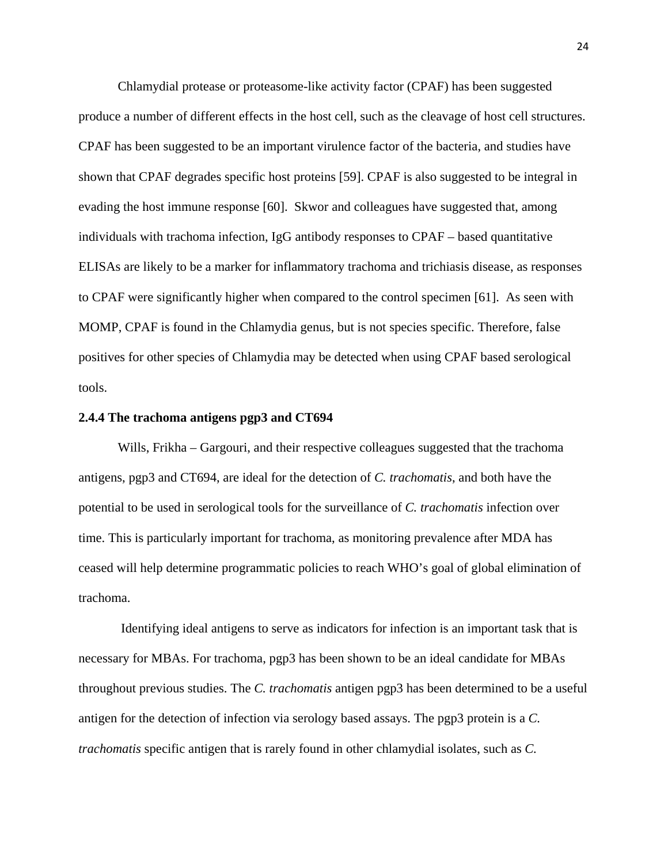Chlamydial protease or proteasome-like activity factor (CPAF) has been suggested produce a number of different effects in the host cell, such as the cleavage of host cell structures. CPAF has been suggested to be an important virulence factor of the bacteria, and studies have shown that CPAF degrades specific host proteins [\[59\]](#page-72-1). CPAF is also suggested to be integral in evading the host immune response [\[60\]](#page-72-2). Skwor and colleagues have suggested that, among individuals with trachoma infection, IgG antibody responses to CPAF – based quantitative ELISAs are likely to be a marker for inflammatory trachoma and trichiasis disease, as responses to CPAF were significantly higher when compared to the control specimen [\[61\]](#page-72-3). As seen with MOMP, CPAF is found in the Chlamydia genus, but is not species specific. Therefore, false positives for other species of Chlamydia may be detected when using CPAF based serological tools.

#### **2.4.4 The trachoma antigens pgp3 and CT694**

Wills, Frikha – Gargouri, and their respective colleagues suggested that the trachoma antigens, pgp3 and CT694, are ideal for the detection of *C. trachomatis*, and both have the potential to be used in serological tools for the surveillance of *C. trachomatis* infection over time. This is particularly important for trachoma, as monitoring prevalence after MDA has ceased will help determine programmatic policies to reach WHO's goal of global elimination of trachoma.

Identifying ideal antigens to serve as indicators for infection is an important task that is necessary for MBAs. For trachoma, pgp3 has been shown to be an ideal candidate for MBAs throughout previous studies. The *C. trachomatis* antigen pgp3 has been determined to be a useful antigen for the detection of infection via serology based assays. The pgp3 protein is a *C. trachomatis* specific antigen that is rarely found in other chlamydial isolates, such as *C.*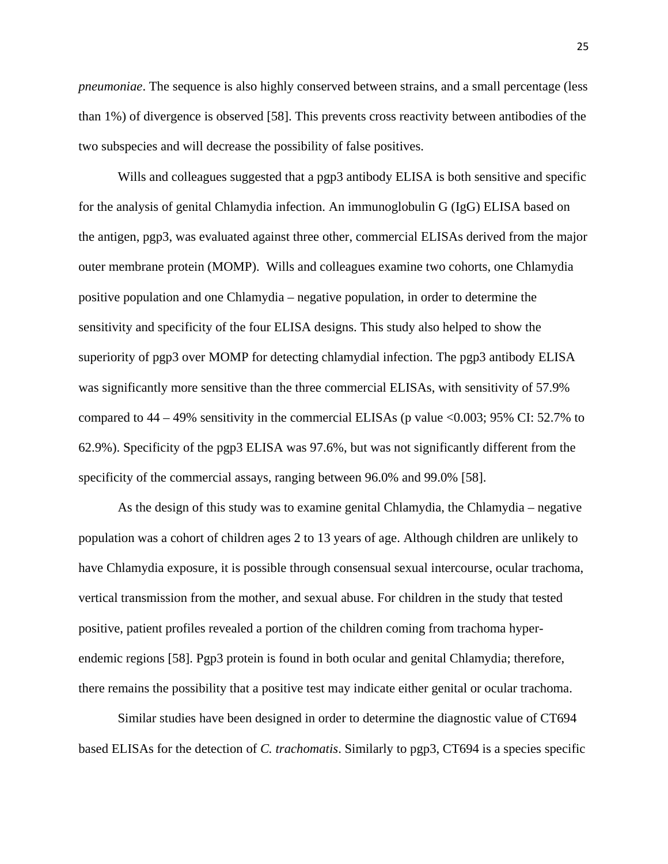*pneumoniae*. The sequence is also highly conserved between strains, and a small percentage (less than 1%) of divergence is observed [\[58\]](#page-72-0). This prevents cross reactivity between antibodies of the two subspecies and will decrease the possibility of false positives.

Wills and colleagues suggested that a pgp3 antibody ELISA is both sensitive and specific for the analysis of genital Chlamydia infection. An immunoglobulin G (IgG) ELISA based on the antigen, pgp3, was evaluated against three other, commercial ELISAs derived from the major outer membrane protein (MOMP). Wills and colleagues examine two cohorts, one Chlamydia positive population and one Chlamydia – negative population, in order to determine the sensitivity and specificity of the four ELISA designs. This study also helped to show the superiority of pgp3 over MOMP for detecting chlamydial infection. The pgp3 antibody ELISA was significantly more sensitive than the three commercial ELISAs, with sensitivity of 57.9% compared to  $44 - 49\%$  sensitivity in the commercial ELISAs (p value  $\leq 0.003$ ; 95% CI: 52.7% to 62.9%). Specificity of the pgp3 ELISA was 97.6%, but was not significantly different from the specificity of the commercial assays, ranging between 96.0% and 99.0% [\[58\]](#page-72-0).

As the design of this study was to examine genital Chlamydia, the Chlamydia – negative population was a cohort of children ages 2 to 13 years of age. Although children are unlikely to have Chlamydia exposure, it is possible through consensual sexual intercourse, ocular trachoma, vertical transmission from the mother, and sexual abuse. For children in the study that tested positive, patient profiles revealed a portion of the children coming from trachoma hyperendemic regions [\[58\]](#page-72-0). Pgp3 protein is found in both ocular and genital Chlamydia; therefore, there remains the possibility that a positive test may indicate either genital or ocular trachoma.

Similar studies have been designed in order to determine the diagnostic value of CT694 based ELISAs for the detection of *C. trachomatis*. Similarly to pgp3, CT694 is a species specific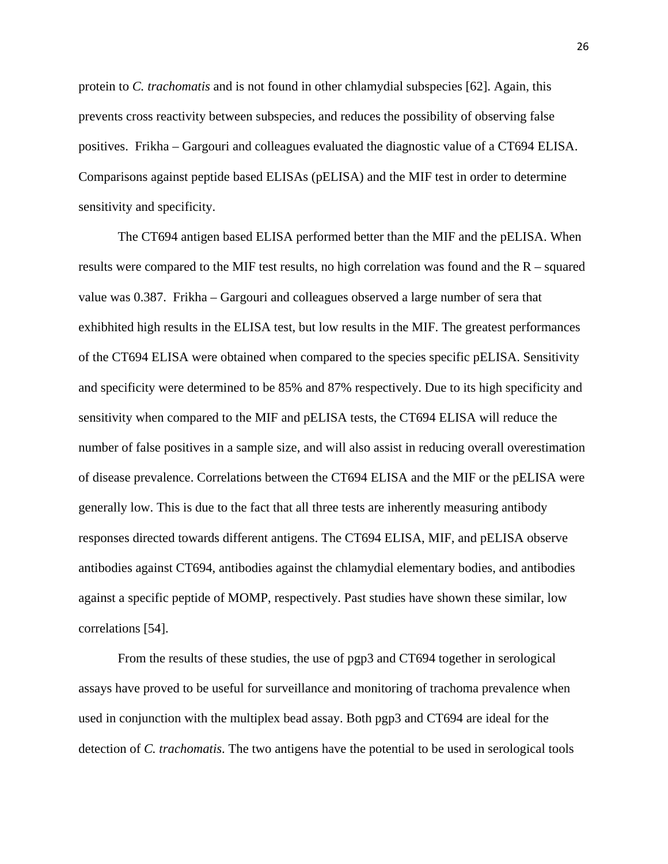protein to *C. trachomatis* and is not found in other chlamydial subspecies [\[62\]](#page-72-4). Again, this prevents cross reactivity between subspecies, and reduces the possibility of observing false positives. Frikha – Gargouri and colleagues evaluated the diagnostic value of a CT694 ELISA. Comparisons against peptide based ELISAs (pELISA) and the MIF test in order to determine sensitivity and specificity.

The CT694 antigen based ELISA performed better than the MIF and the pELISA. When results were compared to the MIF test results, no high correlation was found and the R – squared value was 0.387. Frikha – Gargouri and colleagues observed a large number of sera that exhibhited high results in the ELISA test, but low results in the MIF. The greatest performances of the CT694 ELISA were obtained when compared to the species specific pELISA. Sensitivity and specificity were determined to be 85% and 87% respectively. Due to its high specificity and sensitivity when compared to the MIF and pELISA tests, the CT694 ELISA will reduce the number of false positives in a sample size, and will also assist in reducing overall overestimation of disease prevalence. Correlations between the CT694 ELISA and the MIF or the pELISA were generally low. This is due to the fact that all three tests are inherently measuring antibody responses directed towards different antigens. The CT694 ELISA, MIF, and pELISA observe antibodies against CT694, antibodies against the chlamydial elementary bodies, and antibodies against a specific peptide of MOMP, respectively. Past studies have shown these similar, low correlations [\[54\]](#page-71-14).

From the results of these studies, the use of pgp3 and CT694 together in serological assays have proved to be useful for surveillance and monitoring of trachoma prevalence when used in conjunction with the multiplex bead assay. Both pgp3 and CT694 are ideal for the detection of *C. trachomatis*. The two antigens have the potential to be used in serological tools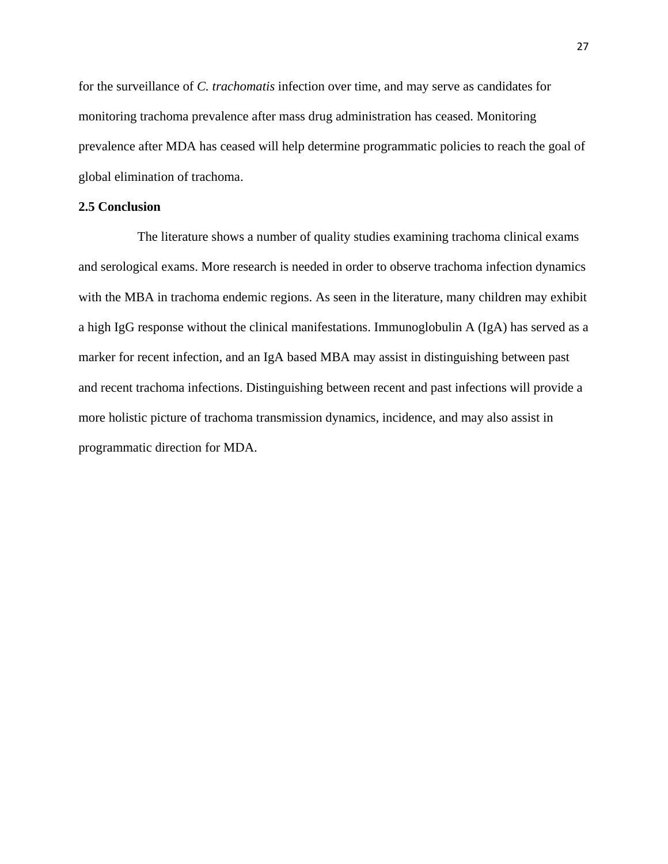for the surveillance of *C. trachomatis* infection over time, and may serve as candidates for monitoring trachoma prevalence after mass drug administration has ceased. Monitoring prevalence after MDA has ceased will help determine programmatic policies to reach the goal of global elimination of trachoma.

## **2.5 Conclusion**

The literature shows a number of quality studies examining trachoma clinical exams and serological exams. More research is needed in order to observe trachoma infection dynamics with the MBA in trachoma endemic regions. As seen in the literature, many children may exhibit a high IgG response without the clinical manifestations. Immunoglobulin A (IgA) has served as a marker for recent infection, and an IgA based MBA may assist in distinguishing between past and recent trachoma infections. Distinguishing between recent and past infections will provide a more holistic picture of trachoma transmission dynamics, incidence, and may also assist in programmatic direction for MDA.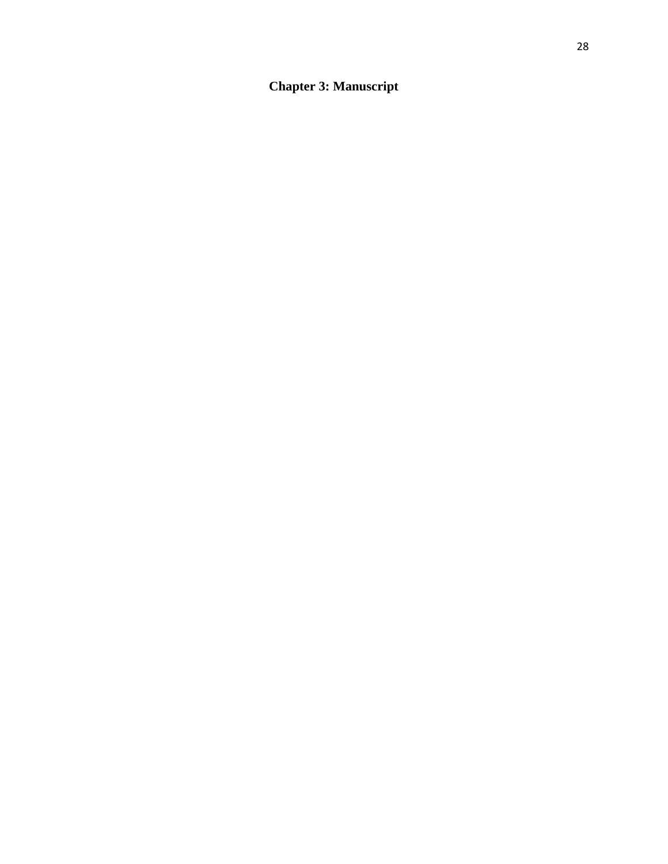**Chapter 3: Manuscript**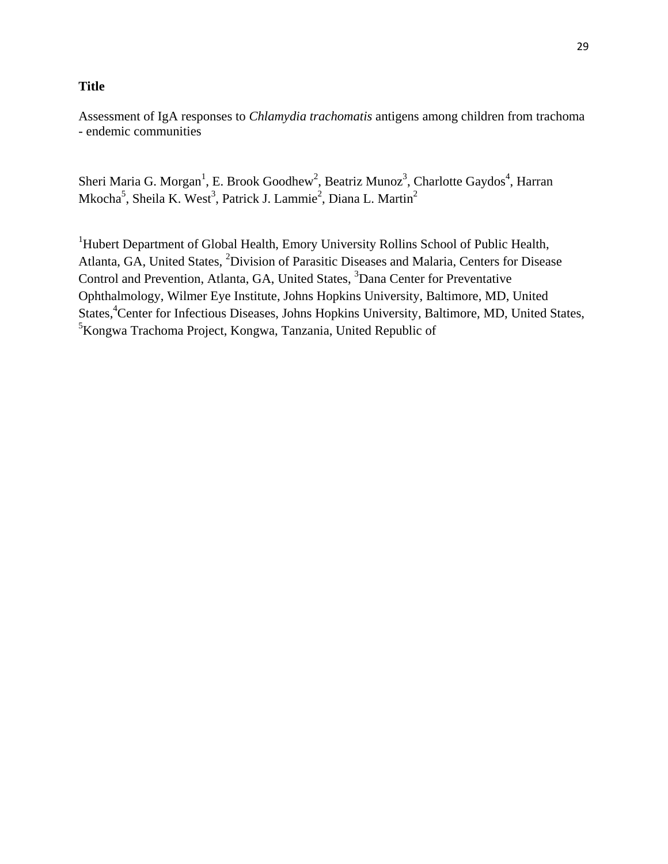## **Title**

Assessment of IgA responses to *Chlamydia trachomatis* antigens among children from trachoma - endemic communities

Sheri Maria G. Morgan<sup>1</sup>, E. Brook Goodhew<sup>2</sup>, Beatriz Munoz<sup>3</sup>, Charlotte Gaydos<sup>4</sup>, Harran Mkocha<sup>5</sup>, Sheila K. West<sup>3</sup>, Patrick J. Lammie<sup>2</sup>, Diana L. Martin<sup>2</sup>

<sup>1</sup>Hubert Department of Global Health, Emory University Rollins School of Public Health, Atlanta, GA, United States, <sup>2</sup>Division of Parasitic Diseases and Malaria, Centers for Disease Control and Prevention, Atlanta, GA, United States, <sup>3</sup>Dana Center for Preventative Ophthalmology, Wilmer Eye Institute, Johns Hopkins University, Baltimore, MD, United States,<sup>4</sup>Center for Infectious Diseases, Johns Hopkins University, Baltimore, MD, United States, <sup>5</sup>Kongwa Trachoma Project, Kongwa, Tanzania, United Republic of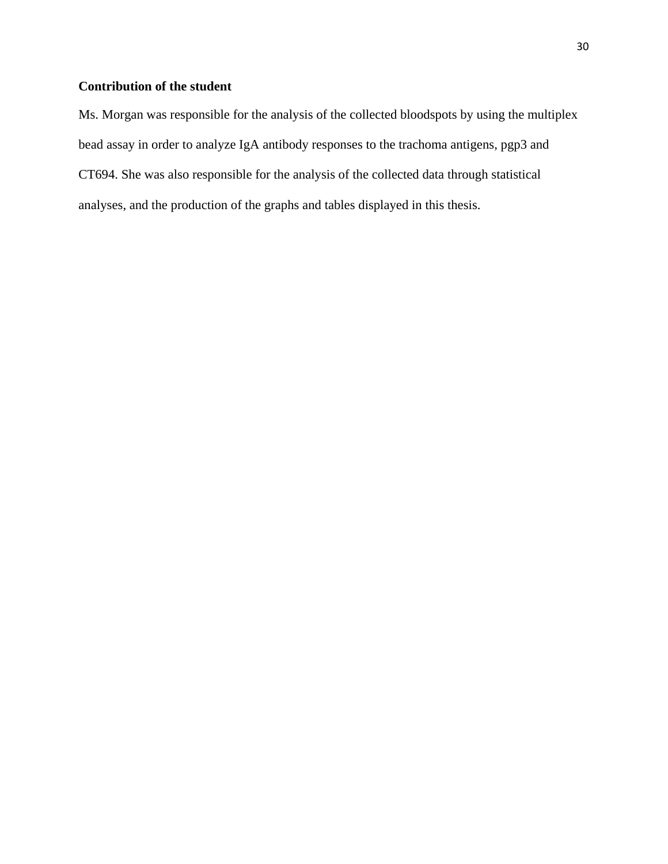# **Contribution of the student**

Ms. Morgan was responsible for the analysis of the collected bloodspots by using the multiplex bead assay in order to analyze IgA antibody responses to the trachoma antigens, pgp3 and CT694. She was also responsible for the analysis of the collected data through statistical analyses, and the production of the graphs and tables displayed in this thesis.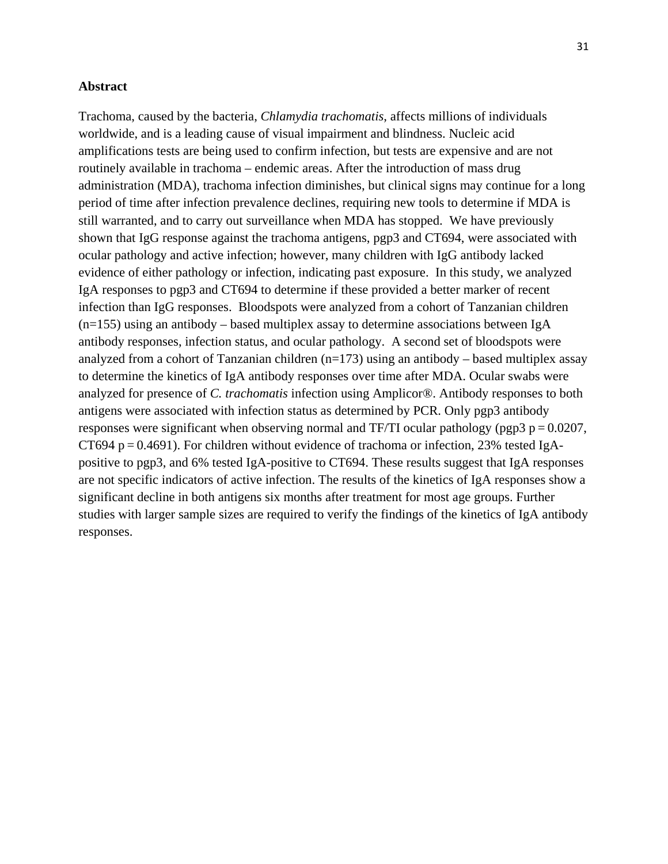#### **Abstract**

Trachoma, caused by the bacteria, *Chlamydia trachomatis*, affects millions of individuals worldwide, and is a leading cause of visual impairment and blindness. Nucleic acid amplifications tests are being used to confirm infection, but tests are expensive and are not routinely available in trachoma – endemic areas. After the introduction of mass drug administration (MDA), trachoma infection diminishes, but clinical signs may continue for a long period of time after infection prevalence declines, requiring new tools to determine if MDA is still warranted, and to carry out surveillance when MDA has stopped. We have previously shown that IgG response against the trachoma antigens, pgp3 and CT694, were associated with ocular pathology and active infection; however, many children with IgG antibody lacked evidence of either pathology or infection, indicating past exposure. In this study, we analyzed IgA responses to pgp3 and CT694 to determine if these provided a better marker of recent infection than IgG responses. Bloodspots were analyzed from a cohort of Tanzanian children  $(n=155)$  using an antibody – based multiplex assay to determine associations between IgA antibody responses, infection status, and ocular pathology. A second set of bloodspots were analyzed from a cohort of Tanzanian children  $(n=173)$  using an antibody – based multiplex assay to determine the kinetics of IgA antibody responses over time after MDA. Ocular swabs were analyzed for presence of *C. trachomatis* infection using Amplicor®. Antibody responses to both antigens were associated with infection status as determined by PCR. Only pgp3 antibody responses were significant when observing normal and TF/TI ocular pathology (pgp3  $p = 0.0207$ , CT694 p =  $0.4691$ ). For children without evidence of trachoma or infection, 23% tested IgApositive to pgp3, and 6% tested IgA-positive to CT694. These results suggest that IgA responses are not specific indicators of active infection. The results of the kinetics of IgA responses show a significant decline in both antigens six months after treatment for most age groups. Further studies with larger sample sizes are required to verify the findings of the kinetics of IgA antibody responses.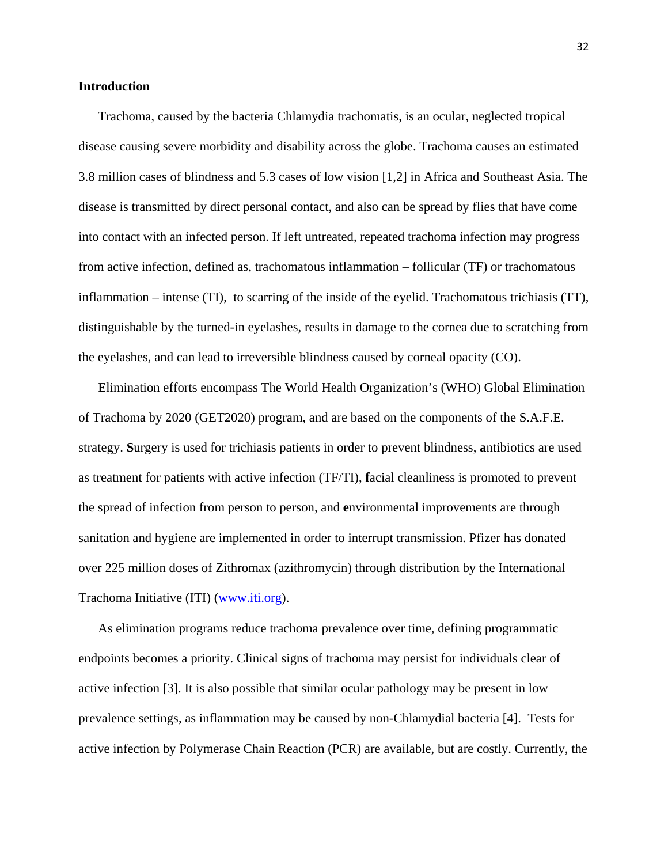### **Introduction**

Trachoma, caused by the bacteria Chlamydia trachomatis, is an ocular, neglected tropical disease causing severe morbidity and disability across the globe. Trachoma causes an estimated 3.8 million cases of blindness and 5.3 cases of low vision [\[1,](#page-69-0)[2\]](#page-69-1) in Africa and Southeast Asia. The disease is transmitted by direct personal contact, and also can be spread by flies that have come into contact with an infected person. If left untreated, repeated trachoma infection may progress from active infection, defined as, trachomatous inflammation – follicular (TF) or trachomatous inflammation – intense (TI), to scarring of the inside of the eyelid. Trachomatous trichiasis (TT), distinguishable by the turned-in eyelashes, results in damage to the cornea due to scratching from the eyelashes, and can lead to irreversible blindness caused by corneal opacity (CO).

Elimination efforts encompass The World Health Organization's (WHO) Global Elimination of Trachoma by 2020 (GET2020) program, and are based on the components of the S.A.F.E. strategy. **S**urgery is used for trichiasis patients in order to prevent blindness, **a**ntibiotics are used as treatment for patients with active infection (TF/TI), **f**acial cleanliness is promoted to prevent the spread of infection from person to person, and **e**nvironmental improvements are through sanitation and hygiene are implemented in order to interrupt transmission. Pfizer has donated over 225 million doses of Zithromax (azithromycin) through distribution by the International Trachoma Initiative (ITI) [\(www.iti.org\)](http://www.iti.org/).

As elimination programs reduce trachoma prevalence over time, defining programmatic endpoints becomes a priority. Clinical signs of trachoma may persist for individuals clear of active infection [\[3\]](#page-69-2). It is also possible that similar ocular pathology may be present in low prevalence settings, as inflammation may be caused by non-Chlamydial bacteria [\[4\]](#page-69-3). Tests for active infection by Polymerase Chain Reaction (PCR) are available, but are costly. Currently, the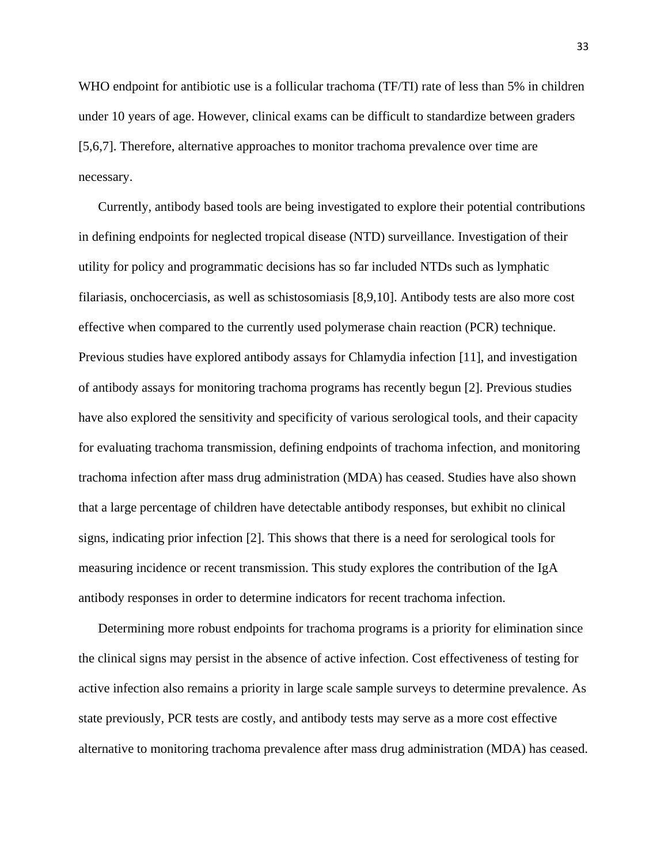WHO endpoint for antibiotic use is a follicular trachoma (TF/TI) rate of less than 5% in children under 10 years of age. However, clinical exams can be difficult to standardize between graders [\[5,](#page-69-4)[6,](#page-69-5)[7\]](#page-69-6). Therefore, alternative approaches to monitor trachoma prevalence over time are necessary.

Currently, antibody based tools are being investigated to explore their potential contributions in defining endpoints for neglected tropical disease (NTD) surveillance. Investigation of their utility for policy and programmatic decisions has so far included NTDs such as lymphatic filariasis, onchocerciasis, as well as schistosomiasis [\[8,](#page-69-7)[9,](#page-69-8)[10\]](#page-69-9). Antibody tests are also more cost effective when compared to the currently used polymerase chain reaction (PCR) technique. Previous studies have explored antibody assays for Chlamydia infection [\[11\]](#page-69-10), and investigation of antibody assays for monitoring trachoma programs has recently begun [\[2\]](#page-69-1). Previous studies have also explored the sensitivity and specificity of various serological tools, and their capacity for evaluating trachoma transmission, defining endpoints of trachoma infection, and monitoring trachoma infection after mass drug administration (MDA) has ceased. Studies have also shown that a large percentage of children have detectable antibody responses, but exhibit no clinical signs, indicating prior infection [\[2\]](#page-69-1). This shows that there is a need for serological tools for measuring incidence or recent transmission. This study explores the contribution of the IgA antibody responses in order to determine indicators for recent trachoma infection.

Determining more robust endpoints for trachoma programs is a priority for elimination since the clinical signs may persist in the absence of active infection. Cost effectiveness of testing for active infection also remains a priority in large scale sample surveys to determine prevalence. As state previously, PCR tests are costly, and antibody tests may serve as a more cost effective alternative to monitoring trachoma prevalence after mass drug administration (MDA) has ceased.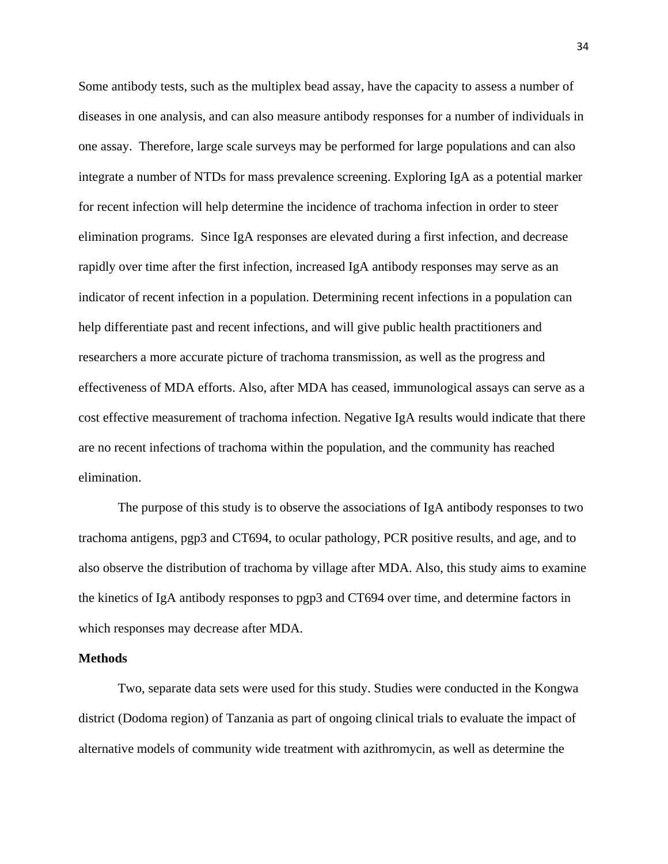Some antibody tests, such as the multiplex bead assay, have the capacity to assess a number of diseases in one analysis, and can also measure antibody responses for a number of individuals in one assay. Therefore, large scale surveys may be performed for large populations and can also integrate a number of NTDs for mass prevalence screening. Exploring IgA as a potential marker for recent infection will help determine the incidence of trachoma infection in order to steer elimination programs. Since IgA responses are elevated during a first infection, and decrease rapidly over time after the first infection, increased IgA antibody responses may serve as an indicator of recent infection in a population. Determining recent infections in a population can help differentiate past and recent infections, and will give public health practitioners and researchers a more accurate picture of trachoma transmission, as well as the progress and effectiveness of MDA efforts. Also, after MDA has ceased, immunological assays can serve as a cost effective measurement of trachoma infection. Negative IgA results would indicate that there are no recent infections of trachoma within the population, and the community has reached elimination.

The purpose of this study is to observe the associations of IgA antibody responses to two trachoma antigens, pgp3 and CT694, to ocular pathology, PCR positive results, and age, and to also observe the distribution of trachoma by village after MDA. Also, this study aims to examine the kinetics of IgA antibody responses to pgp3 and CT694 over time, and determine factors in which responses may decrease after MDA.

#### **Methods**

Two, separate data sets were used for this study. Studies were conducted in the Kongwa district (Dodoma region) of Tanzania as part of ongoing clinical trials to evaluate the impact of alternative models of community wide treatment with azithromycin, as well as determine the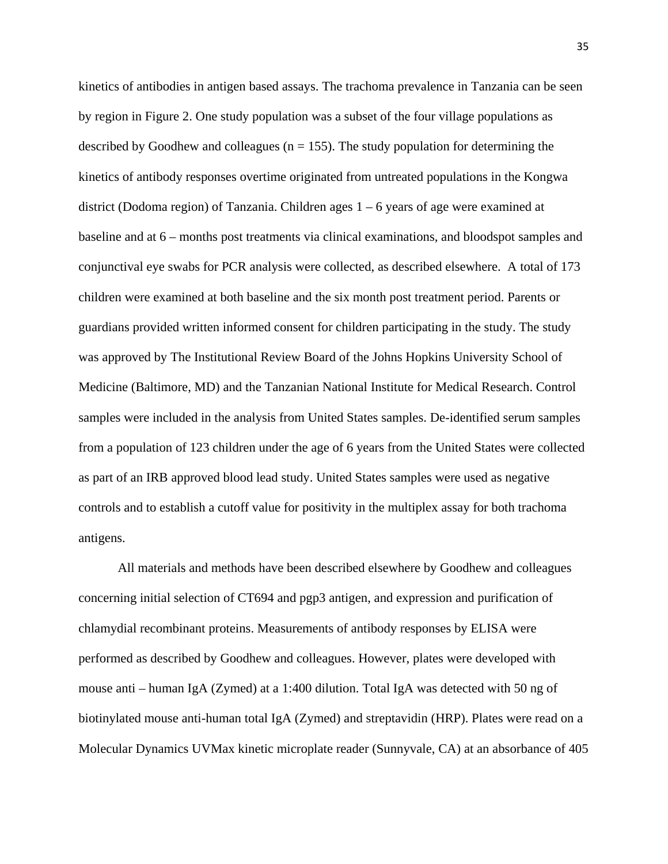kinetics of antibodies in antigen based assays. The trachoma prevalence in Tanzania can be seen by region in Figure 2. One study population was a subset of the four village populations as described by Goodhew and colleagues ( $n = 155$ ). The study population for determining the kinetics of antibody responses overtime originated from untreated populations in the Kongwa district (Dodoma region) of Tanzania. Children ages  $1 - 6$  years of age were examined at baseline and at 6 – months post treatments via clinical examinations, and bloodspot samples and conjunctival eye swabs for PCR analysis were collected, as described elsewhere. A total of 173 children were examined at both baseline and the six month post treatment period. Parents or guardians provided written informed consent for children participating in the study. The study was approved by The Institutional Review Board of the Johns Hopkins University School of Medicine (Baltimore, MD) and the Tanzanian National Institute for Medical Research. Control samples were included in the analysis from United States samples. De-identified serum samples from a population of 123 children under the age of 6 years from the United States were collected as part of an IRB approved blood lead study. United States samples were used as negative controls and to establish a cutoff value for positivity in the multiplex assay for both trachoma antigens.

All materials and methods have been described elsewhere by Goodhew and colleagues concerning initial selection of CT694 and pgp3 antigen, and expression and purification of chlamydial recombinant proteins. Measurements of antibody responses by ELISA were performed as described by Goodhew and colleagues. However, plates were developed with mouse anti – human IgA (Zymed) at a 1:400 dilution. Total IgA was detected with 50 ng of biotinylated mouse anti-human total IgA (Zymed) and streptavidin (HRP). Plates were read on a Molecular Dynamics UVMax kinetic microplate reader (Sunnyvale, CA) at an absorbance of 405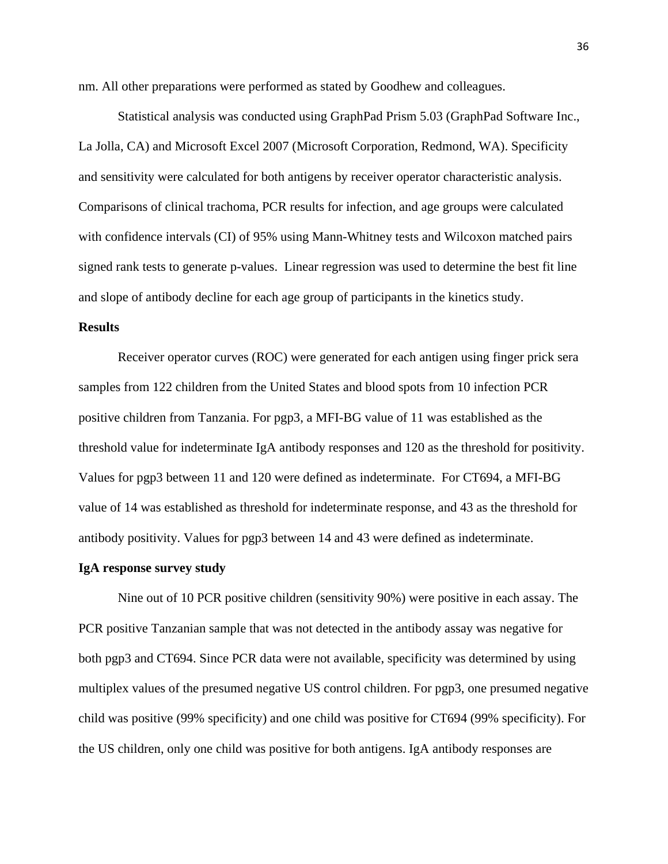nm. All other preparations were performed as stated by Goodhew and colleagues.

Statistical analysis was conducted using GraphPad Prism 5.03 (GraphPad Software Inc., La Jolla, CA) and Microsoft Excel 2007 (Microsoft Corporation, Redmond, WA). Specificity and sensitivity were calculated for both antigens by receiver operator characteristic analysis. Comparisons of clinical trachoma, PCR results for infection, and age groups were calculated with confidence intervals (CI) of 95% using Mann-Whitney tests and Wilcoxon matched pairs signed rank tests to generate p-values. Linear regression was used to determine the best fit line and slope of antibody decline for each age group of participants in the kinetics study.

### **Results**

Receiver operator curves (ROC) were generated for each antigen using finger prick sera samples from 122 children from the United States and blood spots from 10 infection PCR positive children from Tanzania. For pgp3, a MFI-BG value of 11 was established as the threshold value for indeterminate IgA antibody responses and 120 as the threshold for positivity. Values for pgp3 between 11 and 120 were defined as indeterminate. For CT694, a MFI-BG value of 14 was established as threshold for indeterminate response, and 43 as the threshold for antibody positivity. Values for pgp3 between 14 and 43 were defined as indeterminate.

#### **IgA response survey study**

Nine out of 10 PCR positive children (sensitivity 90%) were positive in each assay. The PCR positive Tanzanian sample that was not detected in the antibody assay was negative for both pgp3 and CT694. Since PCR data were not available, specificity was determined by using multiplex values of the presumed negative US control children. For pgp3, one presumed negative child was positive (99% specificity) and one child was positive for CT694 (99% specificity). For the US children, only one child was positive for both antigens. IgA antibody responses are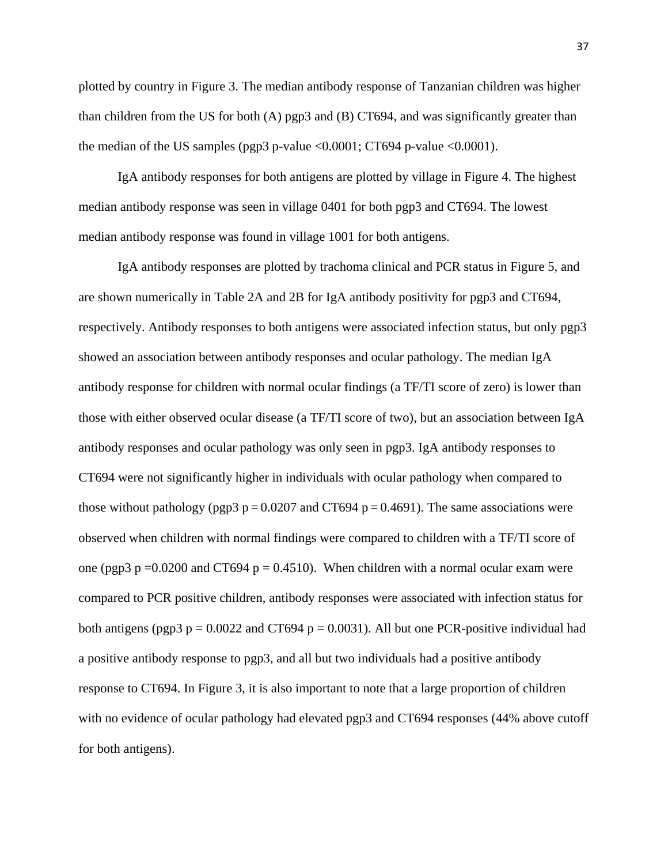plotted by country in Figure 3. The median antibody response of Tanzanian children was higher than children from the US for both  $(A)$  pgp3 and  $(B)$  CT694, and was significantly greater than the median of the US samples (pgp3 p-value  $\langle 0.0001; CT694$  p-value  $\langle 0.0001 \rangle$ ).

IgA antibody responses for both antigens are plotted by village in Figure 4. The highest median antibody response was seen in village 0401 for both pgp3 and CT694. The lowest median antibody response was found in village 1001 for both antigens.

IgA antibody responses are plotted by trachoma clinical and PCR status in Figure 5, and are shown numerically in Table 2A and 2B for IgA antibody positivity for pgp3 and CT694, respectively. Antibody responses to both antigens were associated infection status, but only pgp3 showed an association between antibody responses and ocular pathology. The median IgA antibody response for children with normal ocular findings (a TF/TI score of zero) is lower than those with either observed ocular disease (a TF/TI score of two), but an association between IgA antibody responses and ocular pathology was only seen in pgp3. IgA antibody responses to CT694 were not significantly higher in individuals with ocular pathology when compared to those without pathology (pgp3  $p = 0.0207$  and CT694  $p = 0.4691$ ). The same associations were observed when children with normal findings were compared to children with a TF/TI score of one (pgp3 p =  $0.0200$  and CT694 p =  $0.4510$ ). When children with a normal ocular exam were compared to PCR positive children, antibody responses were associated with infection status for both antigens (pgp3  $p = 0.0022$  and CT694  $p = 0.0031$ ). All but one PCR-positive individual had a positive antibody response to pgp3, and all but two individuals had a positive antibody response to CT694. In Figure 3, it is also important to note that a large proportion of children with no evidence of ocular pathology had elevated pgp3 and CT694 responses (44% above cutoff for both antigens).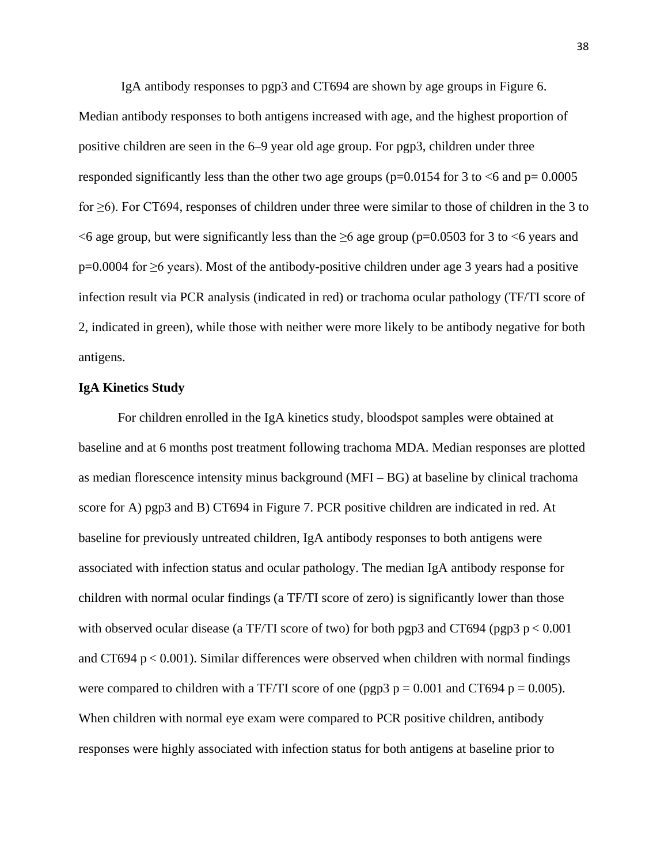IgA antibody responses to pgp3 and CT694 are shown by age groups in Figure 6. Median antibody responses to both antigens increased with age, and the highest proportion of positive children are seen in the 6–9 year old age group. For pgp3, children under three responded significantly less than the other two age groups ( $p=0.0154$  for 3 to  $<6$  and  $p=0.0005$ for ≥6). For CT694, responses of children under three were similar to those of children in the 3 to  $\leq$  6 age group, but were significantly less than the  $\geq$  6 age group (p=0.0503 for 3 to  $\leq$  6 years and p=0.0004 for ≥6 years). Most of the antibody-positive children under age 3 years had a positive infection result via PCR analysis (indicated in red) or trachoma ocular pathology (TF/TI score of 2, indicated in green), while those with neither were more likely to be antibody negative for both antigens.

#### **IgA Kinetics Study**

For children enrolled in the IgA kinetics study, bloodspot samples were obtained at baseline and at 6 months post treatment following trachoma MDA. Median responses are plotted as median florescence intensity minus background (MFI – BG) at baseline by clinical trachoma score for A) pgp3 and B) CT694 in Figure 7. PCR positive children are indicated in red. At baseline for previously untreated children, IgA antibody responses to both antigens were associated with infection status and ocular pathology. The median IgA antibody response for children with normal ocular findings (a TF/TI score of zero) is significantly lower than those with observed ocular disease (a TF/TI score of two) for both pgp3 and CT694 (pgp3  $p < 0.001$ ) and CT694  $p < 0.001$ ). Similar differences were observed when children with normal findings were compared to children with a TF/TI score of one (pgp3  $p = 0.001$  and CT694  $p = 0.005$ ). When children with normal eye exam were compared to PCR positive children, antibody responses were highly associated with infection status for both antigens at baseline prior to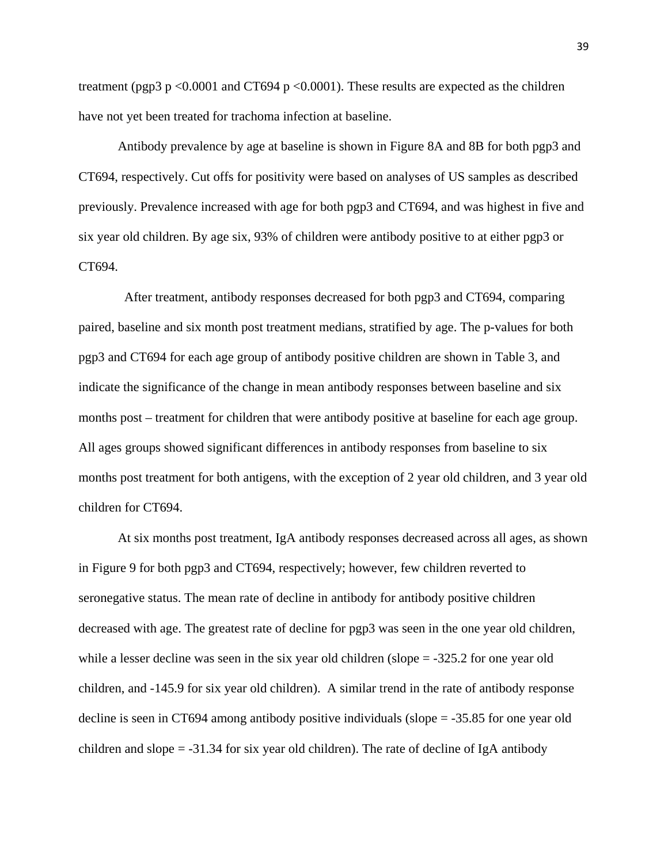treatment (pgp3  $p \le 0.0001$  and CT694  $p \le 0.0001$ ). These results are expected as the children have not yet been treated for trachoma infection at baseline.

Antibody prevalence by age at baseline is shown in Figure 8A and 8B for both pgp3 and CT694, respectively. Cut offs for positivity were based on analyses of US samples as described previously. Prevalence increased with age for both pgp3 and CT694, and was highest in five and six year old children. By age six, 93% of children were antibody positive to at either pgp3 or CT694.

 After treatment, antibody responses decreased for both pgp3 and CT694, comparing paired, baseline and six month post treatment medians, stratified by age. The p-values for both pgp3 and CT694 for each age group of antibody positive children are shown in Table 3, and indicate the significance of the change in mean antibody responses between baseline and six months post – treatment for children that were antibody positive at baseline for each age group. All ages groups showed significant differences in antibody responses from baseline to six months post treatment for both antigens, with the exception of 2 year old children, and 3 year old children for CT694.

At six months post treatment, IgA antibody responses decreased across all ages, as shown in Figure 9 for both pgp3 and CT694, respectively; however, few children reverted to seronegative status. The mean rate of decline in antibody for antibody positive children decreased with age. The greatest rate of decline for pgp3 was seen in the one year old children, while a lesser decline was seen in the six year old children (slope = -325.2 for one year old children, and -145.9 for six year old children). A similar trend in the rate of antibody response decline is seen in CT694 among antibody positive individuals (slope = -35.85 for one year old children and slope  $= -31.34$  for six year old children). The rate of decline of IgA antibody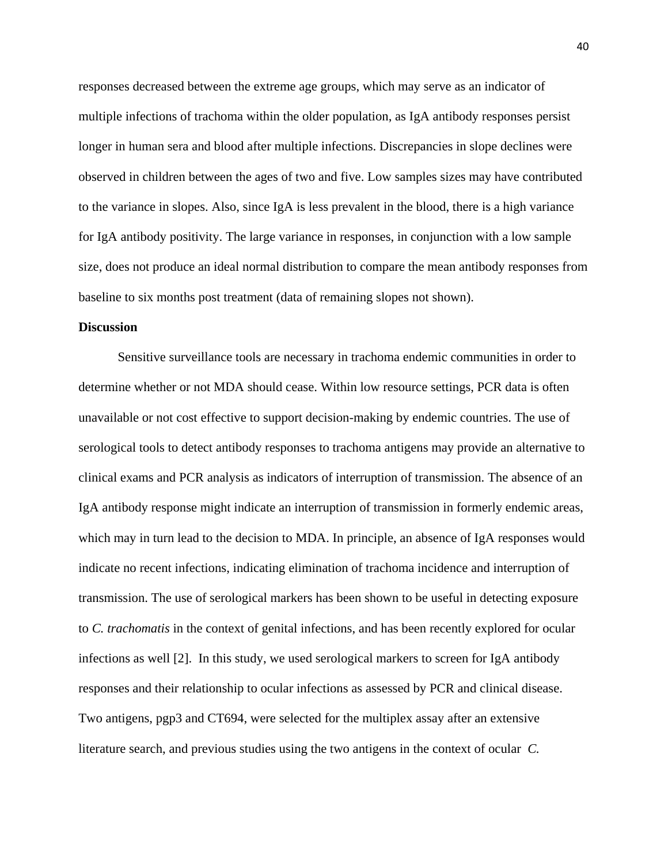responses decreased between the extreme age groups, which may serve as an indicator of multiple infections of trachoma within the older population, as IgA antibody responses persist longer in human sera and blood after multiple infections. Discrepancies in slope declines were observed in children between the ages of two and five. Low samples sizes may have contributed to the variance in slopes. Also, since IgA is less prevalent in the blood, there is a high variance for IgA antibody positivity. The large variance in responses, in conjunction with a low sample size, does not produce an ideal normal distribution to compare the mean antibody responses from baseline to six months post treatment (data of remaining slopes not shown).

#### **Discussion**

Sensitive surveillance tools are necessary in trachoma endemic communities in order to determine whether or not MDA should cease. Within low resource settings, PCR data is often unavailable or not cost effective to support decision-making by endemic countries. The use of serological tools to detect antibody responses to trachoma antigens may provide an alternative to clinical exams and PCR analysis as indicators of interruption of transmission. The absence of an IgA antibody response might indicate an interruption of transmission in formerly endemic areas, which may in turn lead to the decision to MDA. In principle, an absence of IgA responses would indicate no recent infections, indicating elimination of trachoma incidence and interruption of transmission. The use of serological markers has been shown to be useful in detecting exposure to *C. trachomatis* in the context of genital infections, and has been recently explored for ocular infections as well [\[2\]](#page-69-1). In this study, we used serological markers to screen for IgA antibody responses and their relationship to ocular infections as assessed by PCR and clinical disease. Two antigens, pgp3 and CT694, were selected for the multiplex assay after an extensive literature search, and previous studies using the two antigens in the context of ocular *C.*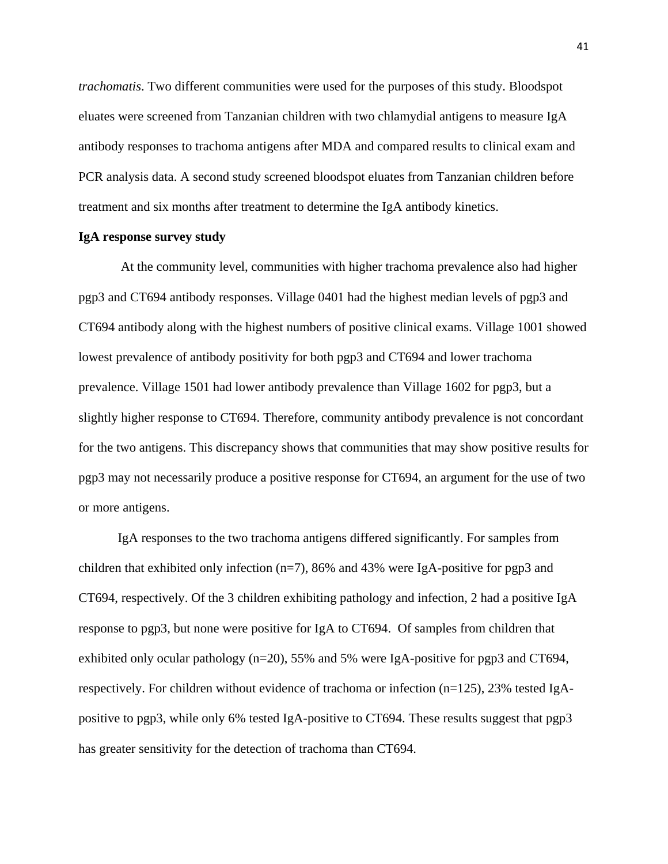*trachomatis*. Two different communities were used for the purposes of this study. Bloodspot eluates were screened from Tanzanian children with two chlamydial antigens to measure IgA antibody responses to trachoma antigens after MDA and compared results to clinical exam and PCR analysis data. A second study screened bloodspot eluates from Tanzanian children before treatment and six months after treatment to determine the IgA antibody kinetics.

#### **IgA response survey study**

At the community level, communities with higher trachoma prevalence also had higher pgp3 and CT694 antibody responses. Village 0401 had the highest median levels of pgp3 and CT694 antibody along with the highest numbers of positive clinical exams. Village 1001 showed lowest prevalence of antibody positivity for both pgp3 and CT694 and lower trachoma prevalence. Village 1501 had lower antibody prevalence than Village 1602 for pgp3, but a slightly higher response to CT694. Therefore, community antibody prevalence is not concordant for the two antigens. This discrepancy shows that communities that may show positive results for pgp3 may not necessarily produce a positive response for CT694, an argument for the use of two or more antigens.

IgA responses to the two trachoma antigens differed significantly. For samples from children that exhibited only infection  $(n=7)$ , 86% and 43% were IgA-positive for pgp3 and CT694, respectively. Of the 3 children exhibiting pathology and infection, 2 had a positive IgA response to pgp3, but none were positive for IgA to CT694. Of samples from children that exhibited only ocular pathology (n=20), 55% and 5% were IgA-positive for pgp3 and CT694, respectively. For children without evidence of trachoma or infection  $(n=125)$ , 23% tested IgApositive to pgp3, while only 6% tested IgA-positive to CT694. These results suggest that pgp3 has greater sensitivity for the detection of trachoma than CT694.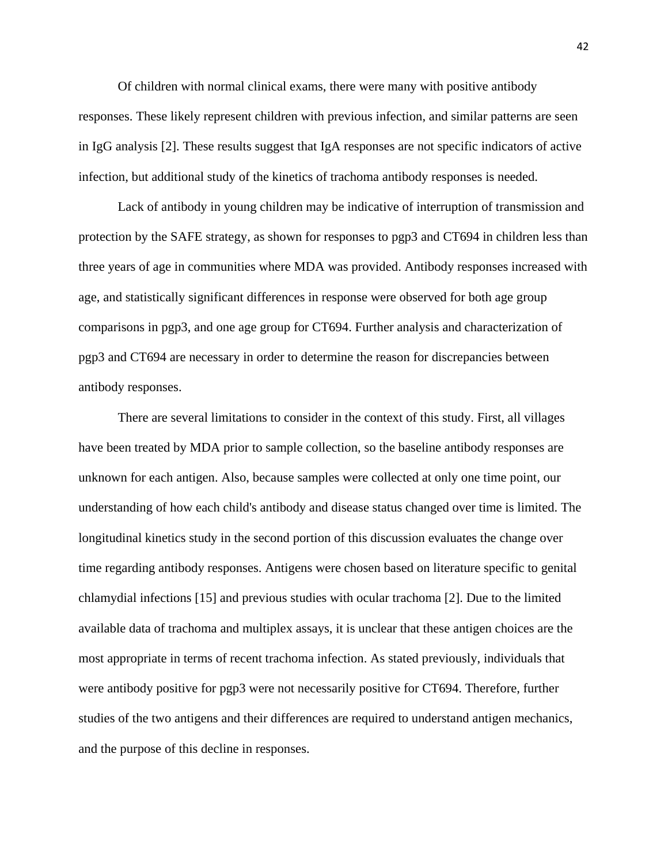Of children with normal clinical exams, there were many with positive antibody responses. These likely represent children with previous infection, and similar patterns are seen in IgG analysis [\[2\]](#page-69-1). These results suggest that IgA responses are not specific indicators of active infection, but additional study of the kinetics of trachoma antibody responses is needed.

Lack of antibody in young children may be indicative of interruption of transmission and protection by the SAFE strategy, as shown for responses to pgp3 and CT694 in children less than three years of age in communities where MDA was provided. Antibody responses increased with age, and statistically significant differences in response were observed for both age group comparisons in pgp3, and one age group for CT694. Further analysis and characterization of pgp3 and CT694 are necessary in order to determine the reason for discrepancies between antibody responses.

There are several limitations to consider in the context of this study. First, all villages have been treated by MDA prior to sample collection, so the baseline antibody responses are unknown for each antigen. Also, because samples were collected at only one time point, our understanding of how each child's antibody and disease status changed over time is limited. The longitudinal kinetics study in the second portion of this discussion evaluates the change over time regarding antibody responses. Antigens were chosen based on literature specific to genital chlamydial infections [15] and previous studies with ocular trachoma [\[2\]](#page-69-1). Due to the limited available data of trachoma and multiplex assays, it is unclear that these antigen choices are the most appropriate in terms of recent trachoma infection. As stated previously, individuals that were antibody positive for pgp3 were not necessarily positive for CT694. Therefore, further studies of the two antigens and their differences are required to understand antigen mechanics, and the purpose of this decline in responses.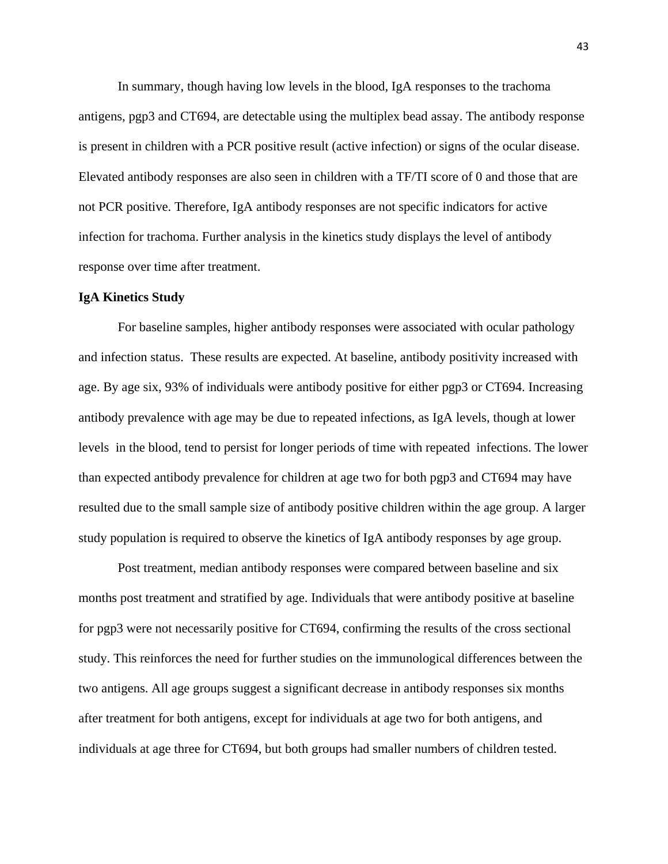In summary, though having low levels in the blood, IgA responses to the trachoma antigens, pgp3 and CT694, are detectable using the multiplex bead assay. The antibody response is present in children with a PCR positive result (active infection) or signs of the ocular disease. Elevated antibody responses are also seen in children with a TF/TI score of 0 and those that are not PCR positive. Therefore, IgA antibody responses are not specific indicators for active infection for trachoma. Further analysis in the kinetics study displays the level of antibody response over time after treatment.

#### **IgA Kinetics Study**

For baseline samples, higher antibody responses were associated with ocular pathology and infection status. These results are expected. At baseline, antibody positivity increased with age. By age six, 93% of individuals were antibody positive for either pgp3 or CT694. Increasing antibody prevalence with age may be due to repeated infections, as IgA levels, though at lower levels in the blood, tend to persist for longer periods of time with repeated infections. The lower than expected antibody prevalence for children at age two for both pgp3 and CT694 may have resulted due to the small sample size of antibody positive children within the age group. A larger study population is required to observe the kinetics of IgA antibody responses by age group.

Post treatment, median antibody responses were compared between baseline and six months post treatment and stratified by age. Individuals that were antibody positive at baseline for pgp3 were not necessarily positive for CT694, confirming the results of the cross sectional study. This reinforces the need for further studies on the immunological differences between the two antigens. All age groups suggest a significant decrease in antibody responses six months after treatment for both antigens, except for individuals at age two for both antigens, and individuals at age three for CT694, but both groups had smaller numbers of children tested.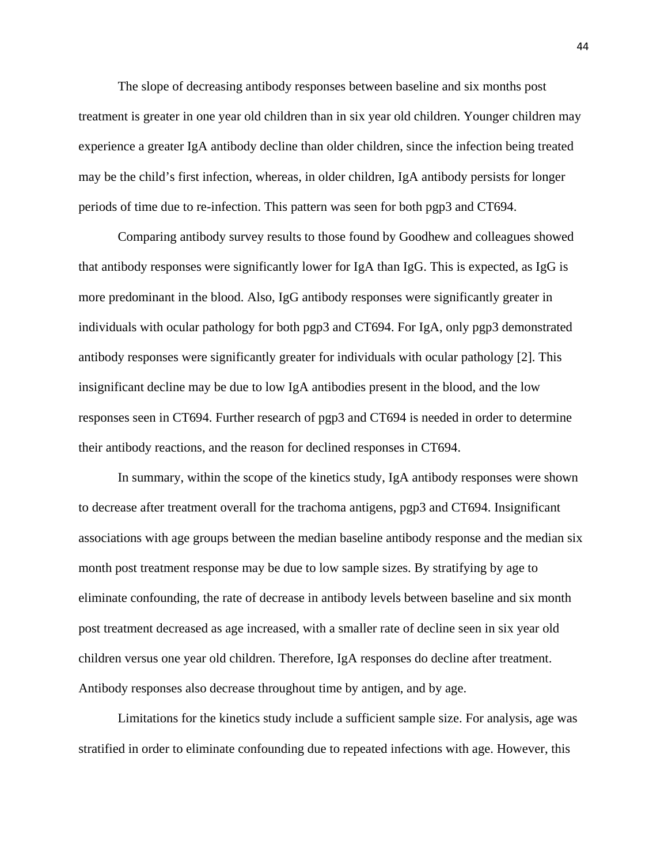The slope of decreasing antibody responses between baseline and six months post treatment is greater in one year old children than in six year old children. Younger children may experience a greater IgA antibody decline than older children, since the infection being treated may be the child's first infection, whereas, in older children, IgA antibody persists for longer periods of time due to re-infection. This pattern was seen for both pgp3 and CT694.

Comparing antibody survey results to those found by Goodhew and colleagues showed that antibody responses were significantly lower for IgA than IgG. This is expected, as IgG is more predominant in the blood. Also, IgG antibody responses were significantly greater in individuals with ocular pathology for both pgp3 and CT694. For IgA, only pgp3 demonstrated antibody responses were significantly greater for individuals with ocular pathology [\[2\]](#page-69-1). This insignificant decline may be due to low IgA antibodies present in the blood, and the low responses seen in CT694. Further research of pgp3 and CT694 is needed in order to determine their antibody reactions, and the reason for declined responses in CT694.

In summary, within the scope of the kinetics study, IgA antibody responses were shown to decrease after treatment overall for the trachoma antigens, pgp3 and CT694. Insignificant associations with age groups between the median baseline antibody response and the median six month post treatment response may be due to low sample sizes. By stratifying by age to eliminate confounding, the rate of decrease in antibody levels between baseline and six month post treatment decreased as age increased, with a smaller rate of decline seen in six year old children versus one year old children. Therefore, IgA responses do decline after treatment. Antibody responses also decrease throughout time by antigen, and by age.

Limitations for the kinetics study include a sufficient sample size. For analysis, age was stratified in order to eliminate confounding due to repeated infections with age. However, this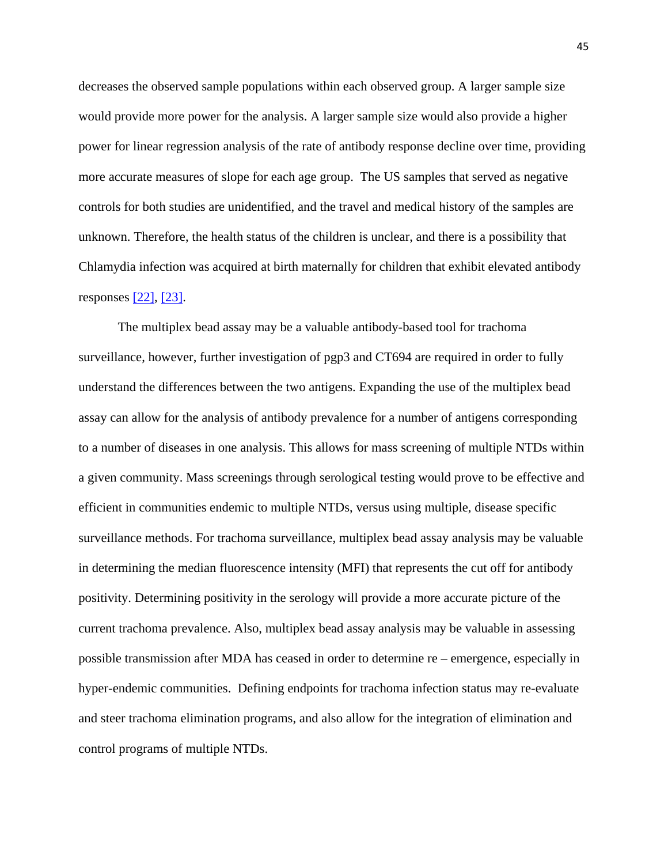decreases the observed sample populations within each observed group. A larger sample size would provide more power for the analysis. A larger sample size would also provide a higher power for linear regression analysis of the rate of antibody response decline over time, providing more accurate measures of slope for each age group. The US samples that served as negative controls for both studies are unidentified, and the travel and medical history of the samples are unknown. Therefore, the health status of the children is unclear, and there is a possibility that Chlamydia infection was acquired at birth maternally for children that exhibit elevated antibody responses [\[22\],](http://www.plosntds.org/article/info%3Adoi%2F10.1371%2Fjournal.pntd.0001873#pntd.0001873-Hammerschlag1) [\[23\].](http://www.plosntds.org/article/info%3Adoi%2F10.1371%2Fjournal.pntd.0001873#pntd.0001873-Hobson1)

The multiplex bead assay may be a valuable antibody-based tool for trachoma surveillance, however, further investigation of pgp3 and CT694 are required in order to fully understand the differences between the two antigens. Expanding the use of the multiplex bead assay can allow for the analysis of antibody prevalence for a number of antigens corresponding to a number of diseases in one analysis. This allows for mass screening of multiple NTDs within a given community. Mass screenings through serological testing would prove to be effective and efficient in communities endemic to multiple NTDs, versus using multiple, disease specific surveillance methods. For trachoma surveillance, multiplex bead assay analysis may be valuable in determining the median fluorescence intensity (MFI) that represents the cut off for antibody positivity. Determining positivity in the serology will provide a more accurate picture of the current trachoma prevalence. Also, multiplex bead assay analysis may be valuable in assessing possible transmission after MDA has ceased in order to determine re – emergence, especially in hyper-endemic communities. Defining endpoints for trachoma infection status may re-evaluate and steer trachoma elimination programs, and also allow for the integration of elimination and control programs of multiple NTDs.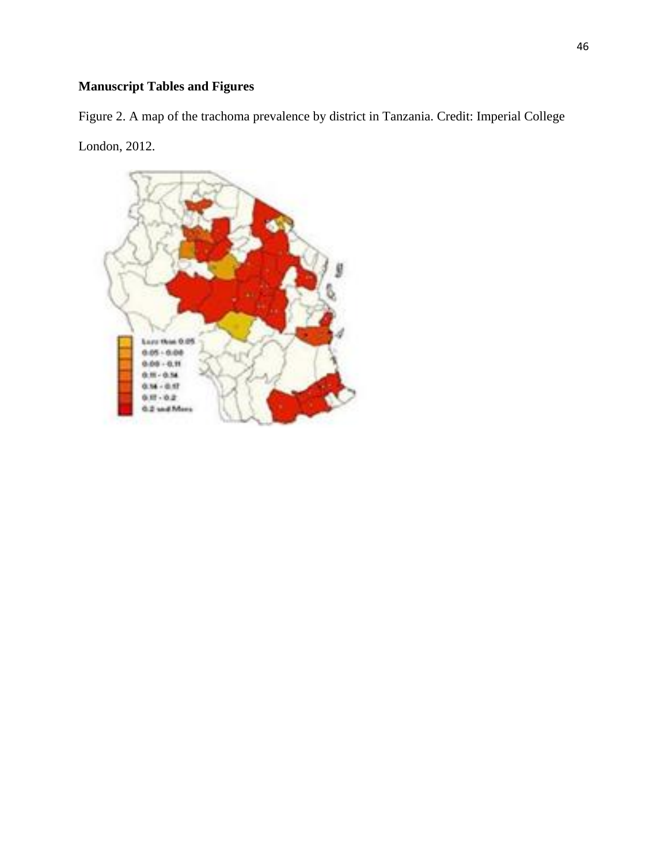# **Manuscript Tables and Figures**

Figure 2. A map of the trachoma prevalence by district in Tanzania. Credit: Imperial College London, 2012.

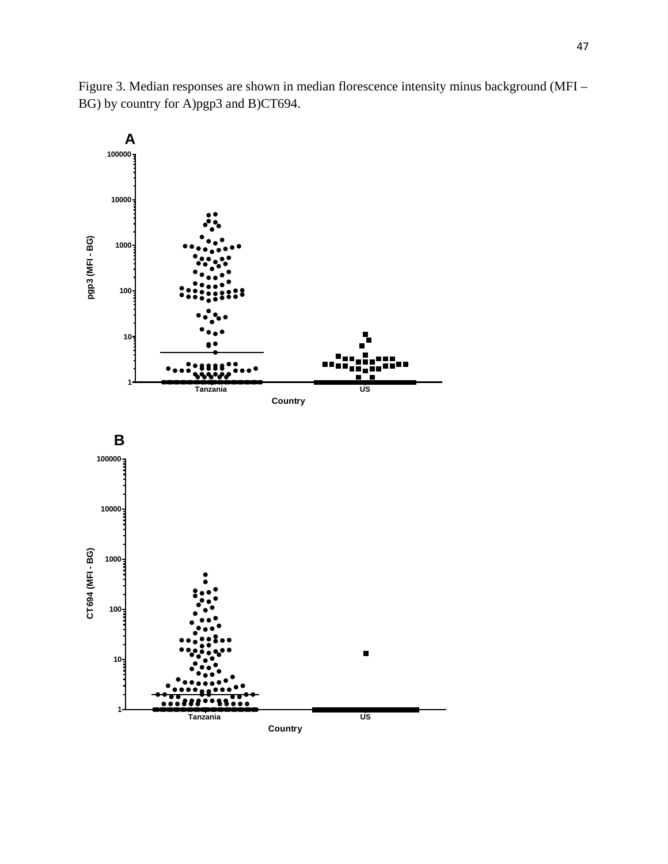Figure 3. Median responses are shown in median florescence intensity minus background (MFI – BG) by country for A)pgp3 and B)CT694.

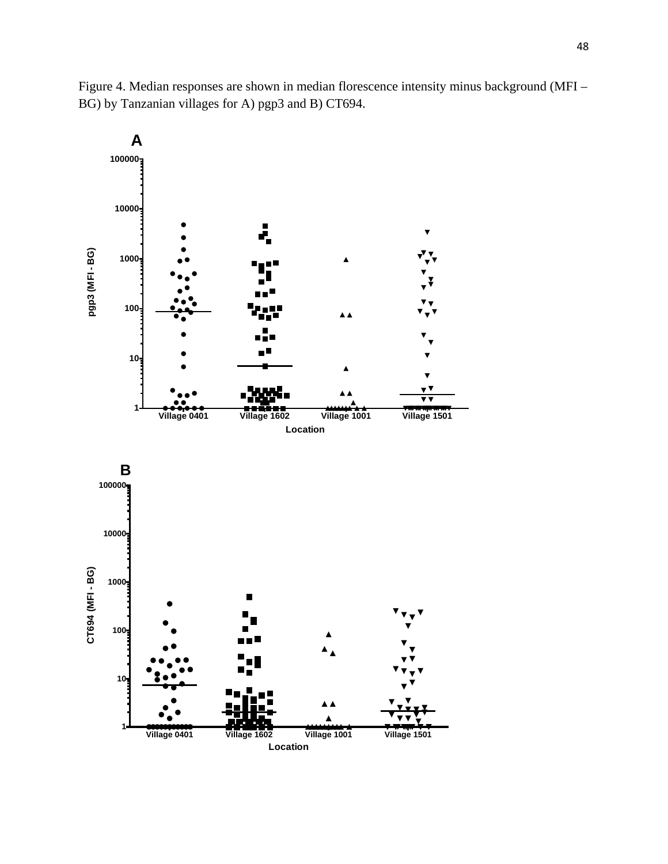

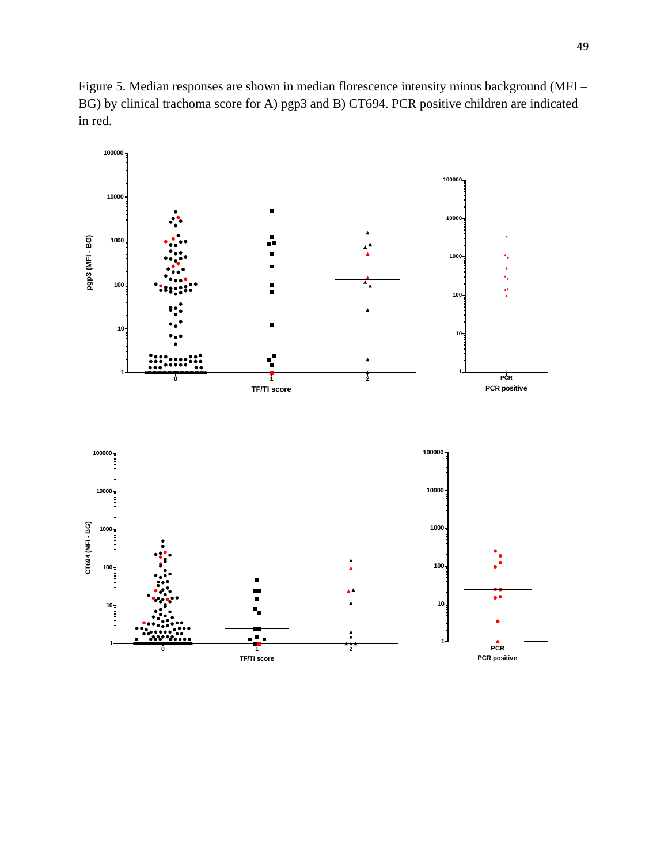Figure 5. Median responses are shown in median florescence intensity minus background (MFI – BG) by clinical trachoma score for A) pgp3 and B) CT694. PCR positive children are indicated in red.

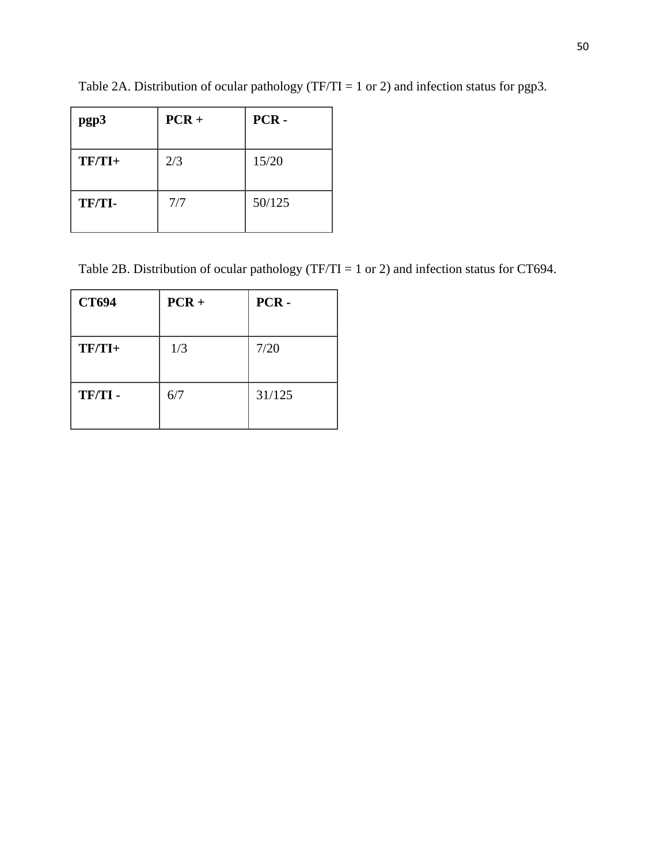| pgp3     | $PCR +$ | PCR-   |
|----------|---------|--------|
| $TF/TI+$ | 2/3     | 15/20  |
| TF/TI-   | 7/7     | 50/125 |

Table 2A. Distribution of ocular pathology (TF/TI = 1 or 2) and infection status for pgp3.

Table 2B. Distribution of ocular pathology (TF/TI = 1 or 2) and infection status for CT694.

| <b>CT694</b> | $PCR +$ | PCR-   |
|--------------|---------|--------|
| $TF/TI+$     | 1/3     | 7/20   |
| TF/TI-       | 6/7     | 31/125 |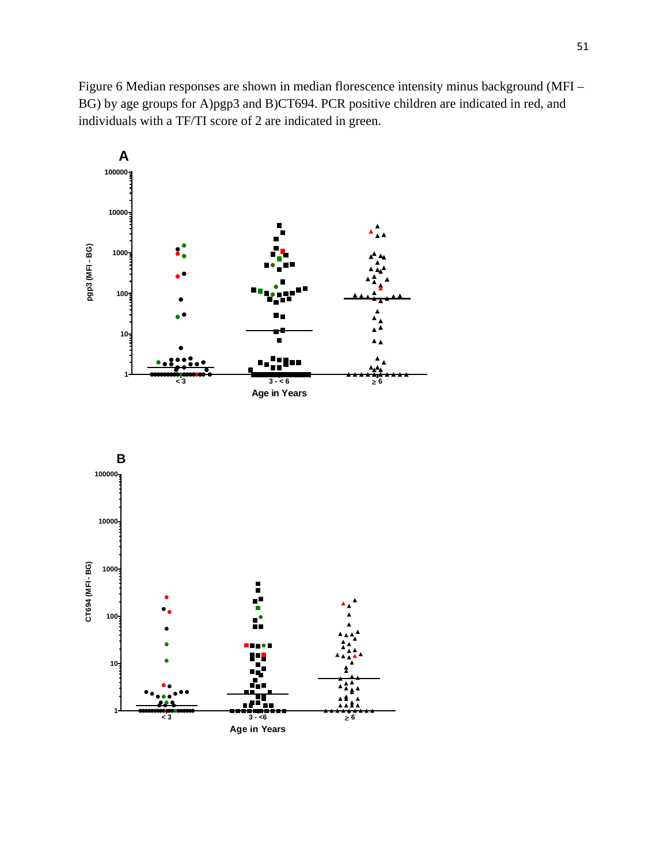Figure 6 Median responses are shown in median florescence intensity minus background (MFI – BG) by age groups for A)pgp3 and B)CT694. PCR positive children are indicated in red, and individuals with a TF/TI score of 2 are indicated in green.



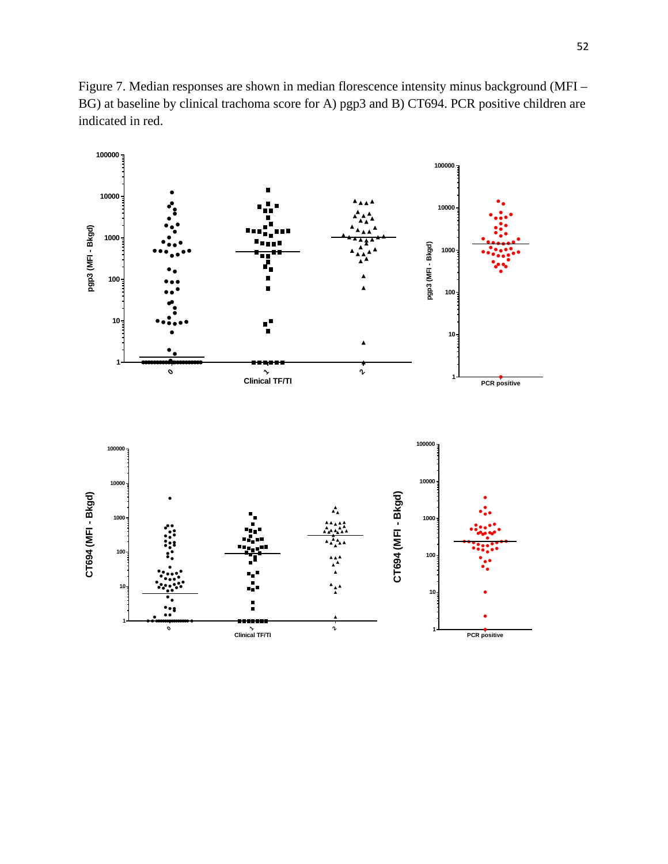Figure 7. Median responses are shown in median florescence intensity minus background (MFI – BG) at baseline by clinical trachoma score for A) pgp3 and B) CT694. PCR positive children are indicated in red.

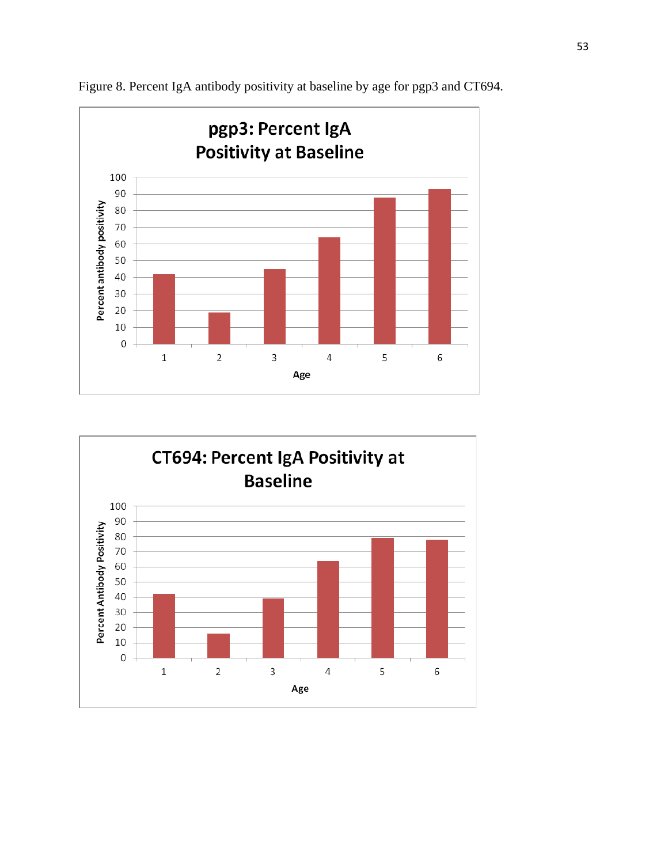



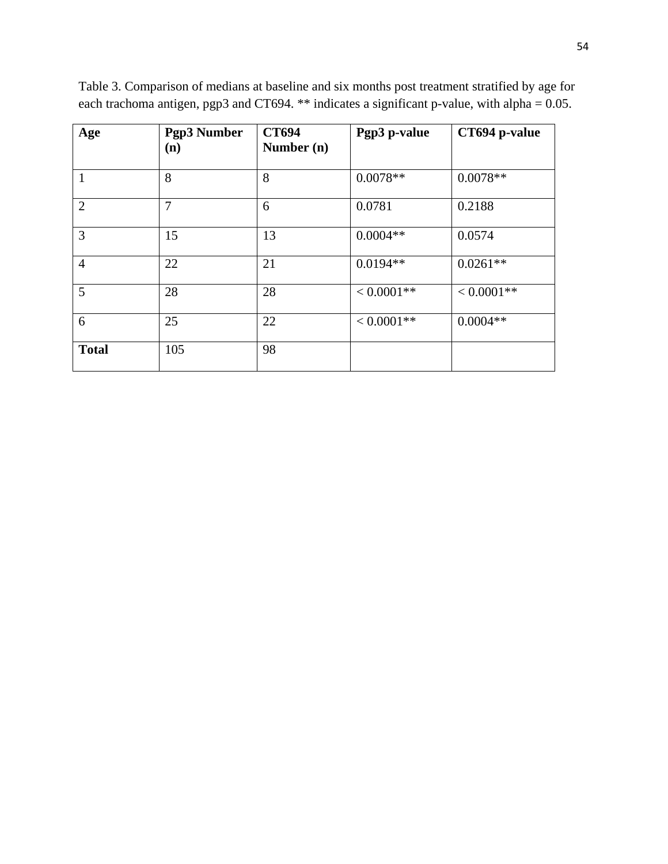| Age            | <b>Pgp3 Number</b><br>(n) | <b>CT694</b><br>Number (n) | Pgp3 p-value  | CT694 p-value |
|----------------|---------------------------|----------------------------|---------------|---------------|
| $\mathbf{1}$   | 8                         | 8                          | $0.0078**$    | $0.0078**$    |
| $\overline{2}$ | 7                         | 6                          | 0.0781        | 0.2188        |
| 3              | 15                        | 13                         | $0.0004**$    | 0.0574        |
| $\overline{4}$ | 22                        | 21                         | $0.0194**$    | $0.0261**$    |
| 5              | 28                        | 28                         | $< 0.0001**$  | $< 0.0001**$  |
| 6              | 25                        | 22                         | $< 0.0001$ ** | $0.0004**$    |
| <b>Total</b>   | 105                       | 98                         |               |               |

Table 3. Comparison of medians at baseline and six months post treatment stratified by age for each trachoma antigen, pgp3 and CT694. \*\* indicates a significant p-value, with alpha = 0.05.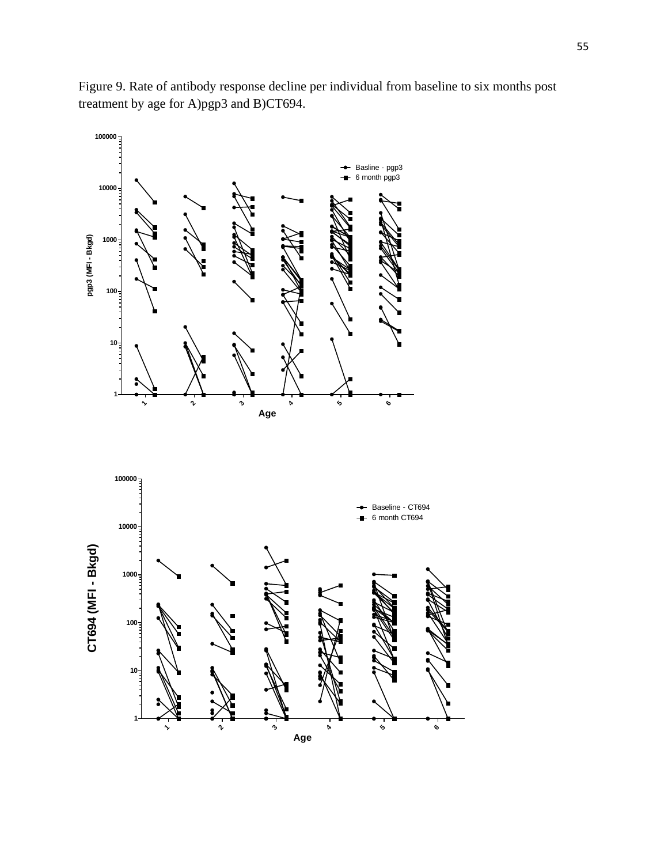Figure 9. Rate of antibody response decline per individual from baseline to six months post treatment by age for A)pgp3 and B)CT694.

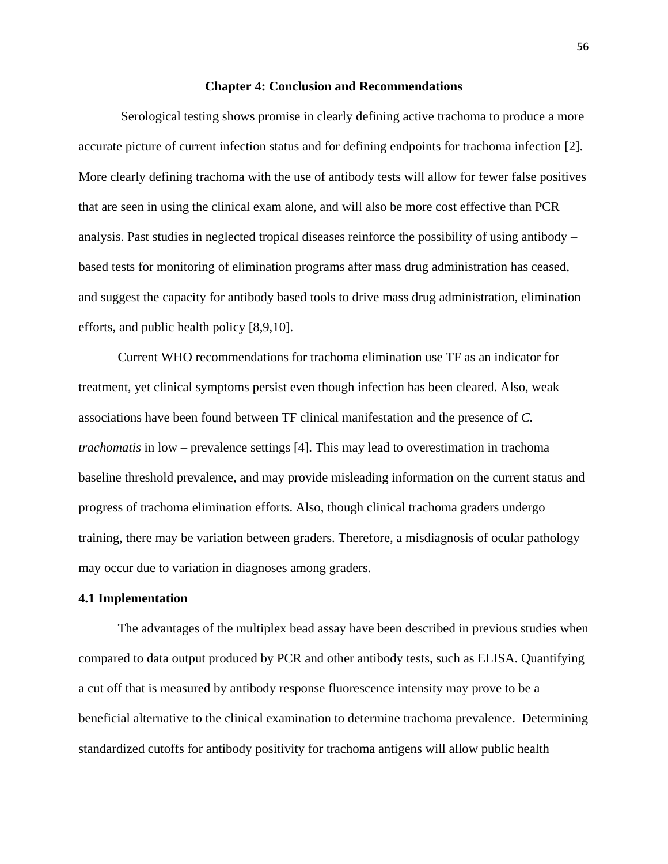#### **Chapter 4: Conclusion and Recommendations**

Serological testing shows promise in clearly defining active trachoma to produce a more accurate picture of current infection status and for defining endpoints for trachoma infection [\[2\]](#page-69-1). More clearly defining trachoma with the use of antibody tests will allow for fewer false positives that are seen in using the clinical exam alone, and will also be more cost effective than PCR analysis. Past studies in neglected tropical diseases reinforce the possibility of using antibody – based tests for monitoring of elimination programs after mass drug administration has ceased, and suggest the capacity for antibody based tools to drive mass drug administration, elimination efforts, and public health policy [\[8](#page-69-7)[,9,](#page-69-8)[10\]](#page-69-9).

Current WHO recommendations for trachoma elimination use TF as an indicator for treatment, yet clinical symptoms persist even though infection has been cleared. Also, weak associations have been found between TF clinical manifestation and the presence of *C. trachomatis* in low – prevalence settings [\[4\]](#page-69-3). This may lead to overestimation in trachoma baseline threshold prevalence, and may provide misleading information on the current status and progress of trachoma elimination efforts. Also, though clinical trachoma graders undergo training, there may be variation between graders. Therefore, a misdiagnosis of ocular pathology may occur due to variation in diagnoses among graders.

#### **4.1 Implementation**

The advantages of the multiplex bead assay have been described in previous studies when compared to data output produced by PCR and other antibody tests, such as ELISA. Quantifying a cut off that is measured by antibody response fluorescence intensity may prove to be a beneficial alternative to the clinical examination to determine trachoma prevalence. Determining standardized cutoffs for antibody positivity for trachoma antigens will allow public health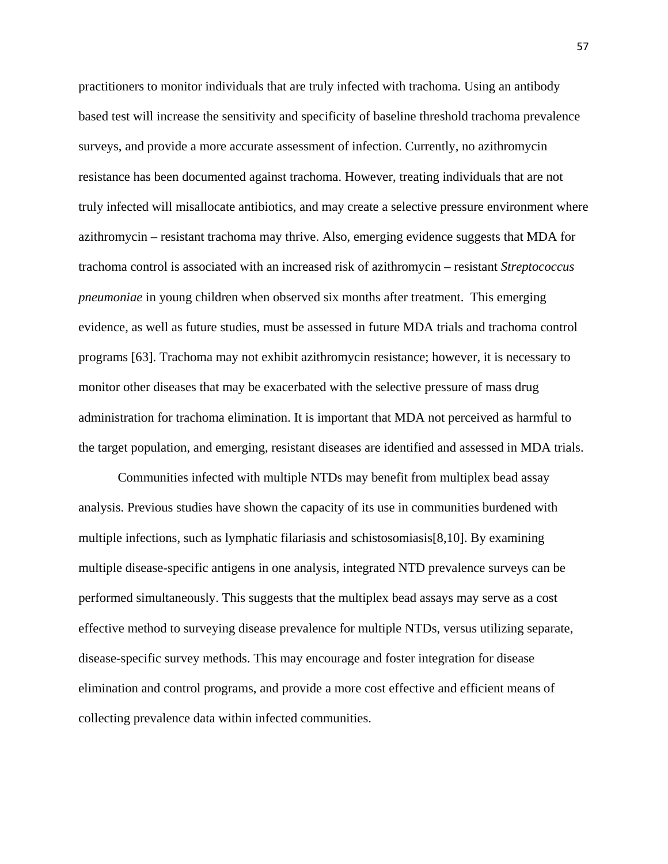practitioners to monitor individuals that are truly infected with trachoma. Using an antibody based test will increase the sensitivity and specificity of baseline threshold trachoma prevalence surveys, and provide a more accurate assessment of infection. Currently, no azithromycin resistance has been documented against trachoma. However, treating individuals that are not truly infected will misallocate antibiotics, and may create a selective pressure environment where azithromycin – resistant trachoma may thrive. Also, emerging evidence suggests that MDA for trachoma control is associated with an increased risk of azithromycin – resistant *Streptococcus pneumoniae* in young children when observed six months after treatment. This emerging evidence, as well as future studies, must be assessed in future MDA trials and trachoma control programs [\[63\]](#page-72-0). Trachoma may not exhibit azithromycin resistance; however, it is necessary to monitor other diseases that may be exacerbated with the selective pressure of mass drug administration for trachoma elimination. It is important that MDA not perceived as harmful to the target population, and emerging, resistant diseases are identified and assessed in MDA trials.

Communities infected with multiple NTDs may benefit from multiplex bead assay analysis. Previous studies have shown the capacity of its use in communities burdened with multiple infections, such as lymphatic filariasis and schistosomiasis[\[8](#page-69-7)[,10\]](#page-69-9). By examining multiple disease-specific antigens in one analysis, integrated NTD prevalence surveys can be performed simultaneously. This suggests that the multiplex bead assays may serve as a cost effective method to surveying disease prevalence for multiple NTDs, versus utilizing separate, disease-specific survey methods. This may encourage and foster integration for disease elimination and control programs, and provide a more cost effective and efficient means of collecting prevalence data within infected communities.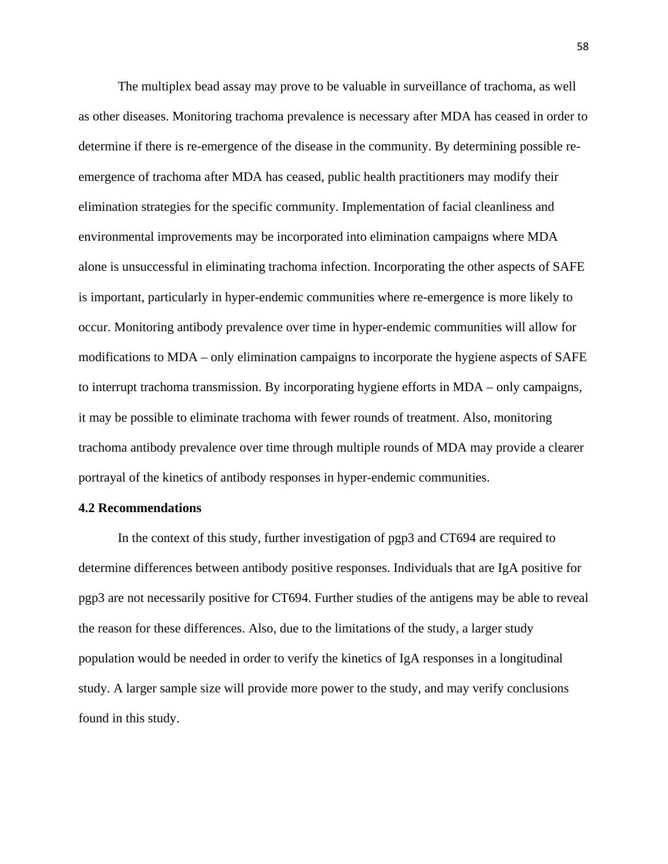The multiplex bead assay may prove to be valuable in surveillance of trachoma, as well as other diseases. Monitoring trachoma prevalence is necessary after MDA has ceased in order to determine if there is re-emergence of the disease in the community. By determining possible reemergence of trachoma after MDA has ceased, public health practitioners may modify their elimination strategies for the specific community. Implementation of facial cleanliness and environmental improvements may be incorporated into elimination campaigns where MDA alone is unsuccessful in eliminating trachoma infection. Incorporating the other aspects of SAFE is important, particularly in hyper-endemic communities where re-emergence is more likely to occur. Monitoring antibody prevalence over time in hyper-endemic communities will allow for modifications to MDA – only elimination campaigns to incorporate the hygiene aspects of SAFE to interrupt trachoma transmission. By incorporating hygiene efforts in MDA – only campaigns, it may be possible to eliminate trachoma with fewer rounds of treatment. Also, monitoring trachoma antibody prevalence over time through multiple rounds of MDA may provide a clearer portrayal of the kinetics of antibody responses in hyper-endemic communities.

#### **4.2 Recommendations**

In the context of this study, further investigation of pgp3 and CT694 are required to determine differences between antibody positive responses. Individuals that are IgA positive for pgp3 are not necessarily positive for CT694. Further studies of the antigens may be able to reveal the reason for these differences. Also, due to the limitations of the study, a larger study population would be needed in order to verify the kinetics of IgA responses in a longitudinal study. A larger sample size will provide more power to the study, and may verify conclusions found in this study.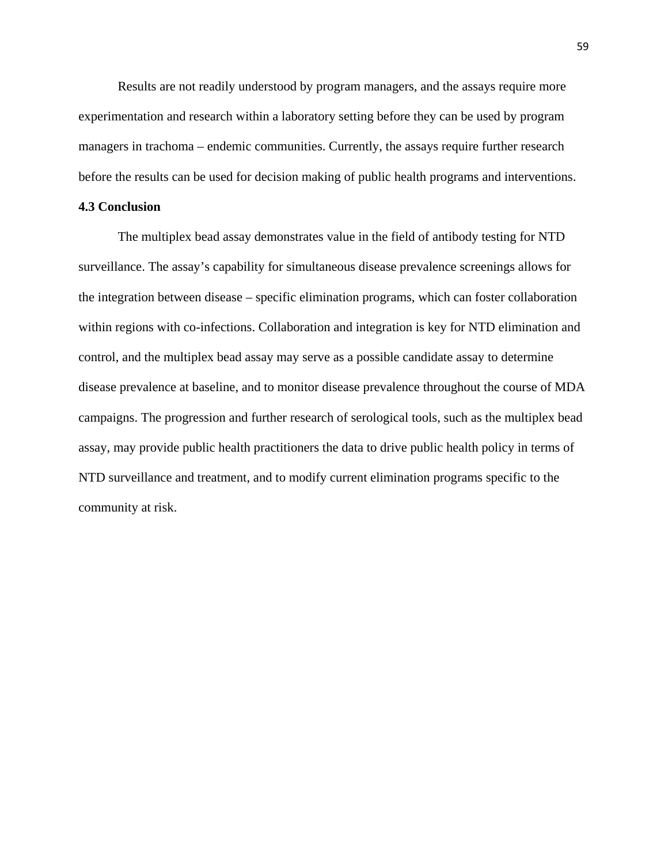Results are not readily understood by program managers, and the assays require more experimentation and research within a laboratory setting before they can be used by program managers in trachoma – endemic communities. Currently, the assays require further research before the results can be used for decision making of public health programs and interventions.

### **4.3 Conclusion**

The multiplex bead assay demonstrates value in the field of antibody testing for NTD surveillance. The assay's capability for simultaneous disease prevalence screenings allows for the integration between disease – specific elimination programs, which can foster collaboration within regions with co-infections. Collaboration and integration is key for NTD elimination and control, and the multiplex bead assay may serve as a possible candidate assay to determine disease prevalence at baseline, and to monitor disease prevalence throughout the course of MDA campaigns. The progression and further research of serological tools, such as the multiplex bead assay, may provide public health practitioners the data to drive public health policy in terms of NTD surveillance and treatment, and to modify current elimination programs specific to the community at risk.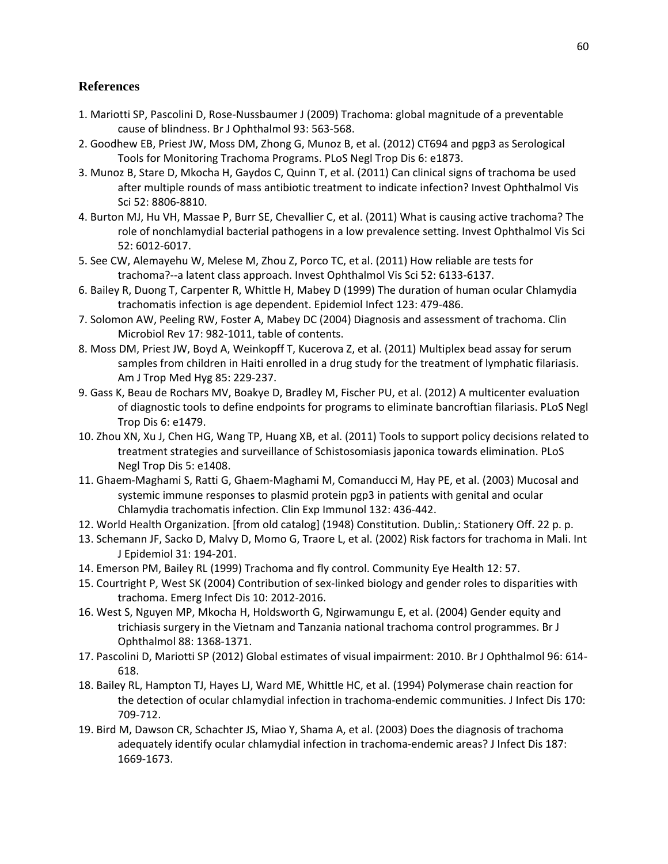# **References**

- <span id="page-69-0"></span>1. Mariotti SP, Pascolini D, Rose-Nussbaumer J (2009) Trachoma: global magnitude of a preventable cause of blindness. Br J Ophthalmol 93: 563-568.
- <span id="page-69-1"></span>2. Goodhew EB, Priest JW, Moss DM, Zhong G, Munoz B, et al. (2012) CT694 and pgp3 as Serological Tools for Monitoring Trachoma Programs. PLoS Negl Trop Dis 6: e1873.
- <span id="page-69-2"></span>3. Munoz B, Stare D, Mkocha H, Gaydos C, Quinn T, et al. (2011) Can clinical signs of trachoma be used after multiple rounds of mass antibiotic treatment to indicate infection? Invest Ophthalmol Vis Sci 52: 8806-8810.
- <span id="page-69-3"></span>4. Burton MJ, Hu VH, Massae P, Burr SE, Chevallier C, et al. (2011) What is causing active trachoma? The role of nonchlamydial bacterial pathogens in a low prevalence setting. Invest Ophthalmol Vis Sci 52: 6012-6017.
- <span id="page-69-4"></span>5. See CW, Alemayehu W, Melese M, Zhou Z, Porco TC, et al. (2011) How reliable are tests for trachoma?--a latent class approach. Invest Ophthalmol Vis Sci 52: 6133-6137.
- <span id="page-69-5"></span>6. Bailey R, Duong T, Carpenter R, Whittle H, Mabey D (1999) The duration of human ocular Chlamydia trachomatis infection is age dependent. Epidemiol Infect 123: 479-486.
- <span id="page-69-6"></span>7. Solomon AW, Peeling RW, Foster A, Mabey DC (2004) Diagnosis and assessment of trachoma. Clin Microbiol Rev 17: 982-1011, table of contents.
- <span id="page-69-7"></span>8. Moss DM, Priest JW, Boyd A, Weinkopff T, Kucerova Z, et al. (2011) Multiplex bead assay for serum samples from children in Haiti enrolled in a drug study for the treatment of lymphatic filariasis. Am J Trop Med Hyg 85: 229-237.
- <span id="page-69-8"></span>9. Gass K, Beau de Rochars MV, Boakye D, Bradley M, Fischer PU, et al. (2012) A multicenter evaluation of diagnostic tools to define endpoints for programs to eliminate bancroftian filariasis. PLoS Negl Trop Dis 6: e1479.
- <span id="page-69-9"></span>10. Zhou XN, Xu J, Chen HG, Wang TP, Huang XB, et al. (2011) Tools to support policy decisions related to treatment strategies and surveillance of Schistosomiasis japonica towards elimination. PLoS Negl Trop Dis 5: e1408.
- <span id="page-69-10"></span>11. Ghaem-Maghami S, Ratti G, Ghaem-Maghami M, Comanducci M, Hay PE, et al. (2003) Mucosal and systemic immune responses to plasmid protein pgp3 in patients with genital and ocular Chlamydia trachomatis infection. Clin Exp Immunol 132: 436-442.
- 12. World Health Organization. [from old catalog] (1948) Constitution. Dublin,: Stationery Off. 22 p. p.
- 13. Schemann JF, Sacko D, Malvy D, Momo G, Traore L, et al. (2002) Risk factors for trachoma in Mali. Int J Epidemiol 31: 194-201.
- 14. Emerson PM, Bailey RL (1999) Trachoma and fly control. Community Eye Health 12: 57.
- 15. Courtright P, West SK (2004) Contribution of sex-linked biology and gender roles to disparities with trachoma. Emerg Infect Dis 10: 2012-2016.
- 16. West S, Nguyen MP, Mkocha H, Holdsworth G, Ngirwamungu E, et al. (2004) Gender equity and trichiasis surgery in the Vietnam and Tanzania national trachoma control programmes. Br J Ophthalmol 88: 1368-1371.
- 17. Pascolini D, Mariotti SP (2012) Global estimates of visual impairment: 2010. Br J Ophthalmol 96: 614- 618.
- 18. Bailey RL, Hampton TJ, Hayes LJ, Ward ME, Whittle HC, et al. (1994) Polymerase chain reaction for the detection of ocular chlamydial infection in trachoma-endemic communities. J Infect Dis 170: 709-712.
- 19. Bird M, Dawson CR, Schachter JS, Miao Y, Shama A, et al. (2003) Does the diagnosis of trachoma adequately identify ocular chlamydial infection in trachoma-endemic areas? J Infect Dis 187: 1669-1673.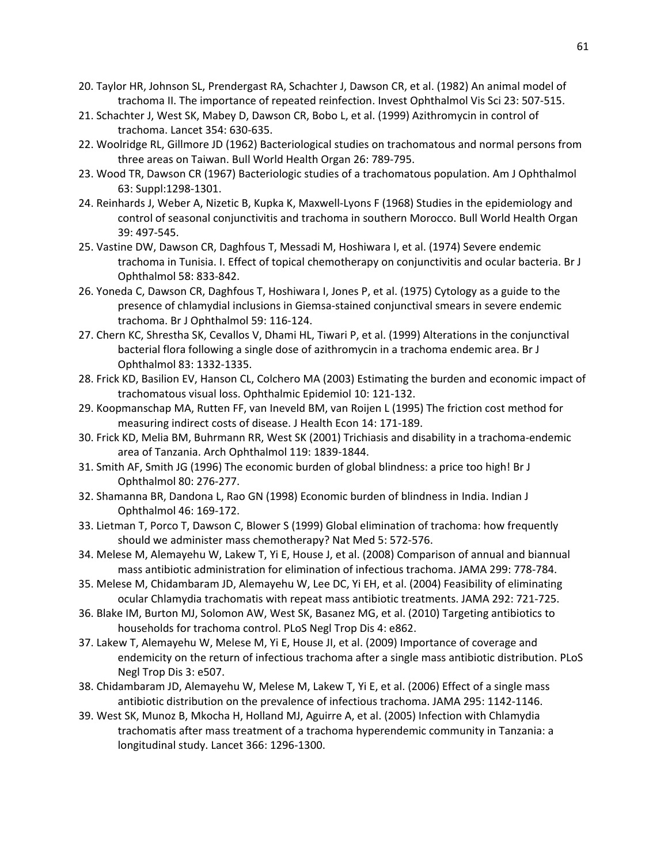- 20. Taylor HR, Johnson SL, Prendergast RA, Schachter J, Dawson CR, et al. (1982) An animal model of trachoma II. The importance of repeated reinfection. Invest Ophthalmol Vis Sci 23: 507-515.
- 21. Schachter J, West SK, Mabey D, Dawson CR, Bobo L, et al. (1999) Azithromycin in control of trachoma. Lancet 354: 630-635.
- 22. Woolridge RL, Gillmore JD (1962) Bacteriological studies on trachomatous and normal persons from three areas on Taiwan. Bull World Health Organ 26: 789-795.
- 23. Wood TR, Dawson CR (1967) Bacteriologic studies of a trachomatous population. Am J Ophthalmol 63: Suppl:1298-1301.
- 24. Reinhards J, Weber A, Nizetic B, Kupka K, Maxwell-Lyons F (1968) Studies in the epidemiology and control of seasonal conjunctivitis and trachoma in southern Morocco. Bull World Health Organ 39: 497-545.
- 25. Vastine DW, Dawson CR, Daghfous T, Messadi M, Hoshiwara I, et al. (1974) Severe endemic trachoma in Tunisia. I. Effect of topical chemotherapy on conjunctivitis and ocular bacteria. Br J Ophthalmol 58: 833-842.
- 26. Yoneda C, Dawson CR, Daghfous T, Hoshiwara I, Jones P, et al. (1975) Cytology as a guide to the presence of chlamydial inclusions in Giemsa-stained conjunctival smears in severe endemic trachoma. Br J Ophthalmol 59: 116-124.
- 27. Chern KC, Shrestha SK, Cevallos V, Dhami HL, Tiwari P, et al. (1999) Alterations in the conjunctival bacterial flora following a single dose of azithromycin in a trachoma endemic area. Br J Ophthalmol 83: 1332-1335.
- 28. Frick KD, Basilion EV, Hanson CL, Colchero MA (2003) Estimating the burden and economic impact of trachomatous visual loss. Ophthalmic Epidemiol 10: 121-132.
- 29. Koopmanschap MA, Rutten FF, van Ineveld BM, van Roijen L (1995) The friction cost method for measuring indirect costs of disease. J Health Econ 14: 171-189.
- 30. Frick KD, Melia BM, Buhrmann RR, West SK (2001) Trichiasis and disability in a trachoma-endemic area of Tanzania. Arch Ophthalmol 119: 1839-1844.
- 31. Smith AF, Smith JG (1996) The economic burden of global blindness: a price too high! Br J Ophthalmol 80: 276-277.
- 32. Shamanna BR, Dandona L, Rao GN (1998) Economic burden of blindness in India. Indian J Ophthalmol 46: 169-172.
- 33. Lietman T, Porco T, Dawson C, Blower S (1999) Global elimination of trachoma: how frequently should we administer mass chemotherapy? Nat Med 5: 572-576.
- 34. Melese M, Alemayehu W, Lakew T, Yi E, House J, et al. (2008) Comparison of annual and biannual mass antibiotic administration for elimination of infectious trachoma. JAMA 299: 778-784.
- 35. Melese M, Chidambaram JD, Alemayehu W, Lee DC, Yi EH, et al. (2004) Feasibility of eliminating ocular Chlamydia trachomatis with repeat mass antibiotic treatments. JAMA 292: 721-725.
- 36. Blake IM, Burton MJ, Solomon AW, West SK, Basanez MG, et al. (2010) Targeting antibiotics to households for trachoma control. PLoS Negl Trop Dis 4: e862.
- 37. Lakew T, Alemayehu W, Melese M, Yi E, House JI, et al. (2009) Importance of coverage and endemicity on the return of infectious trachoma after a single mass antibiotic distribution. PLoS Negl Trop Dis 3: e507.
- 38. Chidambaram JD, Alemayehu W, Melese M, Lakew T, Yi E, et al. (2006) Effect of a single mass antibiotic distribution on the prevalence of infectious trachoma. JAMA 295: 1142-1146.
- 39. West SK, Munoz B, Mkocha H, Holland MJ, Aguirre A, et al. (2005) Infection with Chlamydia trachomatis after mass treatment of a trachoma hyperendemic community in Tanzania: a longitudinal study. Lancet 366: 1296-1300.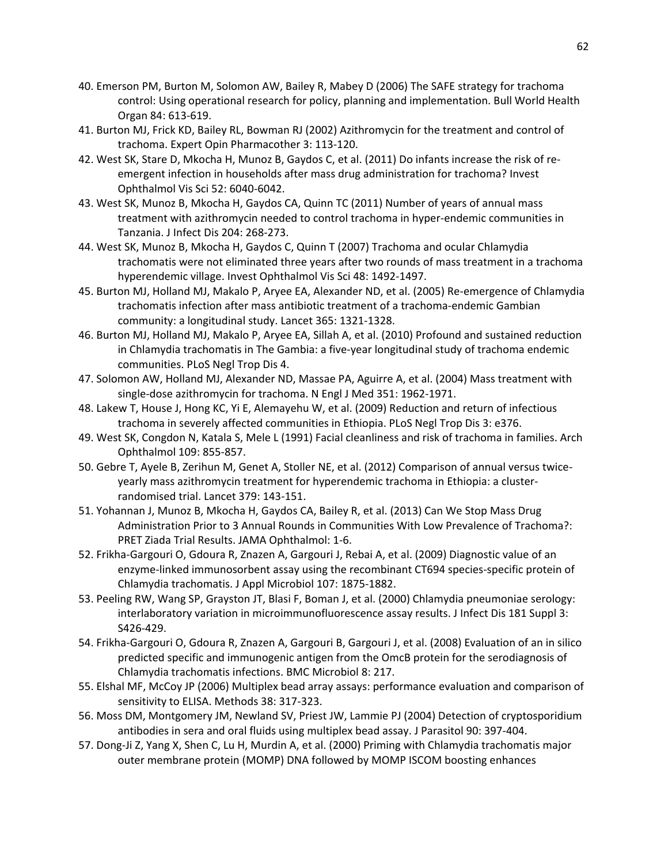- 40. Emerson PM, Burton M, Solomon AW, Bailey R, Mabey D (2006) The SAFE strategy for trachoma control: Using operational research for policy, planning and implementation. Bull World Health Organ 84: 613-619.
- 41. Burton MJ, Frick KD, Bailey RL, Bowman RJ (2002) Azithromycin for the treatment and control of trachoma. Expert Opin Pharmacother 3: 113-120.
- 42. West SK, Stare D, Mkocha H, Munoz B, Gaydos C, et al. (2011) Do infants increase the risk of reemergent infection in households after mass drug administration for trachoma? Invest Ophthalmol Vis Sci 52: 6040-6042.
- 43. West SK, Munoz B, Mkocha H, Gaydos CA, Quinn TC (2011) Number of years of annual mass treatment with azithromycin needed to control trachoma in hyper-endemic communities in Tanzania. J Infect Dis 204: 268-273.
- 44. West SK, Munoz B, Mkocha H, Gaydos C, Quinn T (2007) Trachoma and ocular Chlamydia trachomatis were not eliminated three years after two rounds of mass treatment in a trachoma hyperendemic village. Invest Ophthalmol Vis Sci 48: 1492-1497.
- 45. Burton MJ, Holland MJ, Makalo P, Aryee EA, Alexander ND, et al. (2005) Re-emergence of Chlamydia trachomatis infection after mass antibiotic treatment of a trachoma-endemic Gambian community: a longitudinal study. Lancet 365: 1321-1328.
- 46. Burton MJ, Holland MJ, Makalo P, Aryee EA, Sillah A, et al. (2010) Profound and sustained reduction in Chlamydia trachomatis in The Gambia: a five-year longitudinal study of trachoma endemic communities. PLoS Negl Trop Dis 4.
- 47. Solomon AW, Holland MJ, Alexander ND, Massae PA, Aguirre A, et al. (2004) Mass treatment with single-dose azithromycin for trachoma. N Engl J Med 351: 1962-1971.
- 48. Lakew T, House J, Hong KC, Yi E, Alemayehu W, et al. (2009) Reduction and return of infectious trachoma in severely affected communities in Ethiopia. PLoS Negl Trop Dis 3: e376.
- 49. West SK, Congdon N, Katala S, Mele L (1991) Facial cleanliness and risk of trachoma in families. Arch Ophthalmol 109: 855-857.
- 50. Gebre T, Ayele B, Zerihun M, Genet A, Stoller NE, et al. (2012) Comparison of annual versus twiceyearly mass azithromycin treatment for hyperendemic trachoma in Ethiopia: a clusterrandomised trial. Lancet 379: 143-151.
- 51. Yohannan J, Munoz B, Mkocha H, Gaydos CA, Bailey R, et al. (2013) Can We Stop Mass Drug Administration Prior to 3 Annual Rounds in Communities With Low Prevalence of Trachoma?: PRET Ziada Trial Results. JAMA Ophthalmol: 1-6.
- 52. Frikha-Gargouri O, Gdoura R, Znazen A, Gargouri J, Rebai A, et al. (2009) Diagnostic value of an enzyme-linked immunosorbent assay using the recombinant CT694 species-specific protein of Chlamydia trachomatis. J Appl Microbiol 107: 1875-1882.
- 53. Peeling RW, Wang SP, Grayston JT, Blasi F, Boman J, et al. (2000) Chlamydia pneumoniae serology: interlaboratory variation in microimmunofluorescence assay results. J Infect Dis 181 Suppl 3: S426-429.
- 54. Frikha-Gargouri O, Gdoura R, Znazen A, Gargouri B, Gargouri J, et al. (2008) Evaluation of an in silico predicted specific and immunogenic antigen from the OmcB protein for the serodiagnosis of Chlamydia trachomatis infections. BMC Microbiol 8: 217.
- 55. Elshal MF, McCoy JP (2006) Multiplex bead array assays: performance evaluation and comparison of sensitivity to ELISA. Methods 38: 317-323.
- 56. Moss DM, Montgomery JM, Newland SV, Priest JW, Lammie PJ (2004) Detection of cryptosporidium antibodies in sera and oral fluids using multiplex bead assay. J Parasitol 90: 397-404.
- 57. Dong-Ji Z, Yang X, Shen C, Lu H, Murdin A, et al. (2000) Priming with Chlamydia trachomatis major outer membrane protein (MOMP) DNA followed by MOMP ISCOM boosting enhances